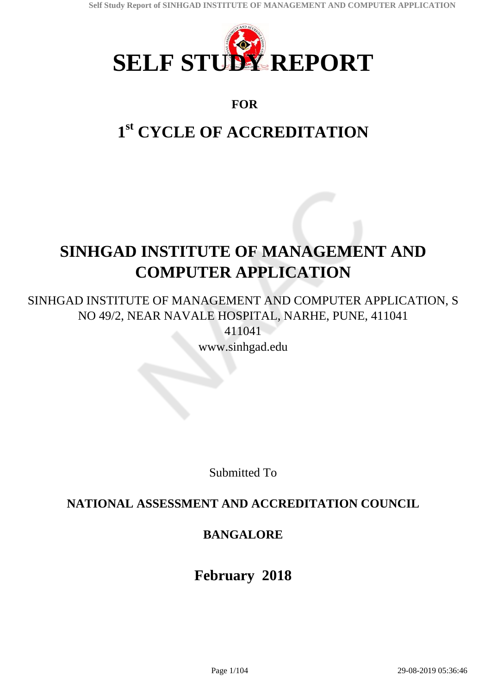

# **FOR**

# **1 st CYCLE OF ACCREDITATION**

# **SINHGAD INSTITUTE OF MANAGEMENT AND COMPUTER APPLICATION**

SINHGAD INSTITUTE OF MANAGEMENT AND COMPUTER APPLICATION, S NO 49/2, NEAR NAVALE HOSPITAL, NARHE, PUNE, 411041 411041

www.sinhgad.edu

Submitted To

# **NATIONAL ASSESSMENT AND ACCREDITATION COUNCIL**

# **BANGALORE**

# **February 2018**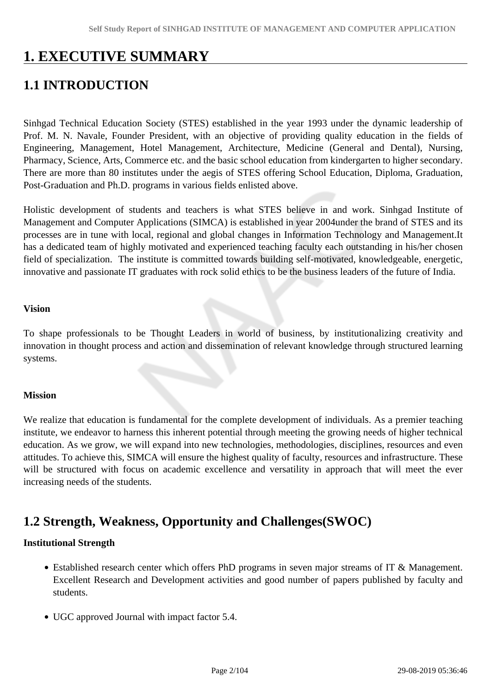# **1. EXECUTIVE SUMMARY**

# **1.1 INTRODUCTION**

Sinhgad Technical Education Society (STES) established in the year 1993 under the dynamic leadership of Prof. M. N. Navale, Founder President, with an objective of providing quality education in the fields of Engineering, Management, Hotel Management, Architecture, Medicine (General and Dental), Nursing, Pharmacy, Science, Arts, Commerce etc. and the basic school education from kindergarten to higher secondary. There are more than 80 institutes under the aegis of STES offering School Education, Diploma, Graduation, Post-Graduation and Ph.D. programs in various fields enlisted above.

Holistic development of students and teachers is what STES believe in and work. Sinhgad Institute of Management and Computer Applications (SIMCA) is established in year 2004under the brand of STES and its processes are in tune with local, regional and global changes in Information Technology and Management.It has a dedicated team of highly motivated and experienced teaching faculty each outstanding in his/her chosen field of specialization. The institute is committed towards building self-motivated, knowledgeable, energetic, innovative and passionate IT graduates with rock solid ethics to be the business leaders of the future of India.

#### **Vision**

To shape professionals to be Thought Leaders in world of business, by institutionalizing creativity and innovation in thought process and action and dissemination of relevant knowledge through structured learning systems.

#### **Mission**

We realize that education is fundamental for the complete development of individuals. As a premier teaching institute, we endeavor to harness this inherent potential through meeting the growing needs of higher technical education. As we grow, we will expand into new technologies, methodologies, disciplines, resources and even attitudes. To achieve this, SIMCA will ensure the highest quality of faculty, resources and infrastructure. These will be structured with focus on academic excellence and versatility in approach that will meet the ever increasing needs of the students.

# **1.2 Strength, Weakness, Opportunity and Challenges(SWOC)**

#### **Institutional Strength**

- Established research center which offers PhD programs in seven major streams of IT & Management. Excellent Research and Development activities and good number of papers published by faculty and students.
- UGC approved Journal with impact factor 5.4.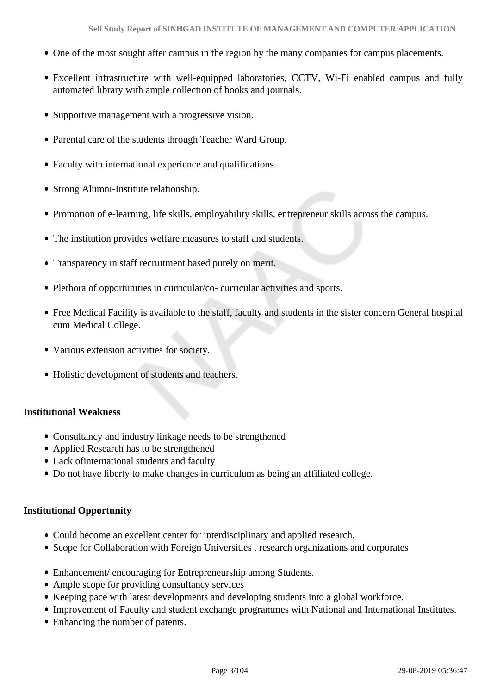- One of the most sought after campus in the region by the many companies for campus placements.
- Excellent infrastructure with well-equipped laboratories, CCTV, Wi-Fi enabled campus and fully automated library with ample collection of books and journals.
- Supportive management with a progressive vision.
- Parental care of the students through Teacher Ward Group.
- Faculty with international experience and qualifications.
- Strong Alumni-Institute relationship.
- Promotion of e-learning, life skills, employability skills, entrepreneur skills across the campus.
- The institution provides welfare measures to staff and students.
- Transparency in staff recruitment based purely on merit.
- Plethora of opportunities in curricular/co- curricular activities and sports.
- Free Medical Facility is available to the staff, faculty and students in the sister concern General hospital cum Medical College.
- Various extension activities for society.
- Holistic development of students and teachers.

#### **Institutional Weakness**

- Consultancy and industry linkage needs to be strengthened
- Applied Research has to be strengthened
- Lack ofinternational students and faculty
- Do not have liberty to make changes in curriculum as being an affiliated college.

#### **Institutional Opportunity**

- Could become an excellent center for interdisciplinary and applied research.
- Scope for Collaboration with Foreign Universities , research organizations and corporates
- Enhancement/ encouraging for Entrepreneurship among Students.
- Ample scope for providing consultancy services
- Keeping pace with latest developments and developing students into a global workforce.
- Improvement of Faculty and student exchange programmes with National and International Institutes.
- Enhancing the number of patents.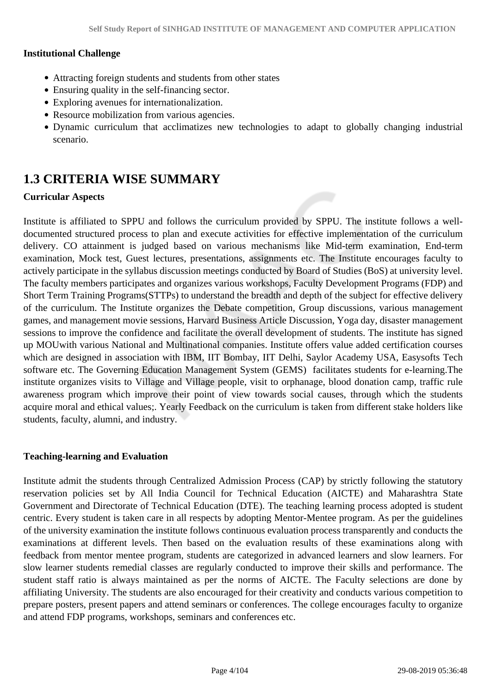#### **Institutional Challenge**

- Attracting foreign students and students from other states
- Ensuring quality in the self-financing sector.
- Exploring avenues for internationalization.
- Resource mobilization from various agencies.
- Dynamic curriculum that acclimatizes new technologies to adapt to globally changing industrial scenario.

# **1.3 CRITERIA WISE SUMMARY**

#### **Curricular Aspects**

Institute is affiliated to SPPU and follows the curriculum provided by SPPU. The institute follows a welldocumented structured process to plan and execute activities for effective implementation of the curriculum delivery. CO attainment is judged based on various mechanisms like Mid-term examination, End-term examination, Mock test, Guest lectures, presentations, assignments etc. The Institute encourages faculty to actively participate in the syllabus discussion meetings conducted by Board of Studies (BoS) at university level. The faculty members participates and organizes various workshops, Faculty Development Programs (FDP) and Short Term Training Programs(STTPs) to understand the breadth and depth of the subject for effective delivery of the curriculum. The Institute organizes the Debate competition, Group discussions, various management games, and management movie sessions, Harvard Business Article Discussion, Yoga day, disaster management sessions to improve the confidence and facilitate the overall development of students. The institute has signed up MOUwith various National and Multinational companies. Institute offers value added certification courses which are designed in association with IBM, IIT Bombay, IIT Delhi, Saylor Academy USA, Easysofts Tech software etc. The Governing Education Management System (GEMS) facilitates students for e-learning.The institute organizes visits to Village and Village people, visit to orphanage, blood donation camp, traffic rule awareness program which improve their point of view towards social causes, through which the students acquire moral and ethical values;. Yearly Feedback on the curriculum is taken from different stake holders like students, faculty, alumni, and industry.

#### **Teaching-learning and Evaluation**

Institute admit the students through Centralized Admission Process (CAP) by strictly following the statutory reservation policies set by All India Council for Technical Education (AICTE) and Maharashtra State Government and Directorate of Technical Education (DTE). The teaching learning process adopted is student centric. Every student is taken care in all respects by adopting Mentor-Mentee program. As per the guidelines of the university examination the institute follows continuous evaluation process transparently and conducts the examinations at different levels. Then based on the evaluation results of these examinations along with feedback from mentor mentee program, students are categorized in advanced learners and slow learners. For slow learner students remedial classes are regularly conducted to improve their skills and performance. The student staff ratio is always maintained as per the norms of AICTE. The Faculty selections are done by affiliating University. The students are also encouraged for their creativity and conducts various competition to prepare posters, present papers and attend seminars or conferences. The college encourages faculty to organize and attend FDP programs, workshops, seminars and conferences etc.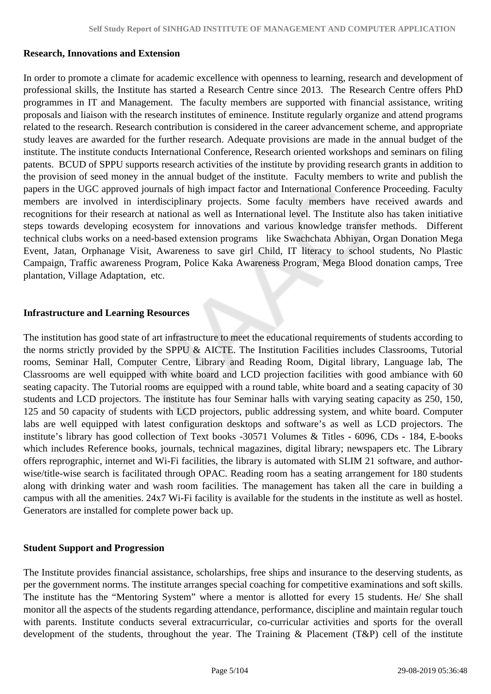#### **Research, Innovations and Extension**

In order to promote a climate for academic excellence with openness to learning, research and development of professional skills, the Institute has started a Research Centre since 2013. The Research Centre offers PhD programmes in IT and Management. The faculty members are supported with financial assistance, writing proposals and liaison with the research institutes of eminence. Institute regularly organize and attend programs related to the research. Research contribution is considered in the career advancement scheme, and appropriate study leaves are awarded for the further research. Adequate provisions are made in the annual budget of the institute. The institute conducts International Conference, Research oriented workshops and seminars on filing patents. BCUD of SPPU supports research activities of the institute by providing research grants in addition to the provision of seed money in the annual budget of the institute. Faculty members to write and publish the papers in the UGC approved journals of high impact factor and International Conference Proceeding. Faculty members are involved in interdisciplinary projects. Some faculty members have received awards and recognitions for their research at national as well as International level. The Institute also has taken initiative steps towards developing ecosystem for innovations and various knowledge transfer methods. Different technical clubs works on a need-based extension programs like Swachchata Abhiyan, Organ Donation Mega Event, Jatan, Orphanage Visit, Awareness to save girl Child, IT literacy to school students, No Plastic Campaign, Traffic awareness Program, Police Kaka Awareness Program, Mega Blood donation camps, Tree plantation, Village Adaptation, etc.

#### **Infrastructure and Learning Resources**

The institution has good state of art infrastructure to meet the educational requirements of students according to the norms strictly provided by the SPPU & AICTE. The Institution Facilities includes Classrooms, Tutorial rooms, Seminar Hall, Computer Centre, Library and Reading Room, Digital library, Language lab, The Classrooms are well equipped with white board and LCD projection facilities with good ambiance with 60 seating capacity. The Tutorial rooms are equipped with a round table, white board and a seating capacity of 30 students and LCD projectors. The institute has four Seminar halls with varying seating capacity as 250, 150, 125 and 50 capacity of students with LCD projectors, public addressing system, and white board. Computer labs are well equipped with latest configuration desktops and software's as well as LCD projectors. The institute's library has good collection of Text books -30571 Volumes & Titles - 6096, CDs - 184, E-books which includes Reference books, journals, technical magazines, digital library; newspapers etc. The Library offers reprographic, internet and Wi-Fi facilities, the library is automated with SLIM 21 software, and authorwise/title-wise search is facilitated through OPAC. Reading room has a seating arrangement for 180 students along with drinking water and wash room facilities. The management has taken all the care in building a campus with all the amenities. 24x7 Wi-Fi facility is available for the students in the institute as well as hostel. Generators are installed for complete power back up.

#### **Student Support and Progression**

The Institute provides financial assistance, scholarships, free ships and insurance to the deserving students, as per the government norms. The institute arranges special coaching for competitive examinations and soft skills. The institute has the "Mentoring System" where a mentor is allotted for every 15 students. He/ She shall monitor all the aspects of the students regarding attendance, performance, discipline and maintain regular touch with parents. Institute conducts several extracurricular, co-curricular activities and sports for the overall development of the students, throughout the year. The Training & Placement (T&P) cell of the institute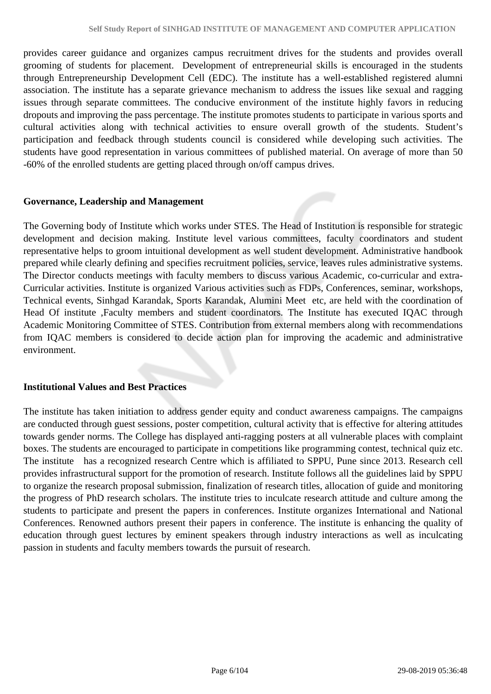provides career guidance and organizes campus recruitment drives for the students and provides overall grooming of students for placement. Development of entrepreneurial skills is encouraged in the students through Entrepreneurship Development Cell (EDC). The institute has a well-established registered alumni association. The institute has a separate grievance mechanism to address the issues like sexual and ragging issues through separate committees. The conducive environment of the institute highly favors in reducing dropouts and improving the pass percentage. The institute promotes students to participate in various sports and cultural activities along with technical activities to ensure overall growth of the students. Student's participation and feedback through students council is considered while developing such activities. The students have good representation in various committees of published material. On average of more than 50 -60% of the enrolled students are getting placed through on/off campus drives.

#### **Governance, Leadership and Management**

The Governing body of Institute which works under STES. The Head of Institution is responsible for strategic development and decision making. Institute level various committees, faculty coordinators and student representative helps to groom intuitional development as well student development. Administrative handbook prepared while clearly defining and specifies recruitment policies, service, leaves rules administrative systems. The Director conducts meetings with faculty members to discuss various Academic, co-curricular and extra-Curricular activities. Institute is organized Various activities such as FDPs, Conferences, seminar, workshops, Technical events, Sinhgad Karandak, Sports Karandak, Alumini Meet etc, are held with the coordination of Head Of institute ,Faculty members and student coordinators. The Institute has executed IQAC through Academic Monitoring Committee of STES. Contribution from external members along with recommendations from IQAC members is considered to decide action plan for improving the academic and administrative environment.

#### **Institutional Values and Best Practices**

The institute has taken initiation to address gender equity and conduct awareness campaigns. The campaigns are conducted through guest sessions, poster competition, cultural activity that is effective for altering attitudes towards gender norms. The College has displayed anti-ragging posters at all vulnerable places with complaint boxes. The students are encouraged to participate in competitions like programming contest, technical quiz etc. The institute has a recognized research Centre which is affiliated to SPPU, Pune since 2013. Research cell provides infrastructural support for the promotion of research. Institute follows all the guidelines laid by SPPU to organize the research proposal submission, finalization of research titles, allocation of guide and monitoring the progress of PhD research scholars. The institute tries to inculcate research attitude and culture among the students to participate and present the papers in conferences. Institute organizes International and National Conferences. Renowned authors present their papers in conference. The institute is enhancing the quality of education through guest lectures by eminent speakers through industry interactions as well as inculcating passion in students and faculty members towards the pursuit of research.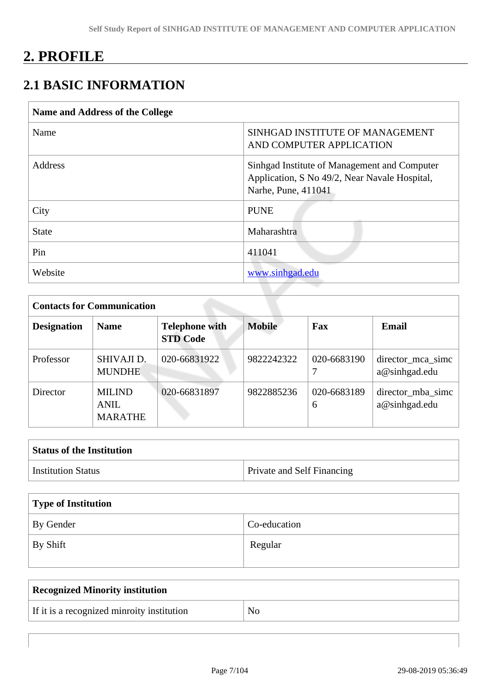# **2. PROFILE**

# **2.1 BASIC INFORMATION**

| Name and Address of the College |                                                                                                                      |
|---------------------------------|----------------------------------------------------------------------------------------------------------------------|
| Name                            | SINHGAD INSTITUTE OF MANAGEMENT<br>AND COMPUTER APPLICATION                                                          |
| Address                         | Sinhgad Institute of Management and Computer<br>Application, S No 49/2, Near Navale Hospital,<br>Narhe, Pune, 411041 |
| City                            | <b>PUNE</b>                                                                                                          |
| <b>State</b>                    | Maharashtra                                                                                                          |
| Pin                             | 411041                                                                                                               |
| Website                         | www.sinhgad.edu                                                                                                      |

| <b>Contacts for Communication</b> |                                         |                                          |               |                  |                                    |  |
|-----------------------------------|-----------------------------------------|------------------------------------------|---------------|------------------|------------------------------------|--|
| <b>Designation</b>                | <b>Name</b>                             | <b>Telephone with</b><br><b>STD Code</b> | <b>Mobile</b> | Fax              | Email                              |  |
| Professor                         | SHIVAJI D.<br><b>MUNDHE</b>             | 020-66831922                             | 9822242322    | 020-6683190      | director_mca_simc<br>a@sinhgad.edu |  |
| Director                          | <b>MILIND</b><br>ANIL<br><b>MARATHE</b> | 020-66831897                             | 9822885236    | 020-6683189<br>6 | director mba sime<br>a@sinhgad.edu |  |

| <b>Status of the Institution</b> |                                   |  |  |  |
|----------------------------------|-----------------------------------|--|--|--|
| <b>Institution Status</b>        | <b>Private and Self Financing</b> |  |  |  |

| Type of Institution   |              |  |  |  |
|-----------------------|--------------|--|--|--|
| By Gender             | Co-education |  |  |  |
| $\mathsf{I}$ By Shift | Regular      |  |  |  |

| Recognized Minority institution            |    |
|--------------------------------------------|----|
| If it is a recognized minroity institution | No |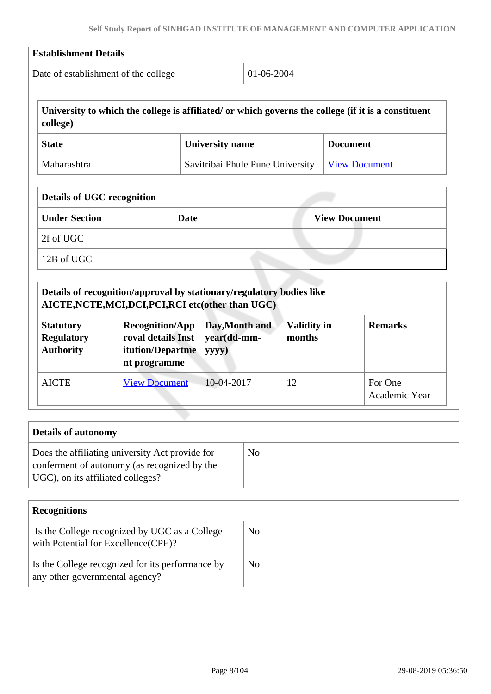| Date of establishment of the college                                                                                             |                                                                                  |             | 01-06-2004                                                                                                     |                              |                      |                                                                                                     |
|----------------------------------------------------------------------------------------------------------------------------------|----------------------------------------------------------------------------------|-------------|----------------------------------------------------------------------------------------------------------------|------------------------------|----------------------|-----------------------------------------------------------------------------------------------------|
| college)                                                                                                                         |                                                                                  |             |                                                                                                                |                              |                      | University to which the college is affiliated/ or which governs the college (if it is a constituent |
| <b>State</b>                                                                                                                     |                                                                                  |             | <b>University name</b>                                                                                         |                              | <b>Document</b>      |                                                                                                     |
| Maharashtra                                                                                                                      |                                                                                  |             | Savitribai Phule Pune University                                                                               |                              |                      | <b>View Document</b>                                                                                |
| <b>Details of UGC recognition</b>                                                                                                |                                                                                  |             |                                                                                                                |                              |                      |                                                                                                     |
| <b>Under Section</b>                                                                                                             |                                                                                  | <b>Date</b> |                                                                                                                |                              | <b>View Document</b> |                                                                                                     |
| 2f of UGC                                                                                                                        |                                                                                  |             |                                                                                                                |                              |                      |                                                                                                     |
| 12B of UGC                                                                                                                       |                                                                                  |             |                                                                                                                |                              |                      |                                                                                                     |
|                                                                                                                                  |                                                                                  |             |                                                                                                                |                              |                      |                                                                                                     |
|                                                                                                                                  | <b>Recognition/App</b><br>roval details Inst<br>itution/Departme<br>nt programme |             | Details of recognition/approval by stationary/regulatory bodies like<br>Day, Month and<br>year(dd-mm-<br>yyyy) | <b>Validity in</b><br>months |                      | <b>Remarks</b>                                                                                      |
| AICTE, NCTE, MCI, DCI, PCI, RCI etc(other than UGC)<br><b>Statutory</b><br><b>Regulatory</b><br><b>Authority</b><br><b>AICTE</b> | <b>View Document</b>                                                             |             | 10-04-2017                                                                                                     | 12                           |                      | For One<br>Academic Year                                                                            |
|                                                                                                                                  |                                                                                  |             |                                                                                                                |                              |                      |                                                                                                     |
| <b>Details of autonomy</b>                                                                                                       |                                                                                  |             |                                                                                                                |                              |                      |                                                                                                     |

| <b>Recognitions</b>                                                                  |                |
|--------------------------------------------------------------------------------------|----------------|
| Is the College recognized by UGC as a College<br>with Potential for Excellence(CPE)? | No             |
| Is the College recognized for its performance by<br>any other governmental agency?   | N <sub>0</sub> |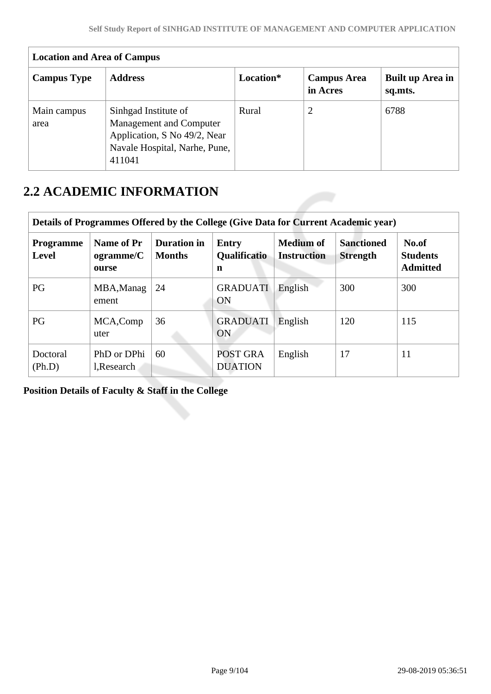| <b>Location and Area of Campus</b> |                                                                                                                            |           |                                |                             |  |  |
|------------------------------------|----------------------------------------------------------------------------------------------------------------------------|-----------|--------------------------------|-----------------------------|--|--|
| <b>Campus Type</b>                 | <b>Address</b>                                                                                                             | Location* | <b>Campus Area</b><br>in Acres | Built up Area in<br>sq.mts. |  |  |
| Main campus<br>area                | Sinhgad Institute of<br>Management and Computer<br>Application, S No 49/2, Near<br>Navale Hospital, Narhe, Pune,<br>411041 | Rural     | 2                              | 6788                        |  |  |

# **2.2 ACADEMIC INFORMATION**

| Details of Programmes Offered by the College (Give Data for Current Academic year) |                                  |                                     |                                   |                                        |                                      |                                             |  |
|------------------------------------------------------------------------------------|----------------------------------|-------------------------------------|-----------------------------------|----------------------------------------|--------------------------------------|---------------------------------------------|--|
| <b>Programme</b><br>Level                                                          | Name of Pr<br>ogramme/C<br>ourse | <b>Duration in</b><br><b>Months</b> | Entry<br><b>Qualificatio</b><br>n | <b>Medium of</b><br><b>Instruction</b> | <b>Sanctioned</b><br><b>Strength</b> | No.of<br><b>Students</b><br><b>Admitted</b> |  |
| PG                                                                                 | MBA, Manag<br>ement              | 24                                  | <b>GRADUATI</b><br>ON             | English                                | 300                                  | 300                                         |  |
| PG                                                                                 | MCA, Comp<br>uter                | 36                                  | <b>GRADUATI</b><br>ON             | English                                | 120                                  | 115                                         |  |
| Doctoral<br>(Ph.D)                                                                 | PhD or DPhi<br>l, Research       | 60                                  | POST GRA<br><b>DUATION</b>        | English                                | 17                                   | 11                                          |  |

**Position Details of Faculty & Staff in the College**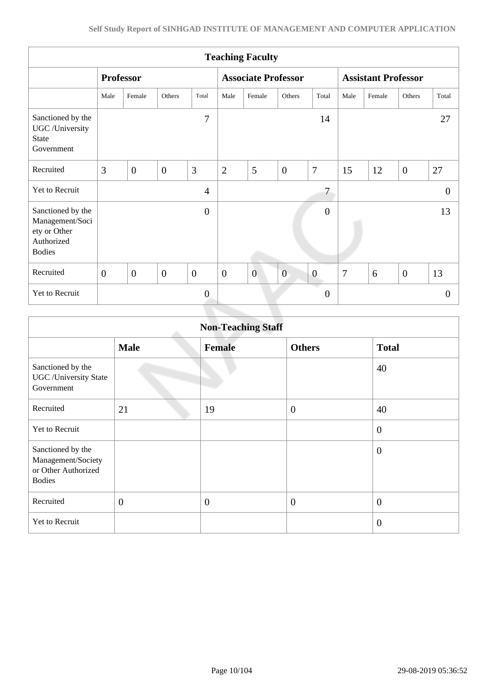| <b>Teaching Faculty</b>                                                             |                  |                |                |                  |                  |                            |                  |                  |                |                            |                |          |
|-------------------------------------------------------------------------------------|------------------|----------------|----------------|------------------|------------------|----------------------------|------------------|------------------|----------------|----------------------------|----------------|----------|
|                                                                                     | <b>Professor</b> |                |                |                  |                  | <b>Associate Professor</b> |                  |                  |                | <b>Assistant Professor</b> |                |          |
|                                                                                     | Male             | Female         | Others         | Total            | Male             | Female                     | Others           | Total            | Male           | Female                     | Others         | Total    |
| Sanctioned by the<br>UGC /University<br><b>State</b><br>Government                  |                  |                |                | 7                |                  |                            |                  | 14               |                |                            |                | 27       |
| Recruited                                                                           | 3                | $\overline{0}$ | $\overline{0}$ | 3                | $\overline{2}$   | 5                          | $\overline{0}$   | $\overline{7}$   | 15             | 12                         | $\overline{0}$ | 27       |
| Yet to Recruit                                                                      |                  |                |                | $\overline{4}$   |                  |                            |                  | 7                |                |                            |                | $\theta$ |
| Sanctioned by the<br>Management/Soci<br>ety or Other<br>Authorized<br><b>Bodies</b> |                  |                |                | $\boldsymbol{0}$ |                  |                            |                  | $\boldsymbol{0}$ |                |                            |                | 13       |
| Recruited                                                                           | $\overline{0}$   | $\mathbf{0}$   | $\mathbf{0}$   | $\mathbf{0}$     | $\boldsymbol{0}$ | $\overline{0}$             | $\boldsymbol{0}$ | $\boldsymbol{0}$ | $\overline{7}$ | 6                          | $\overline{0}$ | 13       |
| Yet to Recruit                                                                      |                  |                |                | $\mathbf{0}$     |                  |                            |                  | $\theta$         |                |                            |                | $\theta$ |
|                                                                                     |                  |                |                |                  |                  |                            |                  |                  |                |                            |                |          |

| <b>Non-Teaching Staff</b>                                                       |                |                |                |                  |  |
|---------------------------------------------------------------------------------|----------------|----------------|----------------|------------------|--|
|                                                                                 | <b>Male</b>    | <b>Female</b>  | <b>Others</b>  | <b>Total</b>     |  |
| Sanctioned by the<br><b>UGC</b> / University State<br>Government                |                |                |                | 40               |  |
| Recruited                                                                       | 21             | 19             | $\overline{0}$ | 40               |  |
| Yet to Recruit                                                                  |                |                |                | $\overline{0}$   |  |
| Sanctioned by the<br>Management/Society<br>or Other Authorized<br><b>Bodies</b> |                |                |                | $\boldsymbol{0}$ |  |
| Recruited                                                                       | $\overline{0}$ | $\overline{0}$ | $\overline{0}$ | $\boldsymbol{0}$ |  |
| Yet to Recruit                                                                  |                |                |                | $\overline{0}$   |  |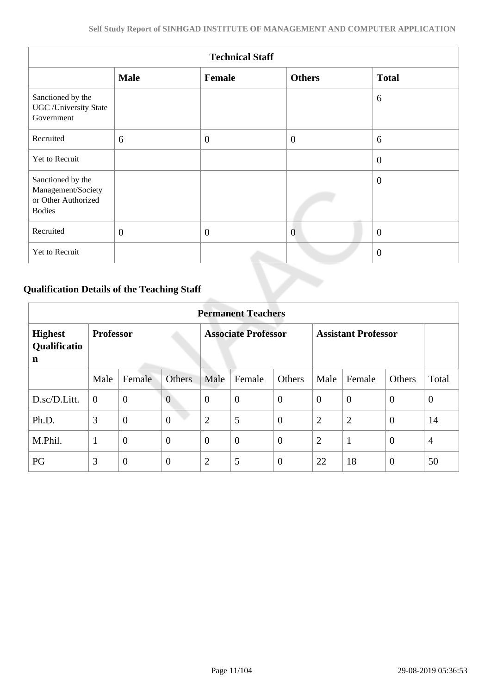| <b>Technical Staff</b>                                                          |              |                  |                |                |  |
|---------------------------------------------------------------------------------|--------------|------------------|----------------|----------------|--|
|                                                                                 | <b>Male</b>  | Female           | <b>Others</b>  | <b>Total</b>   |  |
| Sanctioned by the<br><b>UGC</b> / University State<br>Government                |              |                  |                | 6              |  |
| Recruited                                                                       | 6            | $\overline{0}$   | $\overline{0}$ | 6              |  |
| Yet to Recruit                                                                  |              |                  |                | $\overline{0}$ |  |
| Sanctioned by the<br>Management/Society<br>or Other Authorized<br><b>Bodies</b> |              |                  |                | $\overline{0}$ |  |
| Recruited                                                                       | $\mathbf{0}$ | $\boldsymbol{0}$ | $\overline{0}$ | $\overline{0}$ |  |
| Yet to Recruit                                                                  |              |                  |                | $\overline{0}$ |  |

# **Qualification Details of the Teaching Staff**

|                                     | <b>Permanent Teachers</b> |                |                            |                |                            |                |                |                |                |                |
|-------------------------------------|---------------------------|----------------|----------------------------|----------------|----------------------------|----------------|----------------|----------------|----------------|----------------|
| <b>Highest</b><br>Qualificatio<br>n | <b>Professor</b>          |                | <b>Associate Professor</b> |                | <b>Assistant Professor</b> |                |                |                |                |                |
|                                     | Male                      | Female         | <b>Others</b>              | Male           | Female                     | Others         | Male           | Female         | Others         | Total          |
| D.sc/D.Litt.                        | $\overline{0}$            | $\mathbf{0}$   | $\overline{0}$             | $\theta$       | $\overline{0}$             | $\overline{0}$ | $\overline{0}$ | $\theta$       | $\overline{0}$ | $\overline{0}$ |
| Ph.D.                               | 3                         | $\overline{0}$ | $\overline{0}$             | $\overline{2}$ | 5                          | $\overline{0}$ | $\overline{2}$ | $\overline{2}$ | $\overline{0}$ | 14             |
| M.Phil.                             | 1                         | $\mathbf{0}$   | $\overline{0}$             | $\theta$       | $\overline{0}$             | $\overline{0}$ | $\overline{2}$ | $\mathbf{1}$   | $\overline{0}$ | $\overline{4}$ |
| PG                                  | 3                         | $\overline{0}$ | $\overline{0}$             | $\overline{2}$ | 5                          | $\overline{0}$ | 22             | 18             | $\overline{0}$ | 50             |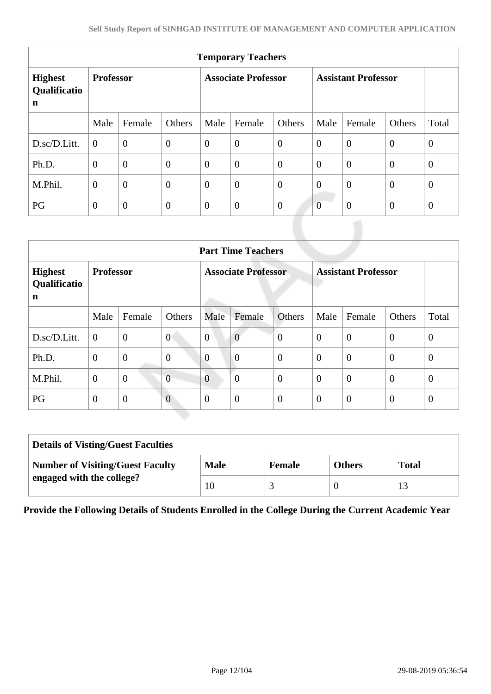| <b>Temporary Teachers</b>           |                  |                |                            |          |                            |          |                |                |                |                |
|-------------------------------------|------------------|----------------|----------------------------|----------|----------------------------|----------|----------------|----------------|----------------|----------------|
| <b>Highest</b><br>Qualificatio<br>n | <b>Professor</b> |                | <b>Associate Professor</b> |          | <b>Assistant Professor</b> |          |                |                |                |                |
|                                     | Male             | Female         | Others                     | Male     | Female                     | Others   | Male           | Female         | Others         | Total          |
| D.sc/D.Litt.                        | $\overline{0}$   | $\overline{0}$ | $\overline{0}$             | $\theta$ | $\overline{0}$             | $\theta$ | $\overline{0}$ | $\overline{0}$ | $\theta$       | $\theta$       |
| Ph.D.                               | $\overline{0}$   | $\overline{0}$ | $\mathbf{0}$               | $\theta$ | $\overline{0}$             | $\theta$ | $\theta$       | $\overline{0}$ | $\theta$       | $\overline{0}$ |
| M.Phil.                             | $\overline{0}$   | $\overline{0}$ | $\overline{0}$             | $\theta$ | $\overline{0}$             | $\theta$ | $\overline{0}$ | $\theta$       | $\theta$       | $\overline{0}$ |
| PG                                  | $\overline{0}$   | $\overline{0}$ | $\theta$                   | $\theta$ | $\overline{0}$             | $\theta$ | $\overline{0}$ | $\overline{0}$ | $\overline{0}$ | $\theta$       |

| <b>Part Time Teachers</b>                                                                                           |                |                |                  |                |                |                  |                  |                |                |              |
|---------------------------------------------------------------------------------------------------------------------|----------------|----------------|------------------|----------------|----------------|------------------|------------------|----------------|----------------|--------------|
| <b>Associate Professor</b><br><b>Assistant Professor</b><br><b>Professor</b><br><b>Highest</b><br>Qualificatio<br>n |                |                |                  |                |                |                  |                  |                |                |              |
|                                                                                                                     | Male           | Female         | Others           | Male           | Female         | Others           | Male             | Female         | Others         | Total        |
| D.sc/D.Litt.                                                                                                        | $\overline{0}$ | $\overline{0}$ | $\overline{0}$   | $\overline{0}$ | $\overline{0}$ | $\boldsymbol{0}$ | $\overline{0}$   | $\overline{0}$ | $\overline{0}$ | $\mathbf{0}$ |
| Ph.D.                                                                                                               | $\mathbf{0}$   | $\overline{0}$ | $\boldsymbol{0}$ | $\overline{0}$ | $\overline{0}$ | $\overline{0}$   | $\overline{0}$   | $\overline{0}$ | $\overline{0}$ | $\theta$     |
| M.Phil.                                                                                                             | $\theta$       | $\overline{0}$ | $\overline{0}$   | $\overline{0}$ | $\overline{0}$ | $\overline{0}$   | $\theta$         | $\overline{0}$ | $\overline{0}$ | $\theta$     |
| PG                                                                                                                  | $\theta$       | $\mathbf{0}$   | $\overline{0}$   | $\theta$       | $\overline{0}$ | $\overline{0}$   | $\boldsymbol{0}$ | $\overline{0}$ | $\theta$       | $\theta$     |

| <b>Details of Visting/Guest Faculties</b> |             |               |               |              |  |
|-------------------------------------------|-------------|---------------|---------------|--------------|--|
| <b>Number of Visiting/Guest Faculty</b>   | <b>Male</b> | <b>Female</b> | <b>Others</b> | <b>Total</b> |  |
| engaged with the college?                 | 10          |               |               |              |  |

**Provide the Following Details of Students Enrolled in the College During the Current Academic Year**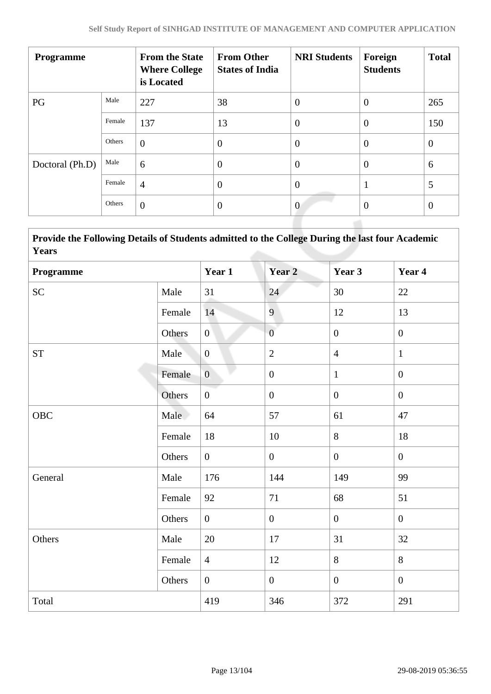| <b>Programme</b> |        | <b>From the State</b><br><b>Where College</b><br>is Located | <b>From Other</b><br><b>States of India</b> | <b>NRI Students</b> | Foreign<br><b>Students</b> | <b>Total</b>   |
|------------------|--------|-------------------------------------------------------------|---------------------------------------------|---------------------|----------------------------|----------------|
| PG               | Male   | 227                                                         | 38                                          | $\boldsymbol{0}$    | $\overline{0}$             | 265            |
|                  | Female | 137                                                         | 13                                          | $\overline{0}$      | $\theta$                   | 150            |
|                  | Others | $\theta$                                                    | $\overline{0}$                              | $\theta$            | $\overline{0}$             | $\overline{0}$ |
| Doctoral (Ph.D)  | Male   | 6                                                           | $\theta$                                    | $\overline{0}$      | $\overline{0}$             | 6              |
|                  | Female | $\overline{4}$                                              | $\overline{0}$                              | $\overline{0}$      |                            | 5              |
|                  | Others | $\overline{0}$                                              | $\overline{0}$                              | $\overline{0}$      | $\overline{0}$             | $\overline{0}$ |

 **Provide the Following Details of Students admitted to the College During the last four Academic Years**

| Programme          |        | Year 1         | Year 2           | Year 3         | Year 4           |
|--------------------|--------|----------------|------------------|----------------|------------------|
| <b>SC</b>          | Male   | 31             | 24               | 30             | 22               |
|                    | Female | 14             | 9                | 12             | 13               |
|                    | Others | $\overline{0}$ | $\overline{0}$   | $\overline{0}$ | $\boldsymbol{0}$ |
| ${\cal S}{\cal T}$ | Male   | $\overline{0}$ | $\sqrt{2}$       | $\overline{4}$ | $\mathbf{1}$     |
|                    | Female | $\overline{0}$ | $\boldsymbol{0}$ | $\mathbf{1}$   | $\overline{0}$   |
|                    | Others | $\overline{0}$ | $\boldsymbol{0}$ | $\overline{0}$ | $\mathbf{0}$     |
| <b>OBC</b>         | Male   | 64             | 57               | 61             | 47               |
|                    | Female | 18             | 10               | 8              | 18               |
|                    | Others | $\overline{0}$ | $\mathbf{0}$     | $\overline{0}$ | $\mathbf{0}$     |
| General            | Male   | 176            | 144              | 149            | 99               |
|                    | Female | 92             | 71               | 68             | 51               |
|                    | Others | $\overline{0}$ | $\boldsymbol{0}$ | $\overline{0}$ | $\mathbf{0}$     |
| Others             | Male   | 20             | 17               | 31             | 32               |
|                    | Female | $\overline{4}$ | 12               | 8              | 8                |
|                    | Others | $\overline{0}$ | $\mathbf{0}$     | $\overline{0}$ | $\mathbf{0}$     |
| Total              |        | 419            | 346              | 372            | 291              |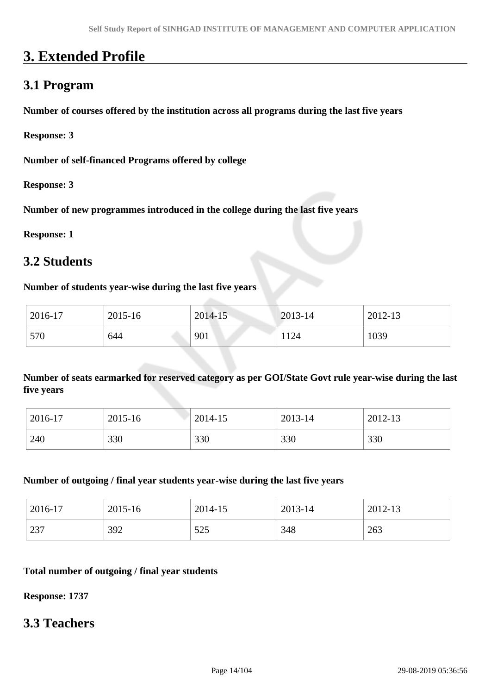# **3. Extended Profile**

# **3.1 Program**

**Number of courses offered by the institution across all programs during the last five years**

**Response: 3**

**Number of self-financed Programs offered by college**

**Response: 3**

**Number of new programmes introduced in the college during the last five years**

**Response: 1**

# **3.2 Students**

#### **Number of students year-wise during the last five years**

| 2016-17 | 2015-16 | 2014-15 | 2013-14 | 2012-13 |
|---------|---------|---------|---------|---------|
| 570     | 644     | 901     | 1124    | 1039    |

**Number of seats earmarked for reserved category as per GOI/State Govt rule year-wise during the last five years**

| 2016-17 | 2015-16 | 2014-15 | 2013-14 | 2012-13 |
|---------|---------|---------|---------|---------|
| 240     | 330     | 330     | 330     | 330     |

#### **Number of outgoing / final year students year-wise during the last five years**

| 2016-17 | 2015-16 | 2014-15 | 2013-14 | 2012-13 |
|---------|---------|---------|---------|---------|
| 237     | 392     | 525     | 348     | 263     |

#### **Total number of outgoing / final year students**

**Response: 1737**

## **3.3 Teachers**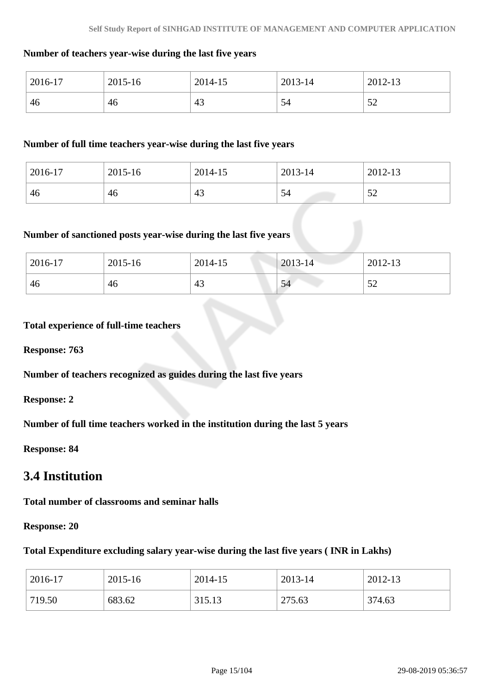#### **Number of teachers year-wise during the last five years**

| 2016-17 | 2015-16 | 2014-15 | 2013-14 | 2012-13 |
|---------|---------|---------|---------|---------|
| 46      | 46      | 43      | 54      | ے ر     |

#### **Number of full time teachers year-wise during the last five years**

| 2016-17 | 2015-16 | 2014-15 | 2013-14 | 2012-13          |
|---------|---------|---------|---------|------------------|
| 46      | 46      | 43      | 54      | $\epsilon$<br>ىر |

#### **Number of sanctioned posts year-wise during the last five years**

| 2016-17 | 2015-16 | 2014-15 | 2013-14 | 2012-13       |
|---------|---------|---------|---------|---------------|
| 46      | 46      | 43      | 54      | $\sim$<br>ے ر |

#### **Total experience of full-time teachers**

**Response: 763**

**Number of teachers recognized as guides during the last five years**

**Response: 2**

**Number of full time teachers worked in the institution during the last 5 years**

**Response: 84**

# **3.4 Institution**

**Total number of classrooms and seminar halls**

**Response: 20**

#### **Total Expenditure excluding salary year-wise during the last five years ( INR in Lakhs)**

| 2016-17 | 2015-16 | 2014-15 | 2013-14 | 2012-13 |
|---------|---------|---------|---------|---------|
| 719.50  | 683.62  | 315.13  | 275.63  | 374.63  |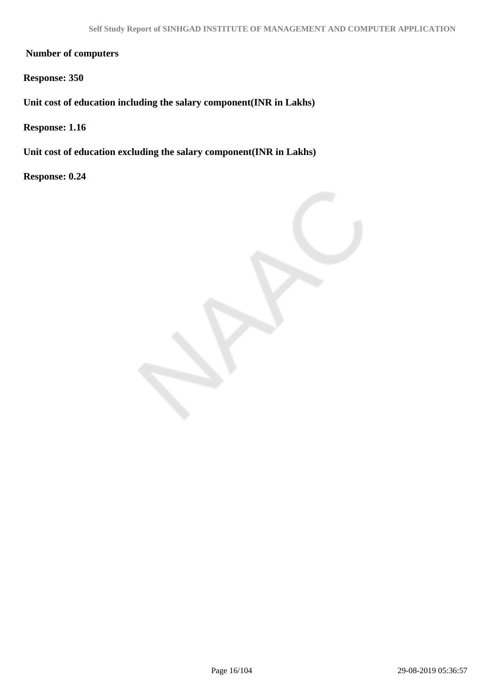**Number of computers**

**Response: 350**

**Unit cost of education including the salary component(INR in Lakhs)**

**Response: 1.16**

**Unit cost of education excluding the salary component(INR in Lakhs)**

**Response: 0.24**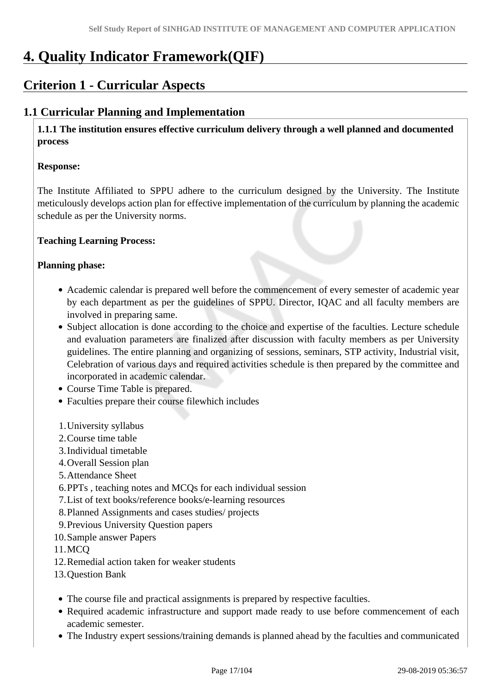# **4. Quality Indicator Framework(QIF)**

# **Criterion 1 - Curricular Aspects**

## **1.1 Curricular Planning and Implementation**

 **1.1.1 The institution ensures effective curriculum delivery through a well planned and documented process** 

#### **Response:**

The Institute Affiliated to SPPU adhere to the curriculum designed by the University. The Institute meticulously develops action plan for effective implementation of the curriculum by planning the academic schedule as per the University norms.

#### **Teaching Learning Process:**

#### **Planning phase:**

- Academic calendar is prepared well before the commencement of every semester of academic year by each department as per the guidelines of SPPU. Director, IQAC and all faculty members are involved in preparing same.
- Subject allocation is done according to the choice and expertise of the faculties. Lecture schedule and evaluation parameters are finalized after discussion with faculty members as per University guidelines. The entire planning and organizing of sessions, seminars, STP activity, Industrial visit, Celebration of various days and required activities schedule is then prepared by the committee and incorporated in academic calendar.
- Course Time Table is prepared.
- Faculties prepare their course filewhich includes
- 1.University syllabus
- 2.Course time table
- 3.Individual timetable
- 4.Overall Session plan
- 5.Attendance Sheet
- 6.PPTs , teaching notes and MCQs for each individual session
- 7.List of text books/reference books/e-learning resources
- 8.Planned Assignments and cases studies/ projects
- 9.Previous University Question papers
- 10.Sample answer Papers
- 11.MCQ
- 12.Remedial action taken for weaker students
- 13.Question Bank
- The course file and practical assignments is prepared by respective faculties.
- Required academic infrastructure and support made ready to use before commencement of each academic semester.
- The Industry expert sessions/training demands is planned ahead by the faculties and communicated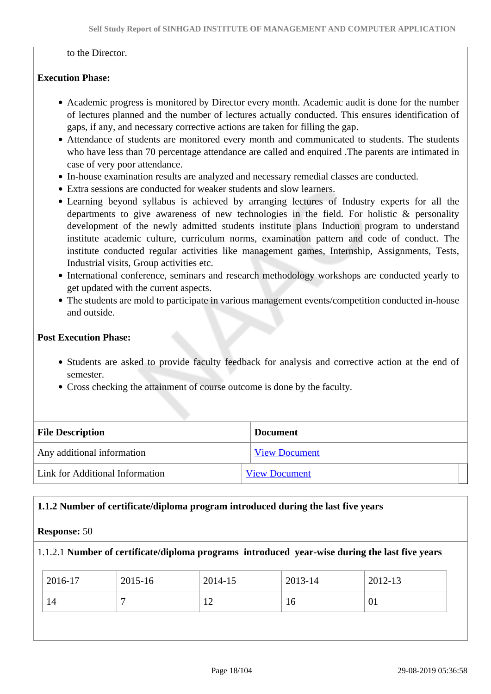to the Director.

#### **Execution Phase:**

- Academic progress is monitored by Director every month. Academic audit is done for the number of lectures planned and the number of lectures actually conducted. This ensures identification of gaps, if any, and necessary corrective actions are taken for filling the gap.
- Attendance of students are monitored every month and communicated to students. The students who have less than 70 percentage attendance are called and enquired .The parents are intimated in case of very poor attendance.
- In-house examination results are analyzed and necessary remedial classes are conducted.
- Extra sessions are conducted for weaker students and slow learners.
- Learning beyond syllabus is achieved by arranging lectures of Industry experts for all the departments to give awareness of new technologies in the field. For holistic & personality development of the newly admitted students institute plans Induction program to understand institute academic culture, curriculum norms, examination pattern and code of conduct. The institute conducted regular activities like management games, Internship, Assignments, Tests, Industrial visits, Group activities etc.
- International conference, seminars and research methodology workshops are conducted yearly to get updated with the current aspects.
- The students are mold to participate in various management events/competition conducted in-house and outside.

#### **Post Execution Phase:**

- Students are asked to provide faculty feedback for analysis and corrective action at the end of semester.
- Cross checking the attainment of course outcome is done by the faculty.

| <b>File Description</b>         | <b>Document</b>      |  |
|---------------------------------|----------------------|--|
| Any additional information      | <b>View Document</b> |  |
| Link for Additional Information | <b>View Document</b> |  |

#### **1.1.2 Number of certificate/diploma program introduced during the last five years**

#### **Response:** 50

#### 1.1.2.1 **Number of certificate/diploma programs introduced year-wise during the last five years**

| 2016-17 | 2015-16 | 2014-15       | 2013-14 | 2012-13 |
|---------|---------|---------------|---------|---------|
| 14      |         | $1 \cap$<br>∸ | 10      | 01      |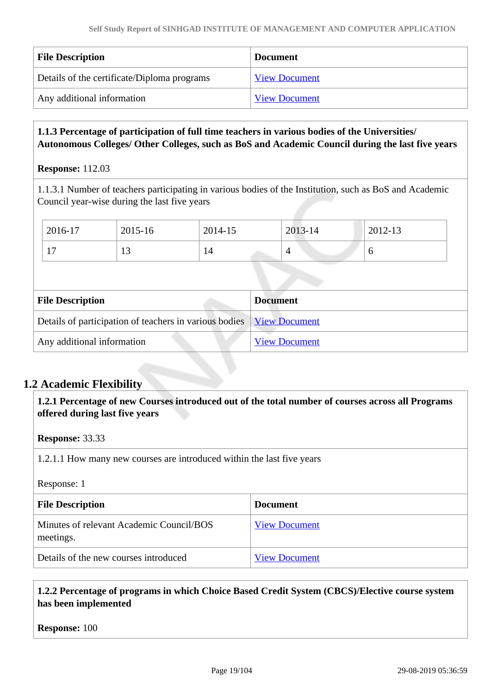| <b>File Description</b>                     | <b>Document</b>      |
|---------------------------------------------|----------------------|
| Details of the certificate/Diploma programs | <b>View Document</b> |
| Any additional information                  | <b>View Document</b> |

#### **1.1.3 Percentage of participation of full time teachers in various bodies of the Universities/ Autonomous Colleges/ Other Colleges, such as BoS and Academic Council during the last five years**

#### **Response:** 112.03

1.1.3.1 Number of teachers participating in various bodies of the Institution, such as BoS and Academic Council year-wise during the last five years

| 2016-17               | 2015-16 | 2014-15 | 2013-14    | 2012-13 |
|-----------------------|---------|---------|------------|---------|
| 1 <sub>7</sub><br>. . | ⊥ື      | 14      | $\sqrt{2}$ |         |

| <b>File Description</b>                                                | <b>Document</b>      |
|------------------------------------------------------------------------|----------------------|
| Details of participation of teachers in various bodies   View Document |                      |
| Any additional information                                             | <b>View Document</b> |

## **1.2 Academic Flexibility**

 **1.2.1 Percentage of new Courses introduced out of the total number of courses across all Programs offered during last five years**

#### **Response:** 33.33

1.2.1.1 How many new courses are introduced within the last five years

#### Response: 1

| <b>File Description</b>                               | <b>Document</b>      |
|-------------------------------------------------------|----------------------|
| Minutes of relevant Academic Council/BOS<br>meetings. | <b>View Document</b> |
| Details of the new courses introduced                 | <b>View Document</b> |

#### **1.2.2 Percentage of programs in which Choice Based Credit System (CBCS)/Elective course system has been implemented**

**Response:** 100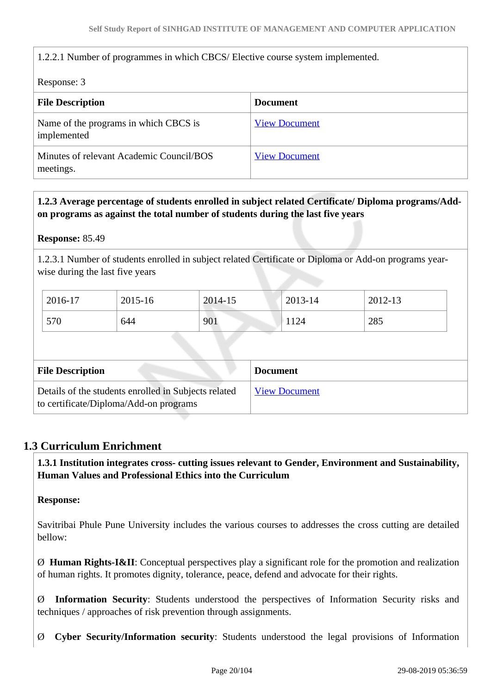#### 1.2.2.1 Number of programmes in which CBCS/ Elective course system implemented.

Response: 3

| <b>File Description</b>                               | <b>Document</b>      |
|-------------------------------------------------------|----------------------|
| Name of the programs in which CBCS is<br>implemented  | <b>View Document</b> |
| Minutes of relevant Academic Council/BOS<br>meetings. | <b>View Document</b> |

 **1.2.3 Average percentage of students enrolled in subject related Certificate/ Diploma programs/Addon programs as against the total number of students during the last five years**

**Response:** 85.49

1.2.3.1 Number of students enrolled in subject related Certificate or Diploma or Add-on programs yearwise during the last five years

| 2016-17 | 2015-16 | 2014-15 | 2013-14 | 2012-13 |
|---------|---------|---------|---------|---------|
| 570     | 644     | 901     | 1124    | 285     |

| <b>File Description</b>                                                                        | <b>Document</b>      |
|------------------------------------------------------------------------------------------------|----------------------|
| Details of the students enrolled in Subjects related<br>to certificate/Diploma/Add-on programs | <b>View Document</b> |

### **1.3 Curriculum Enrichment**

 **1.3.1 Institution integrates cross- cutting issues relevant to Gender, Environment and Sustainability, Human Values and Professional Ethics into the Curriculum**

**Response:** 

Savitribai Phule Pune University includes the various courses to addresses the cross cutting are detailed bellow:

Ø **Human Rights-I&II**: Conceptual perspectives play a significant role for the promotion and realization of human rights. It promotes dignity, tolerance, peace, defend and advocate for their rights.

Ø **Information Security**: Students understood the perspectives of Information Security risks and techniques / approaches of risk prevention through assignments.

Ø **Cyber Security/Information security**: Students understood the legal provisions of Information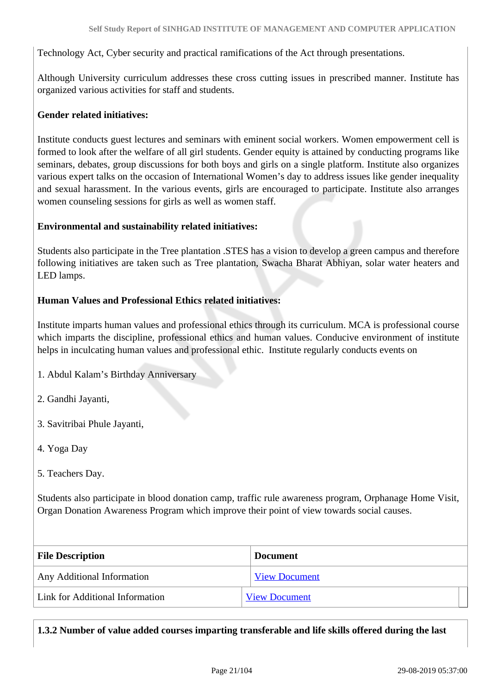Technology Act, Cyber security and practical ramifications of the Act through presentations.

Although University curriculum addresses these cross cutting issues in prescribed manner. Institute has organized various activities for staff and students.

#### **Gender related initiatives:**

Institute conducts guest lectures and seminars with eminent social workers. Women empowerment cell is formed to look after the welfare of all girl students. Gender equity is attained by conducting programs like seminars, debates, group discussions for both boys and girls on a single platform. Institute also organizes various expert talks on the occasion of International Women's day to address issues like gender inequality and sexual harassment. In the various events, girls are encouraged to participate. Institute also arranges women counseling sessions for girls as well as women staff.

#### **Environmental and sustainability related initiatives:**

Students also participate in the Tree plantation .STES has a vision to develop a green campus and therefore following initiatives are taken such as Tree plantation, Swacha Bharat Abhiyan, solar water heaters and LED lamps.

#### **Human Values and Professional Ethics related initiatives:**

Institute imparts human values and professional ethics through its curriculum. MCA is professional course which imparts the discipline, professional ethics and human values. Conducive environment of institute helps in inculcating human values and professional ethic. Institute regularly conducts events on

- 1. Abdul Kalam's Birthday Anniversary
- 2. Gandhi Jayanti,
- 3. Savitribai Phule Jayanti,
- 4. Yoga Day
- 5. Teachers Day.

Students also participate in blood donation camp, traffic rule awareness program, Orphanage Home Visit, Organ Donation Awareness Program which improve their point of view towards social causes.

| <b>File Description</b>         | <b>Document</b>      |  |
|---------------------------------|----------------------|--|
| Any Additional Information      | <b>View Document</b> |  |
| Link for Additional Information | <b>View Document</b> |  |

### **1.3.2 Number of value added courses imparting transferable and life skills offered during the last**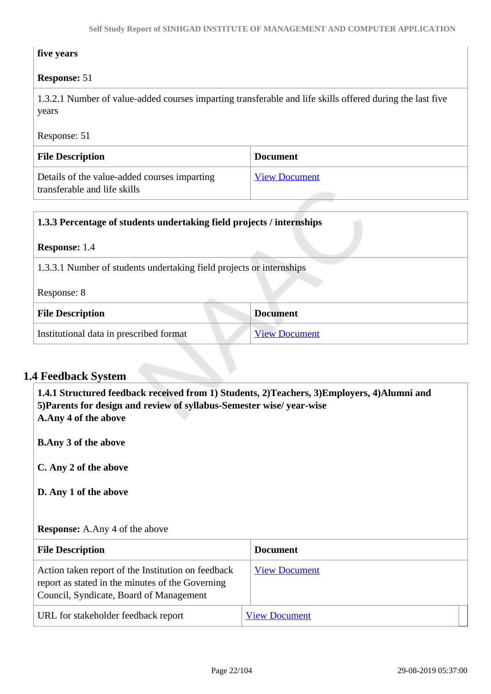#### **five years**

#### **Response:** 51

1.3.2.1 Number of value-added courses imparting transferable and life skills offered during the last five years

Response: 51

| <b>File Description</b>                                                      | <b>Document</b>      |
|------------------------------------------------------------------------------|----------------------|
| Details of the value-added courses imparting<br>transferable and life skills | <b>View Document</b> |

| 1.3.3 Percentage of students undertaking field projects / internships |  |  |
|-----------------------------------------------------------------------|--|--|
| <b>Response:</b> 1.4                                                  |  |  |
| 1.3.3.1 Number of students undertaking field projects or internships  |  |  |
| Response: 8                                                           |  |  |
| <b>File Description</b><br><b>Document</b>                            |  |  |
| Institutional data in prescribed format<br><b>View Document</b>       |  |  |

# **1.4 Feedback System**

 **1.4.1 Structured feedback received from 1) Students, 2)Teachers, 3)Employers, 4)Alumni and 5)Parents for design and review of syllabus-Semester wise/ year-wise A.Any 4 of the above**

**B.Any 3 of the above**

**C. Any 2 of the above**

**D. Any 1 of the above**

#### **Response:** A.Any 4 of the above

| <b>File Description</b>                                                                                                                           | <b>Document</b>      |
|---------------------------------------------------------------------------------------------------------------------------------------------------|----------------------|
| Action taken report of the Institution on feedback<br>report as stated in the minutes of the Governing<br>Council, Syndicate, Board of Management | <b>View Document</b> |
| URL for stakeholder feedback report                                                                                                               | <b>View Document</b> |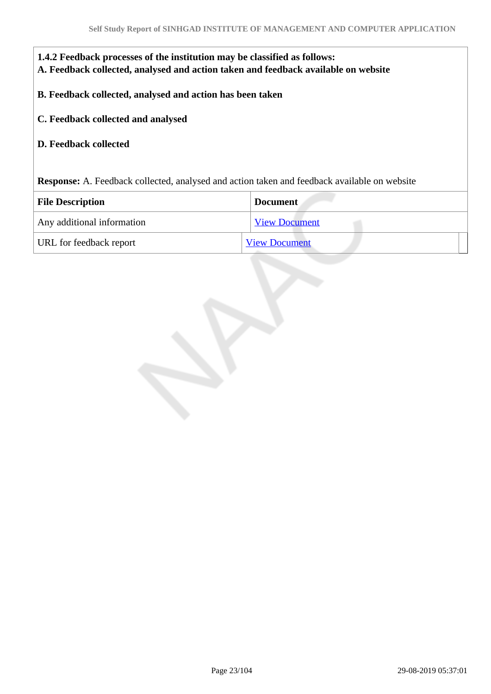| 1.4.2 Feedback processes of the institution may be classified as follows:<br>A. Feedback collected, analysed and action taken and feedback available on website |                                                                                                     |  |  |
|-----------------------------------------------------------------------------------------------------------------------------------------------------------------|-----------------------------------------------------------------------------------------------------|--|--|
|                                                                                                                                                                 | B. Feedback collected, analysed and action has been taken                                           |  |  |
| C. Feedback collected and analysed                                                                                                                              |                                                                                                     |  |  |
| <b>D.</b> Feedback collected                                                                                                                                    |                                                                                                     |  |  |
|                                                                                                                                                                 |                                                                                                     |  |  |
|                                                                                                                                                                 | <b>Response:</b> A. Feedback collected, analysed and action taken and feedback available on website |  |  |
| <b>File Description</b>                                                                                                                                         | <b>Document</b>                                                                                     |  |  |
| Any additional information                                                                                                                                      | <b>View Document</b>                                                                                |  |  |
| URL for feedback report                                                                                                                                         | <b>View Document</b>                                                                                |  |  |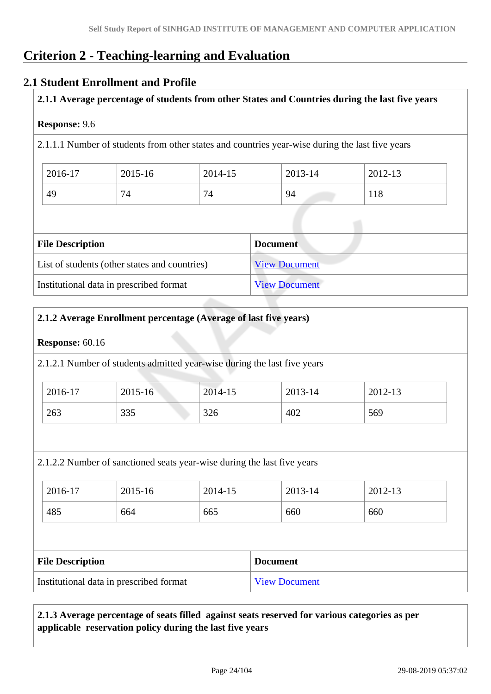# **Criterion 2 - Teaching-learning and Evaluation**

### **2.1 Student Enrollment and Profile**

#### **2.1.1 Average percentage of students from other States and Countries during the last five years**

#### **Response:** 9.6

2.1.1.1 Number of students from other states and countries year-wise during the last five years

| 2016-17 | 2015-16      | 2014-15 | 2013-14 | 2012-13 |
|---------|--------------|---------|---------|---------|
| 49      | $\mathbf{r}$ | 74      | 94      | 118     |

| <b>File Description</b>                       | <b>Document</b>      |
|-----------------------------------------------|----------------------|
| List of students (other states and countries) | <b>View Document</b> |
| Institutional data in prescribed format       | <b>View Document</b> |

#### **2.1.2 Average Enrollment percentage (Average of last five years)**

#### **Response:** 60.16

2.1.2.1 Number of students admitted year-wise during the last five years

| 2016-17 | $2015 - 16$ | 2014-15 | 2013-14 | 2012-13 |
|---------|-------------|---------|---------|---------|
| 263     | 335         | 326     | 402     | 569     |

2.1.2.2 Number of sanctioned seats year-wise during the last five years

| 2016-17 | 2015-16 | 2014-15 | 2013-14 | 2012-13 |
|---------|---------|---------|---------|---------|
| 485     | 664     | 665     | 660     | 660     |

| <b>File Description</b>                 | <b>Document</b>      |
|-----------------------------------------|----------------------|
| Institutional data in prescribed format | <b>View Document</b> |

### **2.1.3 Average percentage of seats filled against seats reserved for various categories as per applicable reservation policy during the last five years**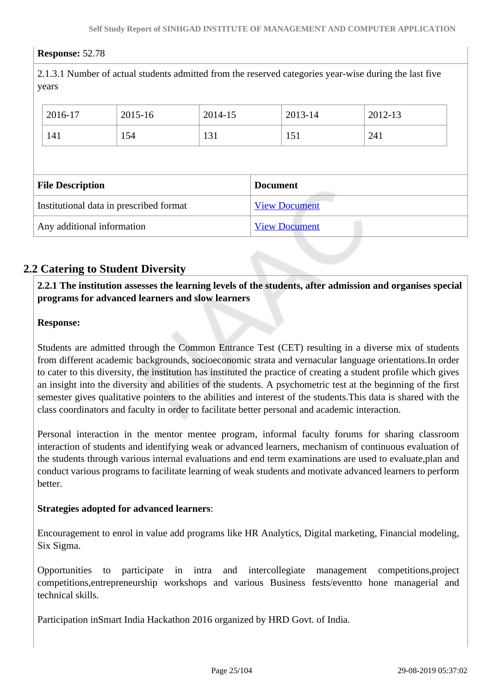#### **Response:** 52.78

2.1.3.1 Number of actual students admitted from the reserved categories year-wise during the last five years

| 2016-17                 | 2015-16                                 | 2014-15 |                 | 2013-14              | 2012-13 |  |
|-------------------------|-----------------------------------------|---------|-----------------|----------------------|---------|--|
| 141                     | 154                                     | 131     |                 | 151                  | 241     |  |
|                         |                                         |         |                 |                      |         |  |
|                         |                                         |         |                 |                      |         |  |
| <b>File Description</b> |                                         |         | <b>Document</b> |                      |         |  |
|                         | Institutional data in prescribed format |         |                 | <b>View Document</b> |         |  |

## **2.2 Catering to Student Diversity**

#### **2.2.1 The institution assesses the learning levels of the students, after admission and organises special programs for advanced learners and slow learners**

#### **Response:**

Students are admitted through the Common Entrance Test (CET) resulting in a diverse mix of students from different academic backgrounds, socioeconomic strata and vernacular language orientations.In order to cater to this diversity, the institution has instituted the practice of creating a student profile which gives an insight into the diversity and abilities of the students. A psychometric test at the beginning of the first semester gives qualitative pointers to the abilities and interest of the students.This data is shared with the class coordinators and faculty in order to facilitate better personal and academic interaction.

Personal interaction in the mentor mentee program, informal faculty forums for sharing classroom interaction of students and identifying weak or advanced learners, mechanism of continuous evaluation of the students through various internal evaluations and end term examinations are used to evaluate,plan and conduct various programs to facilitate learning of weak students and motivate advanced learners to perform better.

#### **Strategies adopted for advanced learners**:

Encouragement to enrol in value add programs like HR Analytics, Digital marketing, Financial modeling, Six Sigma.

Opportunities to participate in intra and intercollegiate management competitions,project competitions,entrepreneurship workshops and various Business fests/eventto hone managerial and technical skills.

Participation inSmart India Hackathon 2016 organized by HRD Govt. of India.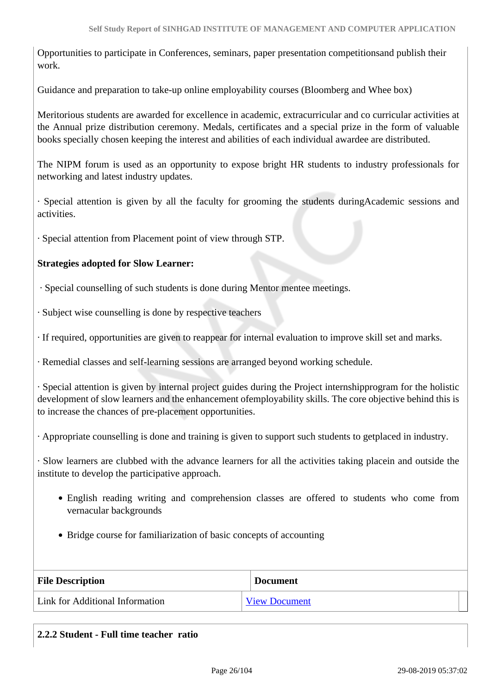Opportunities to participate in Conferences, seminars, paper presentation competitionsand publish their work.

Guidance and preparation to take-up online employability courses (Bloomberg and Whee box)

Meritorious students are awarded for excellence in academic, extracurricular and co curricular activities at the Annual prize distribution ceremony. Medals, certificates and a special prize in the form of valuable books specially chosen keeping the interest and abilities of each individual awardee are distributed.

The NIPM forum is used as an opportunity to expose bright HR students to industry professionals for networking and latest industry updates.

· Special attention is given by all the faculty for grooming the students duringAcademic sessions and activities.

· Special attention from Placement point of view through STP.

#### **Strategies adopted for Slow Learner:**

· Special counselling of such students is done during Mentor mentee meetings.

· Subject wise counselling is done by respective teachers

· If required, opportunities are given to reappear for internal evaluation to improve skill set and marks.

· Remedial classes and self-learning sessions are arranged beyond working schedule.

· Special attention is given by internal project guides during the Project internshipprogram for the holistic development of slow learners and the enhancement ofemployability skills. The core objective behind this is to increase the chances of pre-placement opportunities.

· Appropriate counselling is done and training is given to support such students to getplaced in industry.

· Slow learners are clubbed with the advance learners for all the activities taking placein and outside the institute to develop the participative approach.

- English reading writing and comprehension classes are offered to students who come from vernacular backgrounds
- Bridge course for familiarization of basic concepts of accounting

| <b>File Description</b>         | <b>Document</b>      |
|---------------------------------|----------------------|
| Link for Additional Information | <b>View Document</b> |

| 2.2.2 Student - Full time teacher ratio |  |
|-----------------------------------------|--|
|                                         |  |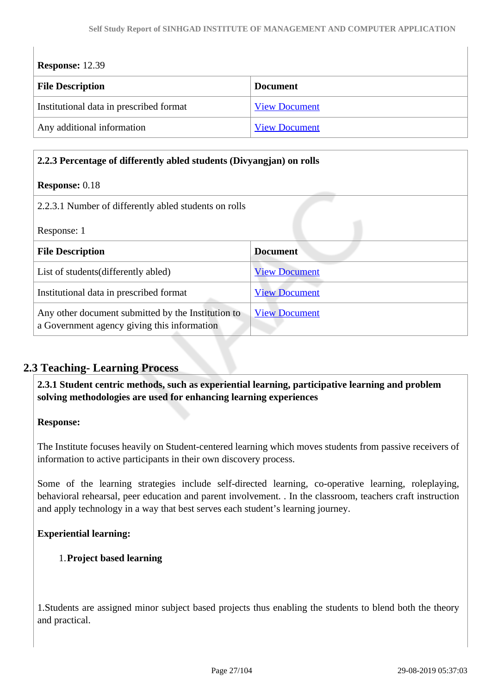| <b>Response:</b> 12.39                  |                      |  |  |
|-----------------------------------------|----------------------|--|--|
| <b>File Description</b>                 | <b>Document</b>      |  |  |
| Institutional data in prescribed format | <b>View Document</b> |  |  |
| Any additional information              | <b>View Document</b> |  |  |

#### **2.2.3 Percentage of differently abled students (Divyangjan) on rolls**

#### **Response:** 0.18

| 2.2.3.1 Number of differently abled students on rolls                                             |                      |
|---------------------------------------------------------------------------------------------------|----------------------|
| Response: 1                                                                                       |                      |
| <b>File Description</b>                                                                           | <b>Document</b>      |
| List of students (differently abled)                                                              | <b>View Document</b> |
| Institutional data in prescribed format                                                           | <b>View Document</b> |
| Any other document submitted by the Institution to<br>a Government agency giving this information | <b>View Document</b> |

## **2.3 Teaching- Learning Process**

 **2.3.1 Student centric methods, such as experiential learning, participative learning and problem solving methodologies are used for enhancing learning experiences**

#### **Response:**

The Institute focuses heavily on Student-centered learning which moves students from passive receivers of information to active participants in their own discovery process.

Some of the learning strategies include self-directed learning, co-operative learning, roleplaying, behavioral rehearsal, peer education and parent involvement. . In the classroom, teachers craft instruction and apply technology in a way that best serves each student's learning journey.

#### **Experiential learning:**

#### 1.**Project based learning**

1.Students are assigned minor subject based projects thus enabling the students to blend both the theory and practical.

 $\overline{\phantom{a}}$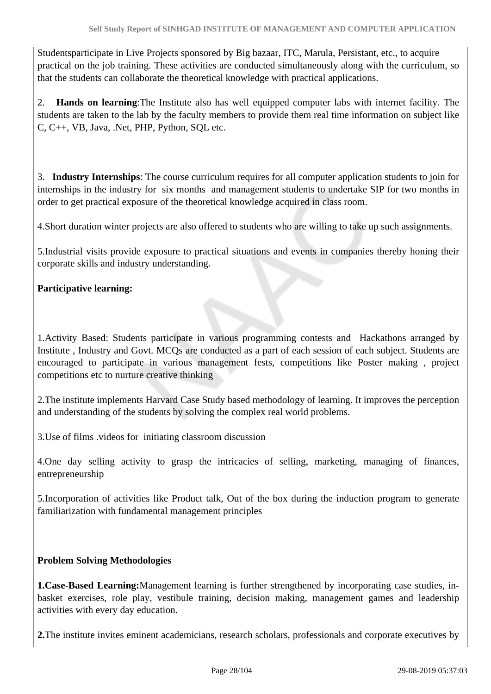Studentsparticipate in Live Projects sponsored by Big bazaar, ITC, Marula, Persistant, etc., to acquire practical on the job training. These activities are conducted simultaneously along with the curriculum, so that the students can collaborate the theoretical knowledge with practical applications.

2. **Hands on learning**:The Institute also has well equipped computer labs with internet facility. The students are taken to the lab by the faculty members to provide them real time information on subject like C, C++, VB, Java, .Net, PHP, Python, SQL etc.

3. **Industry Internships**: The course curriculum requires for all computer application students to join for internships in the industry for six months and management students to undertake SIP for two months in order to get practical exposure of the theoretical knowledge acquired in class room.

4.Short duration winter projects are also offered to students who are willing to take up such assignments.

5.Industrial visits provide exposure to practical situations and events in companies thereby honing their corporate skills and industry understanding.

### **Participative learning:**

1.Activity Based: Students participate in various programming contests and Hackathons arranged by Institute , Industry and Govt. MCQs are conducted as a part of each session of each subject. Students are encouraged to participate in various management fests, competitions like Poster making , project competitions etc to nurture creative thinking

2.The institute implements Harvard Case Study based methodology of learning. It improves the perception and understanding of the students by solving the complex real world problems.

3.Use of films .videos for initiating classroom discussion

4.One day selling activity to grasp the intricacies of selling, marketing, managing of finances, entrepreneurship

5.Incorporation of activities like Product talk, Out of the box during the induction program to generate familiarization with fundamental management principles

#### **Problem Solving Methodologies**

**1.Case-Based Learning:**Management learning is further strengthened by incorporating case studies, inbasket exercises, role play, vestibule training, decision making, management games and leadership activities with every day education.

**2.**The institute invites eminent academicians, research scholars, professionals and corporate executives by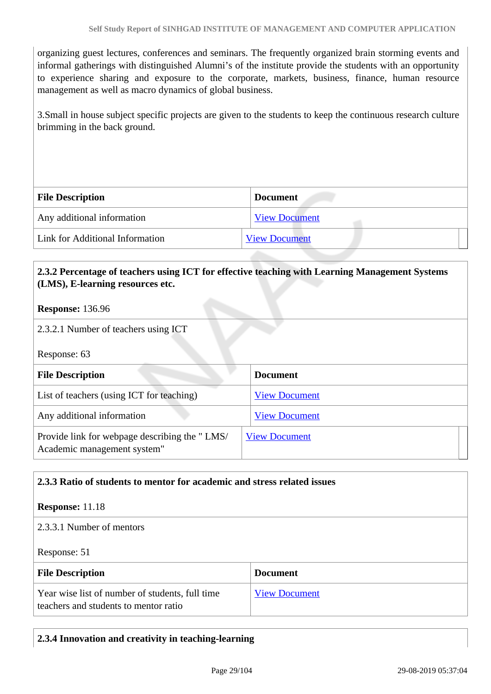organizing guest lectures, conferences and seminars. The frequently organized brain storming events and informal gatherings with distinguished Alumni's of the institute provide the students with an opportunity to experience sharing and exposure to the corporate, markets, business, finance, human resource management as well as macro dynamics of global business.

3.Small in house subject specific projects are given to the students to keep the continuous research culture brimming in the back ground.

| <b>File Description</b>         | <b>Document</b>      |
|---------------------------------|----------------------|
| Any additional information      | <b>View Document</b> |
| Link for Additional Information | <b>View Document</b> |

#### **2.3.2 Percentage of teachers using ICT for effective teaching with Learning Management Systems (LMS), E-learning resources etc.**

#### **Response:** 136.96

2.3.2.1 Number of teachers using ICT

Response: 63

| <b>File Description</b>                                                      | <b>Document</b>      |
|------------------------------------------------------------------------------|----------------------|
| List of teachers (using ICT for teaching)                                    | <b>View Document</b> |
| Any additional information                                                   | <b>View Document</b> |
| Provide link for webpage describing the "LMS/<br>Academic management system" | <b>View Document</b> |

#### **2.3.3 Ratio of students to mentor for academic and stress related issues**

#### **Response:** 11.18

#### 2.3.3.1 Number of mentors

Response: 51

| <b>File Description</b>                                                                  | <b>Document</b>      |
|------------------------------------------------------------------------------------------|----------------------|
| Year wise list of number of students, full time<br>teachers and students to mentor ratio | <b>View Document</b> |

#### **2.3.4 Innovation and creativity in teaching-learning**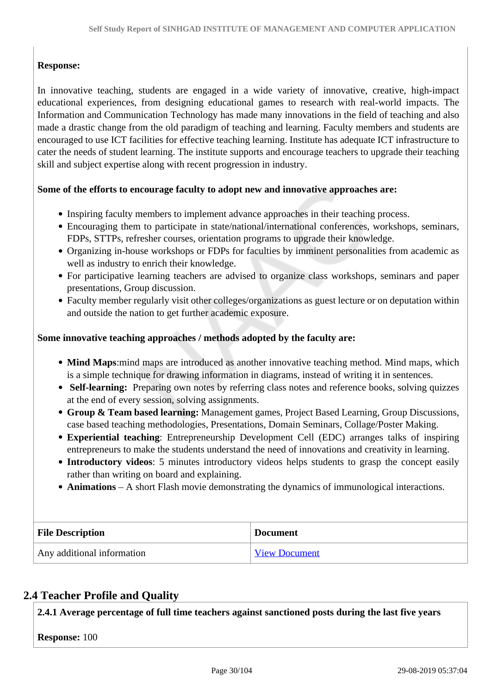### **Response:**

In innovative teaching, students are engaged in a wide variety of innovative, creative, high-impact educational experiences, from designing educational games to research with real-world impacts. The Information and Communication Technology has made many innovations in the field of teaching and also made a drastic change from the old paradigm of teaching and learning. Faculty members and students are encouraged to use ICT facilities for effective teaching learning. Institute has adequate ICT infrastructure to cater the needs of student learning. The institute supports and encourage teachers to upgrade their teaching skill and subject expertise along with recent progression in industry.

#### **Some of the efforts to encourage faculty to adopt new and innovative approaches are:**

- Inspiring faculty members to implement advance approaches in their teaching process.
- Encouraging them to participate in state/national/international conferences, workshops, seminars, FDPs, STTPs, refresher courses, orientation programs to upgrade their knowledge.
- Organizing in-house workshops or FDPs for faculties by imminent personalities from academic as well as industry to enrich their knowledge.
- For participative learning teachers are advised to organize class workshops, seminars and paper presentations, Group discussion.
- Faculty member regularly visit other colleges/organizations as guest lecture or on deputation within and outside the nation to get further academic exposure.

#### **Some innovative teaching approaches / methods adopted by the faculty are:**

- **Mind Maps**:mind maps are introduced as another innovative teaching method. Mind maps, which is a simple technique for drawing information in diagrams, instead of writing it in sentences.
- Self-learning: Preparing own notes by referring class notes and reference books, solving quizzes at the end of every session, solving assignments.
- **Group & Team based learning:** Management games, Project Based Learning, Group Discussions, case based teaching methodologies, Presentations, Domain Seminars, Collage/Poster Making.
- **Experiential teaching**: Entrepreneurship Development Cell (EDC) arranges talks of inspiring entrepreneurs to make the students understand the need of innovations and creativity in learning.
- **Introductory videos**: 5 minutes introductory videos helps students to grasp the concept easily rather than writing on board and explaining.
- **Animations** A short Flash movie demonstrating the dynamics of immunological interactions.

| <b>File Description</b>    | <b>Document</b>      |
|----------------------------|----------------------|
| Any additional information | <b>View Document</b> |

## **2.4 Teacher Profile and Quality**

**2.4.1 Average percentage of full time teachers against sanctioned posts during the last five years**

**Response:** 100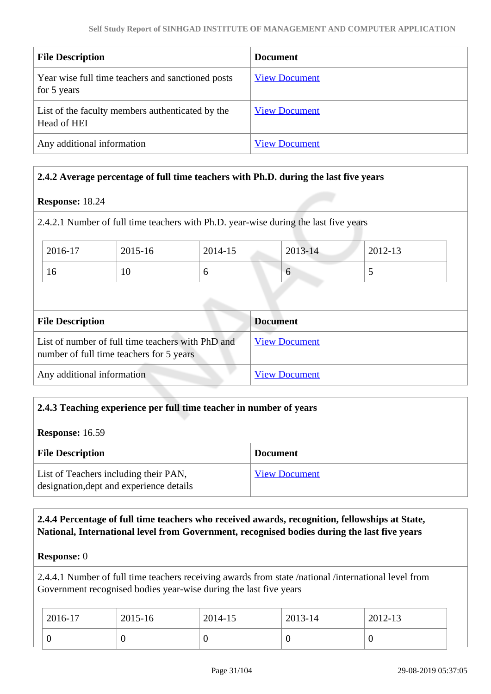| <b>File Description</b>                                          | <b>Document</b>      |
|------------------------------------------------------------------|----------------------|
| Year wise full time teachers and sanctioned posts<br>for 5 years | <b>View Document</b> |
| List of the faculty members authenticated by the<br>Head of HEI  | <b>View Document</b> |
| Any additional information                                       | <b>View Document</b> |

#### **2.4.2 Average percentage of full time teachers with Ph.D. during the last five years**

#### **Response:** 18.24

2.4.2.1 Number of full time teachers with Ph.D. year-wise during the last five years

| 2016-17 | 2015-16 | 2014-15 | $2013 - 14$ | 2012-13 |
|---------|---------|---------|-------------|---------|
| 10      | 10      |         | v           |         |

| <b>File Description</b>                                                                       | <b>Document</b>      |
|-----------------------------------------------------------------------------------------------|----------------------|
| List of number of full time teachers with PhD and<br>number of full time teachers for 5 years | <b>View Document</b> |
| Any additional information                                                                    | <b>View Document</b> |

#### **2.4.3 Teaching experience per full time teacher in number of years**

#### **Response:** 16.59

| <b>File Description</b>                                                           | <b>Document</b>      |
|-----------------------------------------------------------------------------------|----------------------|
| List of Teachers including their PAN,<br>designation, dept and experience details | <b>View Document</b> |

#### **2.4.4 Percentage of full time teachers who received awards, recognition, fellowships at State, National, International level from Government, recognised bodies during the last five years**

#### **Response:** 0

2.4.4.1 Number of full time teachers receiving awards from state /national /international level from Government recognised bodies year-wise during the last five years

| $2016 - 17$ | 2015-16 | 2014-15 | 2013-14 | 2012-13 |
|-------------|---------|---------|---------|---------|
|             | ◡       | ິ       |         | υ       |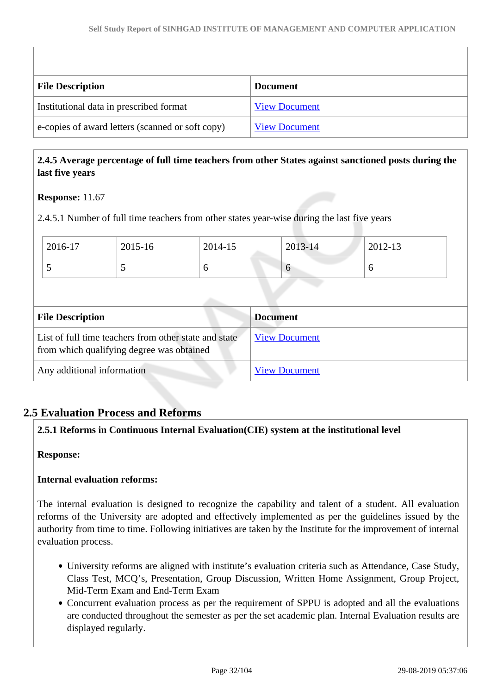| <b>File Description</b>                          | <b>Document</b>      |
|--------------------------------------------------|----------------------|
| Institutional data in prescribed format          | <b>View Document</b> |
| e-copies of award letters (scanned or soft copy) | <b>View Document</b> |

#### **2.4.5 Average percentage of full time teachers from other States against sanctioned posts during the last five years**

#### **Response:** 11.67

2.4.5.1 Number of full time teachers from other states year-wise during the last five years

| 2016-17 | 2015-16 | 2014-15 | 2013-14  | 2012-13 |
|---------|---------|---------|----------|---------|
|         |         |         | $\sigma$ |         |

| <b>File Description</b>                                                                            | <b>Document</b>      |
|----------------------------------------------------------------------------------------------------|----------------------|
| List of full time teachers from other state and state<br>from which qualifying degree was obtained | <b>View Document</b> |
| Any additional information                                                                         | <b>View Document</b> |

## **2.5 Evaluation Process and Reforms**

### **2.5.1 Reforms in Continuous Internal Evaluation(CIE) system at the institutional level**

#### **Response:**

#### **Internal evaluation reforms:**

The internal evaluation is designed to recognize the capability and talent of a student. All evaluation reforms of the University are adopted and effectively implemented as per the guidelines issued by the authority from time to time. Following initiatives are taken by the Institute for the improvement of internal evaluation process.

- University reforms are aligned with institute's evaluation criteria such as Attendance, Case Study, Class Test, MCQ's, Presentation, Group Discussion, Written Home Assignment, Group Project, Mid-Term Exam and End-Term Exam
- Concurrent evaluation process as per the requirement of SPPU is adopted and all the evaluations are conducted throughout the semester as per the set academic plan. Internal Evaluation results are displayed regularly.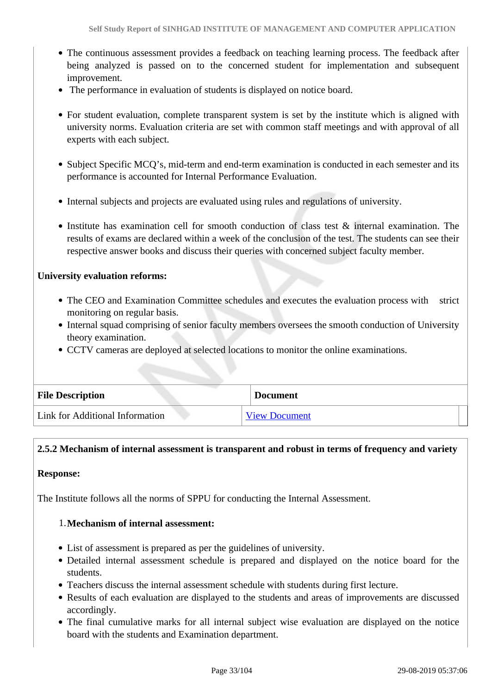- The continuous assessment provides a feedback on teaching learning process. The feedback after being analyzed is passed on to the concerned student for implementation and subsequent improvement.
- The performance in evaluation of students is displayed on notice board.
- For student evaluation, complete transparent system is set by the institute which is aligned with university norms. Evaluation criteria are set with common staff meetings and with approval of all experts with each subject.
- Subject Specific MCQ's, mid-term and end-term examination is conducted in each semester and its performance is accounted for Internal Performance Evaluation.
- Internal subjects and projects are evaluated using rules and regulations of university.
- Institute has examination cell for smooth conduction of class test & internal examination. The results of exams are declared within a week of the conclusion of the test. The students can see their respective answer books and discuss their queries with concerned subject faculty member.

#### **University evaluation reforms:**

- The CEO and Examination Committee schedules and executes the evaluation process with strict monitoring on regular basis.
- Internal squad comprising of senior faculty members oversees the smooth conduction of University theory examination.
- CCTV cameras are deployed at selected locations to monitor the online examinations.

| <b>File Description</b>         | <b>Document</b>      |
|---------------------------------|----------------------|
| Link for Additional Information | <b>View Document</b> |

## **2.5.2 Mechanism of internal assessment is transparent and robust in terms of frequency and variety**

#### **Response:**

The Institute follows all the norms of SPPU for conducting the Internal Assessment.

#### 1.**Mechanism of internal assessment:**

- List of assessment is prepared as per the guidelines of university.
- Detailed internal assessment schedule is prepared and displayed on the notice board for the students.
- Teachers discuss the internal assessment schedule with students during first lecture.
- Results of each evaluation are displayed to the students and areas of improvements are discussed accordingly.
- The final cumulative marks for all internal subject wise evaluation are displayed on the notice board with the students and Examination department.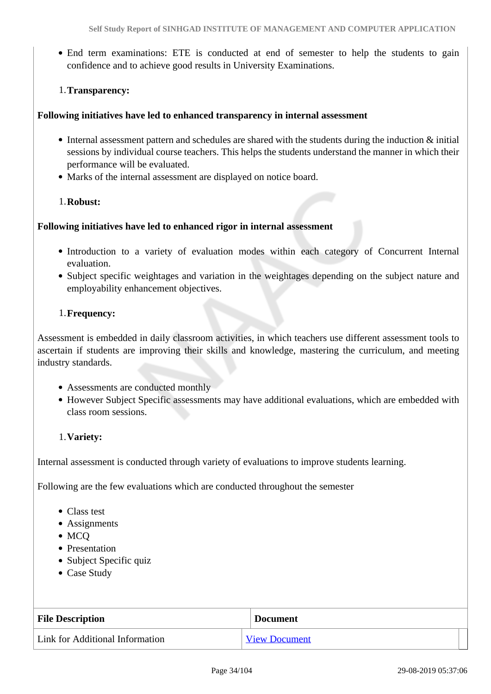End term examinations: ETE is conducted at end of semester to help the students to gain confidence and to achieve good results in University Examinations.

#### 1.**Transparency:**

#### **Following initiatives have led to enhanced transparency in internal assessment**

- Internal assessment pattern and schedules are shared with the students during the induction & initial sessions by individual course teachers. This helps the students understand the manner in which their performance will be evaluated.
- Marks of the internal assessment are displayed on notice board.

#### 1.**Robust:**

#### **Following initiatives have led to enhanced rigor in internal assessment**

- Introduction to a variety of evaluation modes within each category of Concurrent Internal evaluation.
- Subject specific weightages and variation in the weightages depending on the subject nature and employability enhancement objectives.

#### 1.**Frequency:**

Assessment is embedded in daily classroom activities, in which teachers use different assessment tools to ascertain if students are improving their skills and knowledge, mastering the curriculum, and meeting industry standards.

- Assessments are conducted monthly
- However Subject Specific assessments may have additional evaluations, which are embedded with class room sessions.

#### 1.**Variety:**

Internal assessment is conducted through variety of evaluations to improve students learning.

Following are the few evaluations which are conducted throughout the semester

- Class test
- Assignments
- MCQ
- Presentation
- Subject Specific quiz
- Case Study

| <b>File Description</b>         | <b>Document</b>      |
|---------------------------------|----------------------|
| Link for Additional Information | <b>View Document</b> |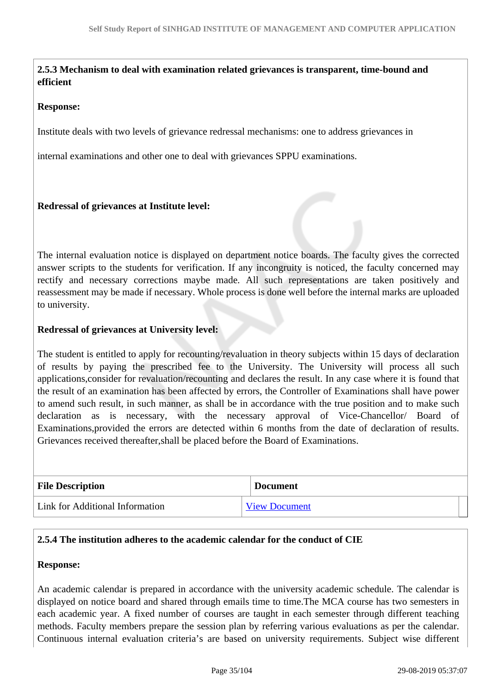#### **2.5.3 Mechanism to deal with examination related grievances is transparent, time-bound and efficient**

#### **Response:**

Institute deals with two levels of grievance redressal mechanisms: one to address grievances in

internal examinations and other one to deal with grievances SPPU examinations.

#### **Redressal of grievances at Institute level:**

The internal evaluation notice is displayed on department notice boards. The faculty gives the corrected answer scripts to the students for verification. If any incongruity is noticed, the faculty concerned may rectify and necessary corrections maybe made. All such representations are taken positively and reassessment may be made if necessary. Whole process is done well before the internal marks are uploaded to university.

#### **Redressal of grievances at University level:**

The student is entitled to apply for recounting/revaluation in theory subjects within 15 days of declaration of results by paying the prescribed fee to the University. The University will process all such applications,consider for revaluation/recounting and declares the result. In any case where it is found that the result of an examination has been affected by errors, the Controller of Examinations shall have power to amend such result, in such manner, as shall be in accordance with the true position and to make such declaration as is necessary, with the necessary approval of Vice-Chancellor/ Board of Examinations,provided the errors are detected within 6 months from the date of declaration of results. Grievances received thereafter,shall be placed before the Board of Examinations.

| <b>File Description</b>         | <b>Document</b>      |
|---------------------------------|----------------------|
| Link for Additional Information | <b>View Document</b> |

#### **2.5.4 The institution adheres to the academic calendar for the conduct of CIE**

#### **Response:**

An academic calendar is prepared in accordance with the university academic schedule. The calendar is displayed on notice board and shared through emails time to time.The MCA course has two semesters in each academic year. A fixed number of courses are taught in each semester through different teaching methods. Faculty members prepare the session plan by referring various evaluations as per the calendar. Continuous internal evaluation criteria's are based on university requirements. Subject wise different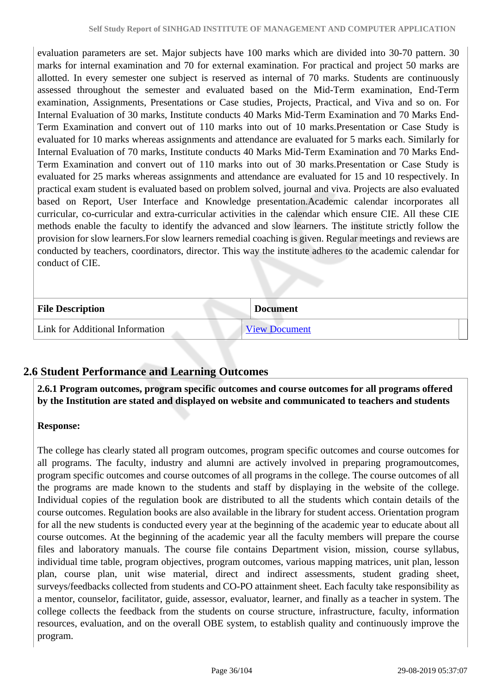evaluation parameters are set. Major subjects have 100 marks which are divided into 30-70 pattern. 30 marks for internal examination and 70 for external examination. For practical and project 50 marks are allotted. In every semester one subject is reserved as internal of 70 marks. Students are continuously assessed throughout the semester and evaluated based on the Mid-Term examination, End-Term examination, Assignments, Presentations or Case studies, Projects, Practical, and Viva and so on. For Internal Evaluation of 30 marks, Institute conducts 40 Marks Mid-Term Examination and 70 Marks End-Term Examination and convert out of 110 marks into out of 10 marks.Presentation or Case Study is evaluated for 10 marks whereas assignments and attendance are evaluated for 5 marks each. Similarly for Internal Evaluation of 70 marks, Institute conducts 40 Marks Mid-Term Examination and 70 Marks End-Term Examination and convert out of 110 marks into out of 30 marks.Presentation or Case Study is evaluated for 25 marks whereas assignments and attendance are evaluated for 15 and 10 respectively. In practical exam student is evaluated based on problem solved, journal and viva. Projects are also evaluated based on Report, User Interface and Knowledge presentation.Academic calendar incorporates all curricular, co-curricular and extra-curricular activities in the calendar which ensure CIE. All these CIE methods enable the faculty to identify the advanced and slow learners. The institute strictly follow the provision for slow learners.For slow learners remedial coaching is given. Regular meetings and reviews are conducted by teachers, coordinators, director. This way the institute adheres to the academic calendar for conduct of CIE.

| <b>File Description</b>         | <b>Document</b>      |
|---------------------------------|----------------------|
| Link for Additional Information | <b>View Document</b> |

## **2.6 Student Performance and Learning Outcomes**

 **2.6.1 Program outcomes, program specific outcomes and course outcomes for all programs offered by the Institution are stated and displayed on website and communicated to teachers and students**

### **Response:**

The college has clearly stated all program outcomes, program specific outcomes and course outcomes for all programs. The faculty, industry and alumni are actively involved in preparing programoutcomes, program specific outcomes and course outcomes of all programs in the college. The course outcomes of all the programs are made known to the students and staff by displaying in the website of the college. Individual copies of the regulation book are distributed to all the students which contain details of the course outcomes. Regulation books are also available in the library for student access. Orientation program for all the new students is conducted every year at the beginning of the academic year to educate about all course outcomes. At the beginning of the academic year all the faculty members will prepare the course files and laboratory manuals. The course file contains Department vision, mission, course syllabus, individual time table, program objectives, program outcomes, various mapping matrices, unit plan, lesson plan, course plan, unit wise material, direct and indirect assessments, student grading sheet, surveys/feedbacks collected from students and CO-PO attainment sheet. Each faculty take responsibility as a mentor, counselor, facilitator, guide, assessor, evaluator, learner, and finally as a teacher in system. The college collects the feedback from the students on course structure, infrastructure, faculty, information resources, evaluation, and on the overall OBE system, to establish quality and continuously improve the program.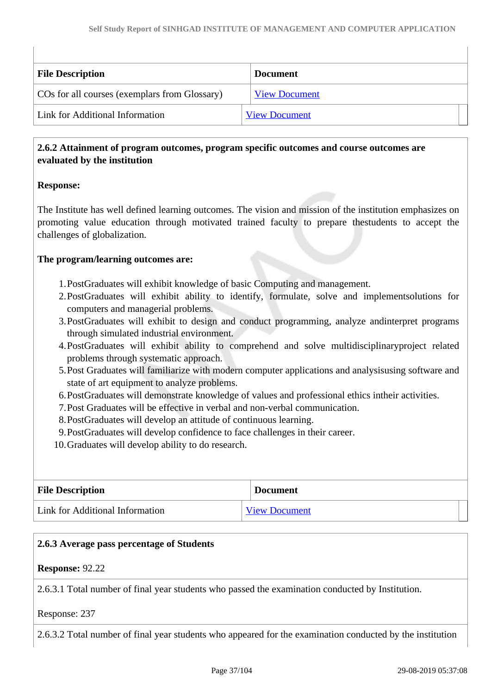| <b>File Description</b>                       | <b>Document</b>      |
|-----------------------------------------------|----------------------|
| COs for all courses (exemplars from Glossary) | <b>View Document</b> |
| Link for Additional Information               | <b>View Document</b> |

### **2.6.2 Attainment of program outcomes, program specific outcomes and course outcomes are evaluated by the institution**

## **Response:**

The Institute has well defined learning outcomes. The vision and mission of the institution emphasizes on promoting value education through motivated trained faculty to prepare thestudents to accept the challenges of globalization.

#### **The program/learning outcomes are:**

- 1.PostGraduates will exhibit knowledge of basic Computing and management.
- 2.PostGraduates will exhibit ability to identify, formulate, solve and implementsolutions for computers and managerial problems.
- 3.PostGraduates will exhibit to design and conduct programming, analyze andinterpret programs through simulated industrial environment.
- 4.PostGraduates will exhibit ability to comprehend and solve multidisciplinaryproject related problems through systematic approach.
- 5.Post Graduates will familiarize with modern computer applications and analysisusing software and state of art equipment to analyze problems.
- 6.PostGraduates will demonstrate knowledge of values and professional ethics intheir activities.
- 7.Post Graduates will be effective in verbal and non-verbal communication.
- 8.PostGraduates will develop an attitude of continuous learning.
- 9.PostGraduates will develop confidence to face challenges in their career.
- 10.Graduates will develop ability to do research.

| <b>File Description</b>         | <b>Document</b>      |  |
|---------------------------------|----------------------|--|
| Link for Additional Information | <b>View Document</b> |  |

#### **2.6.3 Average pass percentage of Students**

#### **Response:** 92.22

2.6.3.1 Total number of final year students who passed the examination conducted by Institution.

Response: 237

2.6.3.2 Total number of final year students who appeared for the examination conducted by the institution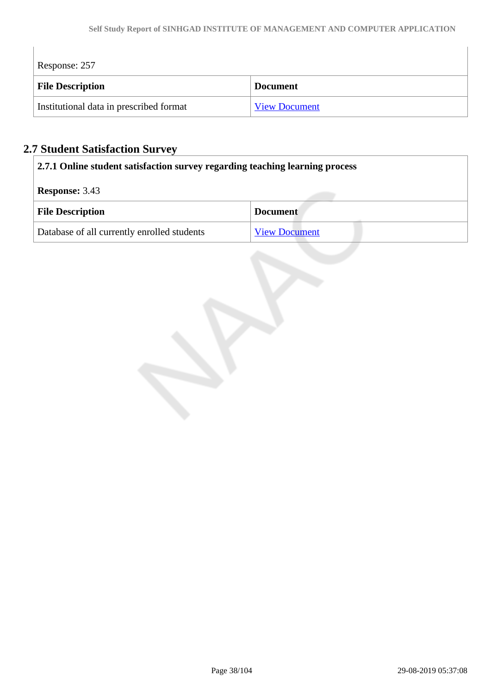| Response: 257                           |                      |
|-----------------------------------------|----------------------|
| <b>File Description</b>                 | <b>Document</b>      |
| Institutional data in prescribed format | <b>View Document</b> |

# **2.7 Student Satisfaction Survey**

 $\begin{array}{c} \hline \end{array}$ 

| 2.7.1 Online student satisfaction survey regarding teaching learning process |  |  |
|------------------------------------------------------------------------------|--|--|
| <b>Response:</b> 3.43                                                        |  |  |
| <b>File Description</b><br><b>Document</b>                                   |  |  |
| Database of all currently enrolled students<br><b>View Document</b>          |  |  |

 $\overline{\phantom{a}}$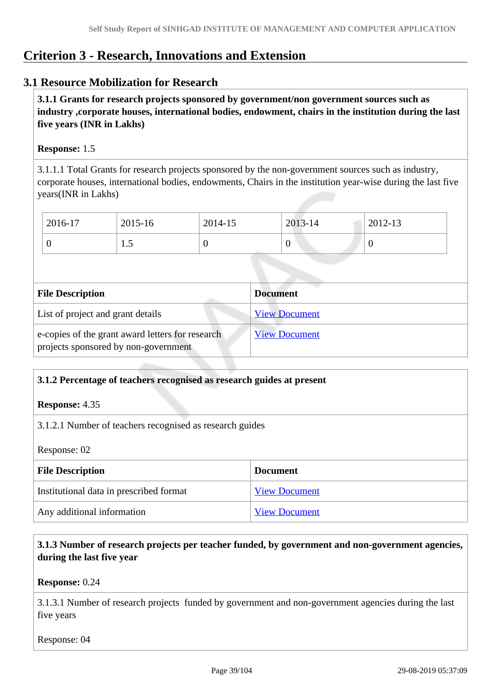# **Criterion 3 - Research, Innovations and Extension**

## **3.1 Resource Mobilization for Research**

 **3.1.1 Grants for research projects sponsored by government/non government sources such as industry ,corporate houses, international bodies, endowment, chairs in the institution during the last five years (INR in Lakhs)** 

#### **Response:** 1.5

3.1.1.1 Total Grants for research projects sponsored by the non-government sources such as industry, corporate houses, international bodies, endowments, Chairs in the institution year-wise during the last five years(INR in Lakhs)

| 2016-17 | 2015-16       | 2014-15 | 2013-14 | 2012-13 |
|---------|---------------|---------|---------|---------|
|         | $\cdot \cdot$ |         |         | 0       |

| <b>File Description</b>                                                                  | <b>Document</b>      |
|------------------------------------------------------------------------------------------|----------------------|
| List of project and grant details                                                        | <b>View Document</b> |
| e-copies of the grant award letters for research<br>projects sponsored by non-government | <b>View Document</b> |

#### **3.1.2 Percentage of teachers recognised as research guides at present**

#### **Response:** 4.35

3.1.2.1 Number of teachers recognised as research guides

Response: 02

| <b>File Description</b>                 | <b>Document</b>      |
|-----------------------------------------|----------------------|
|                                         |                      |
| Institutional data in prescribed format | <b>View Document</b> |
| Any additional information              | <b>View Document</b> |

## **3.1.3 Number of research projects per teacher funded, by government and non-government agencies, during the last five year**

#### **Response:** 0.24

3.1.3.1 Number of research projects funded by government and non-government agencies during the last five years

Response: 04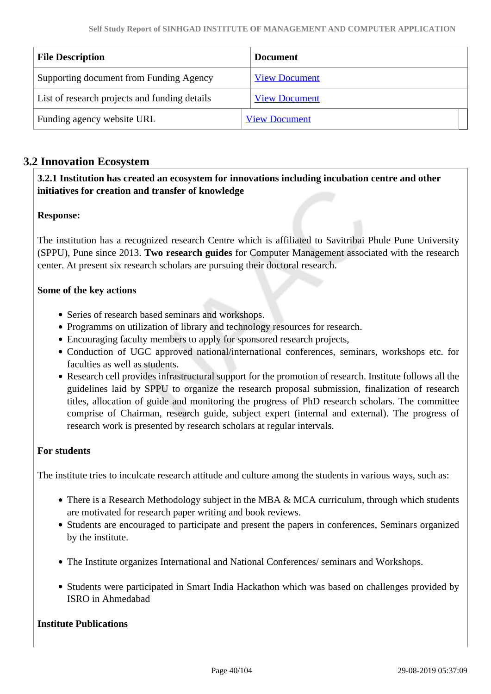| <b>File Description</b>                       | <b>Document</b>      |
|-----------------------------------------------|----------------------|
| Supporting document from Funding Agency       | <b>View Document</b> |
| List of research projects and funding details | <b>View Document</b> |
| Funding agency website URL                    | <b>View Document</b> |

## **3.2 Innovation Ecosystem**

## **3.2.1 Institution has created an ecosystem for innovations including incubation centre and other initiatives for creation and transfer of knowledge**

## **Response:**

The institution has a recognized research Centre which is affiliated to Savitribai Phule Pune University (SPPU), Pune since 2013. **Two research guides** for Computer Management associated with the research center. At present six research scholars are pursuing their doctoral research.

#### **Some of the key actions**

- Series of research based seminars and workshops.
- Programms on utilization of library and technology resources for research.
- Encouraging faculty members to apply for sponsored research projects,
- Conduction of UGC approved national/international conferences, seminars, workshops etc. for faculties as well as students.
- Research cell provides infrastructural support for the promotion of research. Institute follows all the guidelines laid by SPPU to organize the research proposal submission, finalization of research titles, allocation of guide and monitoring the progress of PhD research scholars. The committee comprise of Chairman, research guide, subject expert (internal and external). The progress of research work is presented by research scholars at regular intervals.

#### **For students**

The institute tries to inculcate research attitude and culture among the students in various ways, such as:

- There is a Research Methodology subject in the MBA & MCA curriculum, through which students are motivated for research paper writing and book reviews.
- Students are encouraged to participate and present the papers in conferences, Seminars organized by the institute.
- The Institute organizes International and National Conferences/ seminars and Workshops.
- Students were participated in Smart India Hackathon which was based on challenges provided by ISRO in Ahmedabad

#### **Institute Publications**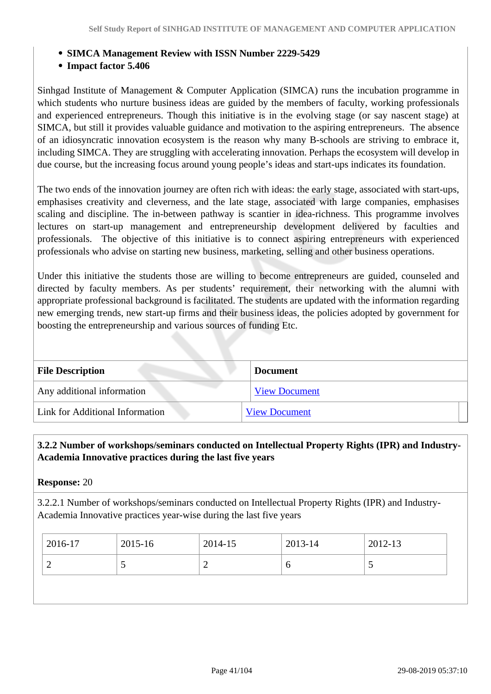- **SIMCA Management Review with ISSN Number 2229-5429**
- **Impact factor 5.406**

Sinhgad Institute of Management & Computer Application (SIMCA) runs the incubation programme in which students who nurture business ideas are guided by the members of faculty, working professionals and experienced entrepreneurs. Though this initiative is in the evolving stage (or say nascent stage) at SIMCA, but still it provides valuable guidance and motivation to the aspiring entrepreneurs. The absence of an idiosyncratic innovation ecosystem is the reason why many B-schools are striving to embrace it, including SIMCA. They are struggling with accelerating innovation. Perhaps the ecosystem will develop in due course, but the increasing focus around young people's ideas and start-ups indicates its foundation.

The two ends of the innovation journey are often rich with ideas: the early stage, associated with start-ups, emphasises creativity and cleverness, and the late stage, associated with large companies, emphasises scaling and discipline. The in-between pathway is scantier in idea-richness. This programme involves lectures on start-up management and entrepreneurship development delivered by faculties and professionals. The objective of this initiative is to connect aspiring entrepreneurs with experienced professionals who advise on starting new business, marketing, selling and other business operations.

Under this initiative the students those are willing to become entrepreneurs are guided, counseled and directed by faculty members. As per students' requirement, their networking with the alumni with appropriate professional background is facilitated. The students are updated with the information regarding new emerging trends, new start-up firms and their business ideas, the policies adopted by government for boosting the entrepreneurship and various sources of funding Etc.

| <b>File Description</b>         | <b>Document</b>      |
|---------------------------------|----------------------|
| Any additional information      | <b>View Document</b> |
| Link for Additional Information | <b>View Document</b> |

 **3.2.2 Number of workshops/seminars conducted on Intellectual Property Rights (IPR) and Industry-Academia Innovative practices during the last five years**

**Response:** 20

3.2.2.1 Number of workshops/seminars conducted on Intellectual Property Rights (IPR) and Industry-Academia Innovative practices year-wise during the last five years

| 2016-17 | 2015-16                  | 2014-15 | 2013-14 | $2012 - 13$ |
|---------|--------------------------|---------|---------|-------------|
| ∽       | $\overline{\phantom{0}}$ | ∽       | U       | ັ           |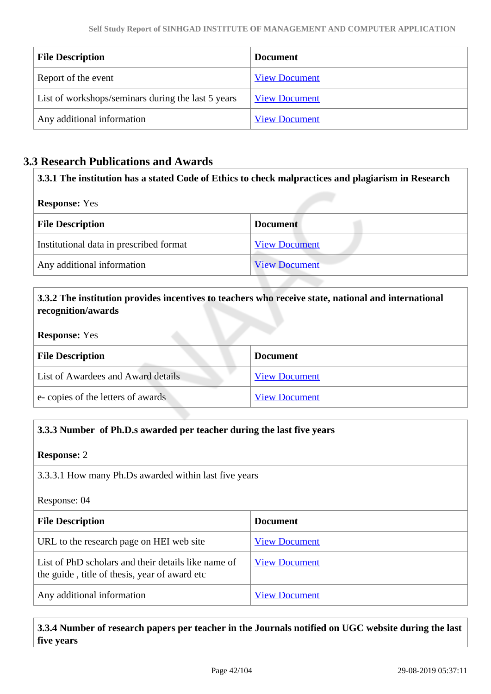| <b>File Description</b>                            | <b>Document</b>      |
|----------------------------------------------------|----------------------|
| Report of the event                                | <b>View Document</b> |
| List of workshops/seminars during the last 5 years | <b>View Document</b> |
| Any additional information                         | <b>View Document</b> |

## **3.3 Research Publications and Awards**

| 3.3.1 The institution has a stated Code of Ethics to check malpractices and plagiarism in Research<br><b>Response:</b> Yes |                      |  |
|----------------------------------------------------------------------------------------------------------------------------|----------------------|--|
|                                                                                                                            |                      |  |
| Institutional data in prescribed format                                                                                    | <b>View Document</b> |  |
| Any additional information                                                                                                 | <b>View Document</b> |  |

## **3.3.2 The institution provides incentives to teachers who receive state, national and international recognition/awards**

#### **Response:** Yes

| <b>File Description</b>            | <b>Document</b>      |
|------------------------------------|----------------------|
| List of Awardees and Award details | <b>View Document</b> |
| e-copies of the letters of awards  | <b>View Document</b> |

## **3.3.3 Number of Ph.D.s awarded per teacher during the last five years**

#### **Response:** 2

3.3.3.1 How many Ph.Ds awarded within last five years

Response: 04

| <b>File Description</b>                                                                              | <b>Document</b>      |
|------------------------------------------------------------------------------------------------------|----------------------|
| URL to the research page on HEI web site                                                             | <b>View Document</b> |
| List of PhD scholars and their details like name of<br>the guide, title of thesis, year of award etc | <b>View Document</b> |
| Any additional information                                                                           | <b>View Document</b> |

 **3.3.4 Number of research papers per teacher in the Journals notified on UGC website during the last five years**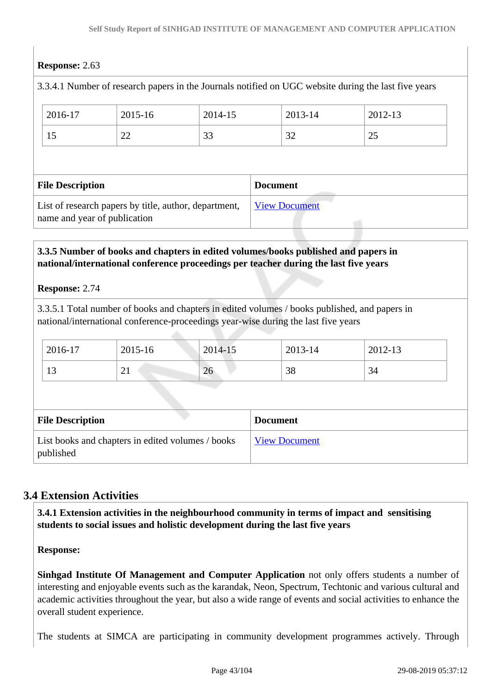## **Response:** 2.63

|                                                                                       |                                            |             |                      |  |         | 3.3.4.1 Number of research papers in the Journals notified on UGC website during the last five years |  |
|---------------------------------------------------------------------------------------|--------------------------------------------|-------------|----------------------|--|---------|------------------------------------------------------------------------------------------------------|--|
|                                                                                       | 2016-17                                    | $2015 - 16$ | 2014-15              |  | 2013-14 | 2012-13                                                                                              |  |
|                                                                                       | 15                                         | 22          | 33                   |  | 32      | 25                                                                                                   |  |
|                                                                                       |                                            |             |                      |  |         |                                                                                                      |  |
|                                                                                       | <b>File Description</b><br><b>Document</b> |             |                      |  |         |                                                                                                      |  |
| List of research papers by title, author, department,<br>name and year of publication |                                            |             | <b>View Document</b> |  |         |                                                                                                      |  |
|                                                                                       |                                            |             |                      |  |         |                                                                                                      |  |

## **3.3.5 Number of books and chapters in edited volumes/books published and papers in national/international conference proceedings per teacher during the last five years**

#### **Response:** 2.74

3.3.5.1 Total number of books and chapters in edited volumes / books published, and papers in national/international conference-proceedings year-wise during the last five years

| 2016-17                  | 2015-16  | 2014-15 | 2013-14 | 2012-13 |
|--------------------------|----------|---------|---------|---------|
| $\sim$<br>$\overline{1}$ | $\sim$ 1 | 26      | 38      | - 34    |

| <b>File Description</b>                                        | <b>Document</b>      |
|----------------------------------------------------------------|----------------------|
| List books and chapters in edited volumes / books<br>published | <b>View Document</b> |

## **3.4 Extension Activities**

 **3.4.1 Extension activities in the neighbourhood community in terms of impact and sensitising students to social issues and holistic development during the last five years**

**Response:** 

**Sinhgad Institute Of Management and Computer Application** not only offers students a number of interesting and enjoyable events such as the karandak, Neon, Spectrum, Techtonic and various cultural and academic activities throughout the year, but also a wide range of events and social activities to enhance the overall student experience.

The students at SIMCA are participating in community development programmes actively. Through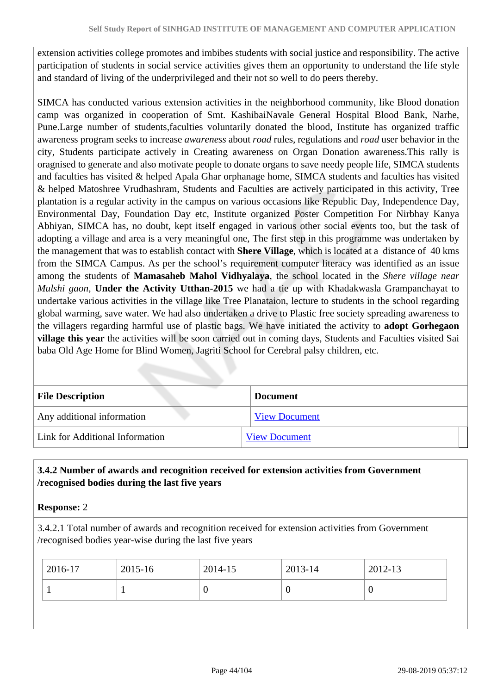extension activities college promotes and imbibes students with social justice and responsibility. The active participation of students in social service activities gives them an opportunity to understand the life style and standard of living of the underprivileged and their not so well to do peers thereby.

SIMCA has conducted various extension activities in the neighborhood community, like Blood donation camp was organized in cooperation of Smt. KashibaiNavale General Hospital Blood Bank, Narhe, Pune.Large number of students,faculties voluntarily donated the blood, Institute has organized traffic awareness program seeks to increase *awareness* about *road* rules*,* regulations and *road* user behavior in the city, Students participate actively in Creating awareness on Organ Donation awareness.This rally is oragnised to generate and also motivate people to donate organs to save needy people life, SIMCA students and faculties has visited & helped Apala Ghar orphanage home, SIMCA students and faculties has visited & helped Matoshree Vrudhashram, Students and Faculties are actively participated in this activity, Tree plantation is a regular activity in the campus on various occasions like Republic Day, Independence Day, Environmental Day, Foundation Day etc, Institute organized Poster Competition For Nirbhay Kanya Abhiyan, SIMCA has, no doubt, kept itself engaged in various other social events too, but the task of adopting a village and area is a very meaningful one, The first step in this programme was undertaken by the management that was to establish contact with **Shere Village**, which is located at a distance of 40 kms from the SIMCA Campus. As per the school's requirement computer literacy was identified as an issue among the students of **Mamasaheb Mahol Vidhyalaya**, the school located in the *Shere village near Mulshi gaon,* **Under the Activity Utthan-2015** we had a tie up with Khadakwasla Grampanchayat to undertake various activities in the village like Tree Planataion, lecture to students in the school regarding global warming, save water. We had also undertaken a drive to Plastic free society spreading awareness to the villagers regarding harmful use of plastic bags. We have initiated the activity to **adopt Gorhegaon village this year** the activities will be soon carried out in coming days, Students and Faculties visited Sai baba Old Age Home for Blind Women, Jagriti School for Cerebral palsy children, etc.

| <b>File Description</b>         | <b>Document</b>      |  |
|---------------------------------|----------------------|--|
| Any additional information      | <b>View Document</b> |  |
| Link for Additional Information | <b>View Document</b> |  |

## **3.4.2 Number of awards and recognition received for extension activities from Government /recognised bodies during the last five years**

**Response:** 2

3.4.2.1 Total number of awards and recognition received for extension activities from Government /recognised bodies year-wise during the last five years

| U |  |
|---|--|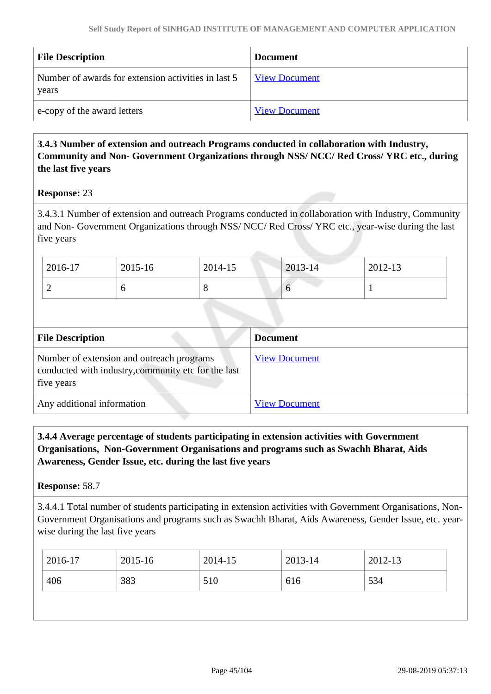| <b>File Description</b>                                      | <b>Document</b>      |
|--------------------------------------------------------------|----------------------|
| Number of awards for extension activities in last 5<br>years | <b>View Document</b> |
| e-copy of the award letters                                  | <b>View Document</b> |

## **3.4.3 Number of extension and outreach Programs conducted in collaboration with Industry, Community and Non- Government Organizations through NSS/ NCC/ Red Cross/ YRC etc., during the last five years**

#### **Response:** 23

3.4.3.1 Number of extension and outreach Programs conducted in collaboration with Industry, Community and Non- Government Organizations through NSS/ NCC/ Red Cross/ YRC etc., year-wise during the last five years

| 2016-17 | 2015-16 | 2014-15 | 2013-14 | 2012-13 |
|---------|---------|---------|---------|---------|
| ∽       |         | $\circ$ | U       |         |

| <b>File Description</b>                                                                                        | <b>Document</b>      |
|----------------------------------------------------------------------------------------------------------------|----------------------|
| Number of extension and outreach programs<br>conducted with industry, community etc for the last<br>five years | <b>View Document</b> |
| Any additional information                                                                                     | <b>View Document</b> |

## **3.4.4 Average percentage of students participating in extension activities with Government Organisations, Non-Government Organisations and programs such as Swachh Bharat, Aids Awareness, Gender Issue, etc. during the last five years**

**Response:** 58.7

3.4.4.1 Total number of students participating in extension activities with Government Organisations, Non-Government Organisations and programs such as Swachh Bharat, Aids Awareness, Gender Issue, etc. yearwise during the last five years

| 406<br>383<br>534<br>510<br>616 | 2016-17 | 2015-16 | 2014-15 | 2013-14 | 2012-13 |
|---------------------------------|---------|---------|---------|---------|---------|
|                                 |         |         |         |         |         |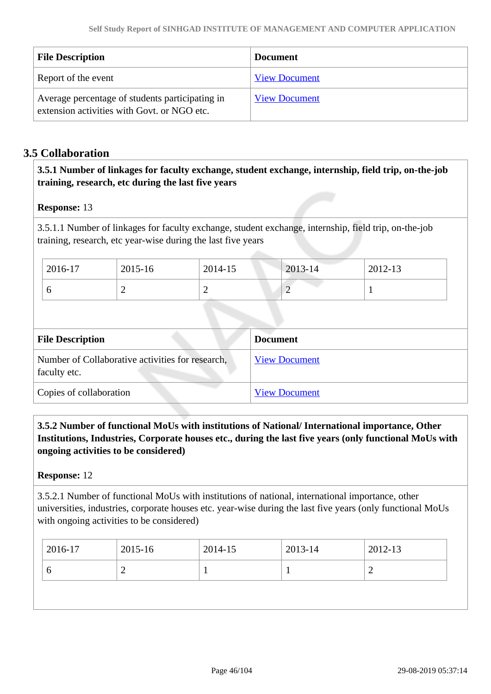| <b>File Description</b>                                                                        | <b>Document</b>      |
|------------------------------------------------------------------------------------------------|----------------------|
| Report of the event                                                                            | <b>View Document</b> |
| Average percentage of students participating in<br>extension activities with Govt. or NGO etc. | <b>View Document</b> |

## **3.5 Collaboration**

## **3.5.1 Number of linkages for faculty exchange, student exchange, internship, field trip, on-the-job training, research, etc during the last five years**

#### **Response:** 13

3.5.1.1 Number of linkages for faculty exchange, student exchange, internship, field trip, on-the-job training, research, etc year-wise during the last five years

| 2016-17 | 2015-16 | 2014-15 | 2013-14  | 2012-13 |
|---------|---------|---------|----------|---------|
| ິ       |         |         | <b>_</b> |         |

| <b>File Description</b>                                          | <b>Document</b>      |
|------------------------------------------------------------------|----------------------|
| Number of Collaborative activities for research,<br>faculty etc. | <b>View Document</b> |
| Copies of collaboration                                          | <b>View Document</b> |

 **3.5.2 Number of functional MoUs with institutions of National/ International importance, Other Institutions, Industries, Corporate houses etc., during the last five years (only functional MoUs with ongoing activities to be considered)** 

#### **Response:** 12

3.5.2.1 Number of functional MoUs with institutions of national, international importance, other universities, industries, corporate houses etc. year-wise during the last five years (only functional MoUs with ongoing activities to be considered)

| 2016-17 | 2015-16 | 2014-15 | 2013-14 | 2012-13 |
|---------|---------|---------|---------|---------|
|         |         |         |         |         |
|         |         |         |         |         |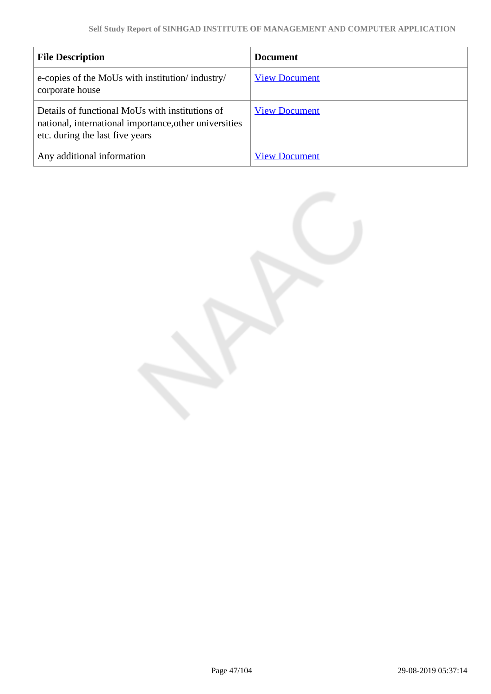| <b>File Description</b>                                                                                                                      | <b>Document</b>      |
|----------------------------------------------------------------------------------------------------------------------------------------------|----------------------|
| e-copies of the MoUs with institution/industry/<br>corporate house                                                                           | <b>View Document</b> |
| Details of functional MoUs with institutions of<br>national, international importance, other universities<br>etc. during the last five years | <b>View Document</b> |
| Any additional information                                                                                                                   | <b>View Document</b> |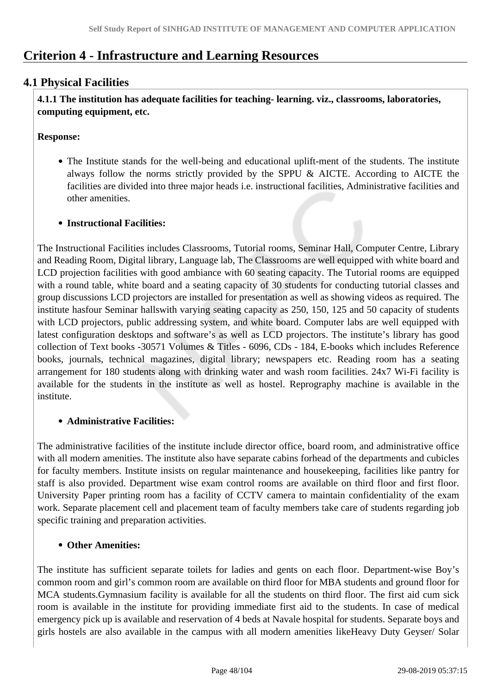# **Criterion 4 - Infrastructure and Learning Resources**

## **4.1 Physical Facilities**

 **4.1.1 The institution has adequate facilities for teaching- learning. viz., classrooms, laboratories, computing equipment, etc.**

## **Response:**

The Institute stands for the well-being and educational uplift-ment of the students. The institute always follow the norms strictly provided by the SPPU & AICTE. According to AICTE the facilities are divided into three major heads i.e. instructional facilities, Administrative facilities and other amenities.

## **Instructional Facilities:**

The Instructional Facilities includes Classrooms, Tutorial rooms, Seminar Hall, Computer Centre, Library and Reading Room, Digital library, Language lab, The Classrooms are well equipped with white board and LCD projection facilities with good ambiance with 60 seating capacity. The Tutorial rooms are equipped with a round table, white board and a seating capacity of 30 students for conducting tutorial classes and group discussions LCD projectors are installed for presentation as well as showing videos as required. The institute hasfour Seminar hallswith varying seating capacity as 250, 150, 125 and 50 capacity of students with LCD projectors, public addressing system, and white board. Computer labs are well equipped with latest configuration desktops and software's as well as LCD projectors. The institute's library has good collection of Text books -30571 Volumes & Titles - 6096, CDs - 184, E-books which includes Reference books, journals, technical magazines, digital library; newspapers etc. Reading room has a seating arrangement for 180 students along with drinking water and wash room facilities. 24x7 Wi-Fi facility is available for the students in the institute as well as hostel. Reprography machine is available in the institute.

## **Administrative Facilities:**

The administrative facilities of the institute include director office, board room, and administrative office with all modern amenities. The institute also have separate cabins forhead of the departments and cubicles for faculty members. Institute insists on regular maintenance and housekeeping, facilities like pantry for staff is also provided. Department wise exam control rooms are available on third floor and first floor. University Paper printing room has a facility of CCTV camera to maintain confidentiality of the exam work. Separate placement cell and placement team of faculty members take care of students regarding job specific training and preparation activities.

## **Other Amenities:**

The institute has sufficient separate toilets for ladies and gents on each floor. Department-wise Boy's common room and girl's common room are available on third floor for MBA students and ground floor for MCA students.Gymnasium facility is available for all the students on third floor. The first aid cum sick room is available in the institute for providing immediate first aid to the students. In case of medical emergency pick up is available and reservation of 4 beds at Navale hospital for students. Separate boys and girls hostels are also available in the campus with all modern amenities likeHeavy Duty Geyser/ Solar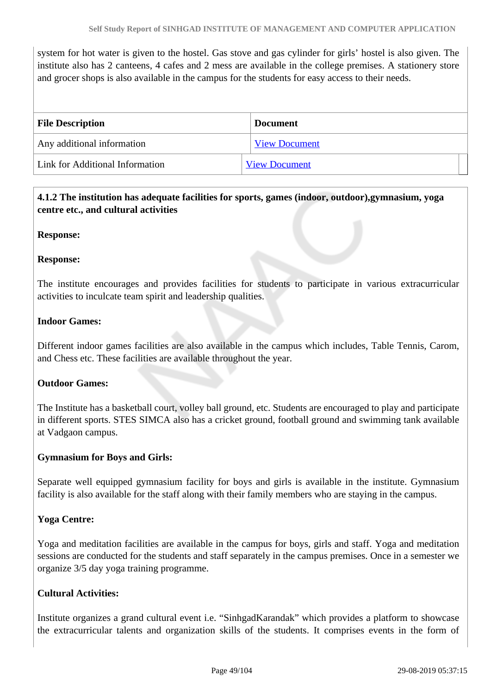system for hot water is given to the hostel. Gas stove and gas cylinder for girls' hostel is also given. The institute also has 2 canteens, 4 cafes and 2 mess are available in the college premises. A stationery store and grocer shops is also available in the campus for the students for easy access to their needs.

| <b>File Description</b>         | <b>Document</b>      |
|---------------------------------|----------------------|
| Any additional information      | <b>View Document</b> |
| Link for Additional Information | <b>View Document</b> |

## **4.1.2 The institution has adequate facilities for sports, games (indoor, outdoor),gymnasium, yoga centre etc., and cultural activities**

#### **Response:**

#### **Response:**

The institute encourages and provides facilities for students to participate in various extracurricular activities to inculcate team spirit and leadership qualities.

#### **Indoor Games:**

Different indoor games facilities are also available in the campus which includes, Table Tennis, Carom, and Chess etc. These facilities are available throughout the year.

#### **Outdoor Games:**

The Institute has a basketball court, volley ball ground, etc. Students are encouraged to play and participate in different sports. STES SIMCA also has a cricket ground, football ground and swimming tank available at Vadgaon campus.

#### **Gymnasium for Boys and Girls:**

Separate well equipped gymnasium facility for boys and girls is available in the institute. Gymnasium facility is also available for the staff along with their family members who are staying in the campus.

#### **Yoga Centre:**

Yoga and meditation facilities are available in the campus for boys, girls and staff. Yoga and meditation sessions are conducted for the students and staff separately in the campus premises. Once in a semester we organize 3/5 day yoga training programme.

#### **Cultural Activities:**

Institute organizes a grand cultural event i.e. "SinhgadKarandak" which provides a platform to showcase the extracurricular talents and organization skills of the students. It comprises events in the form of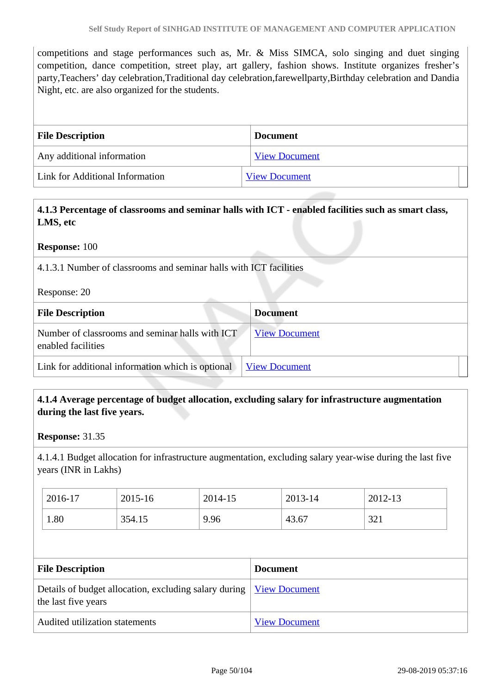competitions and stage performances such as, Mr. & Miss SIMCA, solo singing and duet singing competition, dance competition, street play, art gallery, fashion shows. Institute organizes fresher's party,Teachers' day celebration,Traditional day celebration,farewellparty,Birthday celebration and Dandia Night, etc. are also organized for the students.

| <b>File Description</b>         | <b>Document</b>      |
|---------------------------------|----------------------|
| Any additional information      | <b>View Document</b> |
| Link for Additional Information | <b>View Document</b> |

 **4.1.3 Percentage of classrooms and seminar halls with ICT - enabled facilities such as smart class, LMS, etc**

**Response:** 100

4.1.3.1 Number of classrooms and seminar halls with ICT facilities

Response: 20

| <b>File Description</b>                                               | <b>Document</b>      |
|-----------------------------------------------------------------------|----------------------|
| Number of classrooms and seminar halls with ICT<br>enabled facilities | <b>View Document</b> |
| Link for additional information which is optional                     | <b>View Document</b> |

## **4.1.4 Average percentage of budget allocation, excluding salary for infrastructure augmentation during the last five years.**

**Response:** 31.35

4.1.4.1 Budget allocation for infrastructure augmentation, excluding salary year-wise during the last five years (INR in Lakhs)

| 2016-17 | 2015-16 | 2014-15 | 2013-14 | 2012-13     |
|---------|---------|---------|---------|-------------|
| 1.80    | 354.15  | 9.96    | 43.67   | 221<br>⊥ ∠ر |

| <b>File Description</b>                                                                             | <b>Document</b>      |
|-----------------------------------------------------------------------------------------------------|----------------------|
| Details of budget allocation, excluding salary during   <u>View Document</u><br>the last five years |                      |
| Audited utilization statements                                                                      | <b>View Document</b> |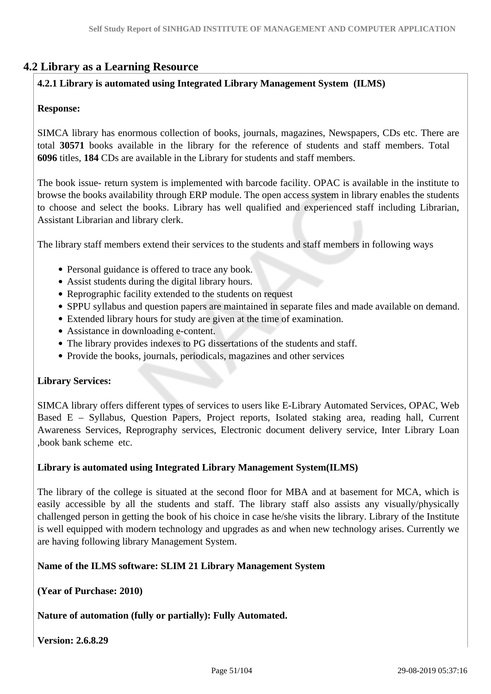## **4.2 Library as a Learning Resource**

## **4.2.1 Library is automated using Integrated Library Management System (ILMS)**

## **Response:**

SIMCA library has enormous collection of books, journals, magazines, Newspapers, CDs etc. There are total **30571** books available in the library for the reference of students and staff members. Total **6096** titles, **184** CDs are available in the Library for students and staff members.

The book issue- return system is implemented with barcode facility. OPAC is available in the institute to browse the books availability through ERP module. The open access system in library enables the students to choose and select the books. Library has well qualified and experienced staff including Librarian, Assistant Librarian and library clerk.

The library staff members extend their services to the students and staff members in following ways

- Personal guidance is offered to trace any book.
- Assist students during the digital library hours.
- Reprographic facility extended to the students on request
- SPPU syllabus and question papers are maintained in separate files and made available on demand.
- Extended library hours for study are given at the time of examination.
- Assistance in downloading e-content.
- The library provides indexes to PG dissertations of the students and staff.
- Provide the books, journals, periodicals, magazines and other services

#### **Library Services:**

SIMCA library offers different types of services to users like E-Library Automated Services, OPAC, Web Based E – Syllabus, Question Papers, Project reports, Isolated staking area, reading hall, Current Awareness Services, Reprography services, Electronic document delivery service, Inter Library Loan ,book bank scheme etc.

#### **Library is automated using Integrated Library Management System(ILMS)**

The library of the college is situated at the second floor for MBA and at basement for MCA, which is easily accessible by all the students and staff. The library staff also assists any visually/physically challenged person in getting the book of his choice in case he/she visits the library. Library of the Institute is well equipped with modern technology and upgrades as and when new technology arises. Currently we are having following library Management System.

#### **Name of the ILMS software: SLIM 21 Library Management System**

**(Year of Purchase: 2010)**

#### **Nature of automation (fully or partially): Fully Automated.**

**Version: 2.6.8.29**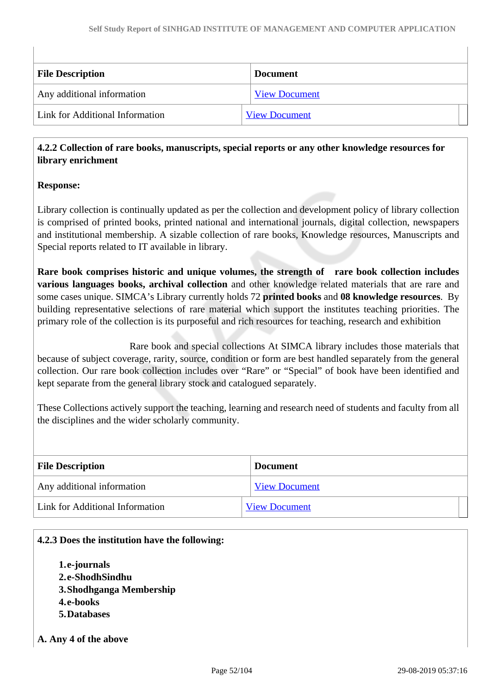| <b>File Description</b>         | <b>Document</b>      |
|---------------------------------|----------------------|
| Any additional information      | <b>View Document</b> |
| Link for Additional Information | <b>View Document</b> |

## **4.2.2 Collection of rare books, manuscripts, special reports or any other knowledge resources for library enrichment**

## **Response:**

Library collection is continually updated as per the collection and development policy of library collection is comprised of printed books, printed national and international journals, digital collection, newspapers and institutional membership. A sizable collection of rare books, Knowledge resources, Manuscripts and Special reports related to IT available in library.

**Rare book comprises historic and unique volumes, the strength of rare book collection includes various languages books, archival collection** and other knowledge related materials that are rare and some cases unique. SIMCA's Library currently holds 72 **printed books** and **08 knowledge resources**. By building representative selections of rare material which support the institutes teaching priorities. The primary role of the collection is its purposeful and rich resources for teaching, research and exhibition

 Rare book and special collections At SIMCA library includes those materials that because of subject coverage, rarity, source, condition or form are best handled separately from the general collection. Our rare book collection includes over "Rare" or "Special" of book have been identified and kept separate from the general library stock and catalogued separately.

These Collections actively support the teaching, learning and research need of students and faculty from all the disciplines and the wider scholarly community.

| <b>File Description</b>         | <b>Document</b>      |
|---------------------------------|----------------------|
| Any additional information      | <b>View Document</b> |
| Link for Additional Information | <b>View Document</b> |

#### **4.2.3 Does the institution have the following:**

- **1.e-journals 2.e-ShodhSindhu**
- **3.Shodhganga Membership**
- **4.e-books**
- **5.Databases**
- **A. Any 4 of the above**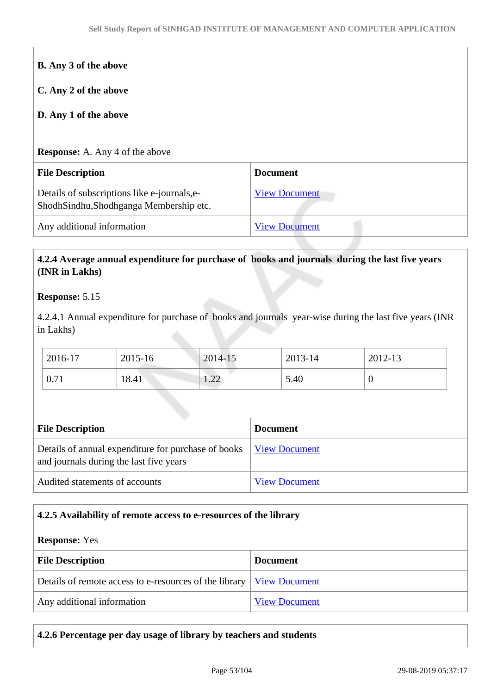| <b>B.</b> Any 3 of the above                 |                      |
|----------------------------------------------|----------------------|
| C. Any 2 of the above                        |                      |
| D. Any 1 of the above                        |                      |
| <b>Response:</b> A. Any 4 of the above       |                      |
| <b>File Description</b>                      | <b>Document</b>      |
| Details of subscriptions like e-journals, e- | <b>View Document</b> |
| ShodhSindhu,Shodhganga Membership etc.       |                      |

## **4.2.4 Average annual expenditure for purchase of books and journals during the last five years (INR in Lakhs)**

#### **Response:** 5.15

4.2.4.1 Annual expenditure for purchase of books and journals year-wise during the last five years (INR in Lakhs)

| 2016-17        | 2015-16 | $2014 - 15$                                | 2013-14 | 2012-13 |
|----------------|---------|--------------------------------------------|---------|---------|
| $\degree$ 0.71 | 18.41   | $\bigcap$<br>$\mathbf{1} \cdot \mathbf{2}$ | 5.40    |         |

| <b>File Description</b>                                                                          | <b>Document</b>      |  |
|--------------------------------------------------------------------------------------------------|----------------------|--|
| Details of annual expenditure for purchase of books  <br>and journals during the last five years | <b>View Document</b> |  |
| Audited statements of accounts                                                                   | <b>View Document</b> |  |

#### **4.2.5 Availability of remote access to e-resources of the library**

#### **Response:** Yes

| <b>File Description</b>                                                       | <b>Document</b>      |
|-------------------------------------------------------------------------------|----------------------|
| Details of remote access to e-resources of the library   <u>View Document</u> |                      |
| Any additional information                                                    | <b>View Document</b> |

| 4.2.6 Percentage per day usage of library by teachers and students |  |
|--------------------------------------------------------------------|--|
|--------------------------------------------------------------------|--|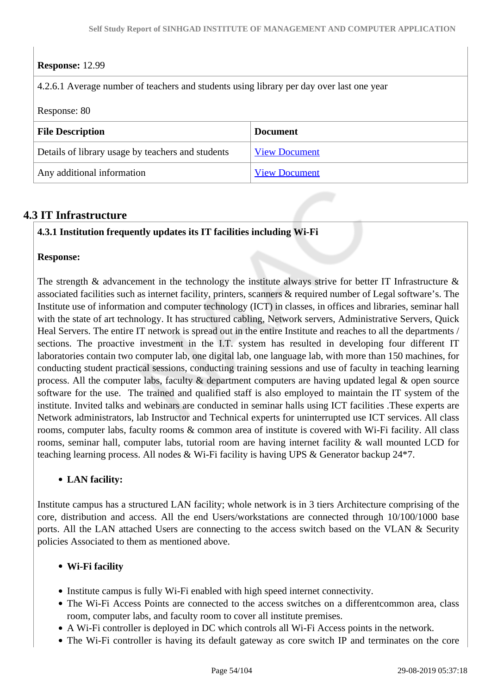## **Response:** 12.99

4.2.6.1 Average number of teachers and students using library per day over last one year

#### Response: 80

| Tranhammer on                                     |                      |  |
|---------------------------------------------------|----------------------|--|
| <b>File Description</b>                           | <b>Document</b>      |  |
| Details of library usage by teachers and students | <b>View Document</b> |  |
| Any additional information                        | <b>View Document</b> |  |

## **4.3 IT Infrastructure**

## **4.3.1 Institution frequently updates its IT facilities including Wi-Fi**

#### **Response:**

The strength  $\&$  advancement in the technology the institute always strive for better IT Infrastructure  $\&$ associated facilities such as internet facility, printers, scanners & required number of Legal software's. The Institute use of information and computer technology (ICT) in classes, in offices and libraries, seminar hall with the state of art technology. It has structured cabling, Network servers, Administrative Servers, Quick Heal Servers. The entire IT network is spread out in the entire Institute and reaches to all the departments / sections. The proactive investment in the I.T. system has resulted in developing four different IT laboratories contain two computer lab, one digital lab, one language lab, with more than 150 machines, for conducting student practical sessions, conducting training sessions and use of faculty in teaching learning process. All the computer labs, faculty & department computers are having updated legal & open source software for the use. The trained and qualified staff is also employed to maintain the IT system of the institute. Invited talks and webinars are conducted in seminar halls using ICT facilities .These experts are Network administrators, lab Instructor and Technical experts for uninterrupted use ICT services. All class rooms, computer labs, faculty rooms & common area of institute is covered with Wi-Fi facility. All class rooms, seminar hall, computer labs, tutorial room are having internet facility & wall mounted LCD for teaching learning process. All nodes & Wi-Fi facility is having UPS & Generator backup 24\*7.

#### **LAN facility:**

Institute campus has a structured LAN facility; whole network is in 3 tiers Architecture comprising of the core, distribution and access. All the end Users/workstations are connected through 10/100/1000 base ports. All the LAN attached Users are connecting to the access switch based on the VLAN & Security policies Associated to them as mentioned above.

#### **Wi-Fi facility**

- Institute campus is fully Wi-Fi enabled with high speed internet connectivity.
- The Wi-Fi Access Points are connected to the access switches on a different common area, class room, computer labs, and faculty room to cover all institute premises.
- A Wi-Fi controller is deployed in DC which controls all Wi-Fi Access points in the network.
- The Wi-Fi controller is having its default gateway as core switch IP and terminates on the core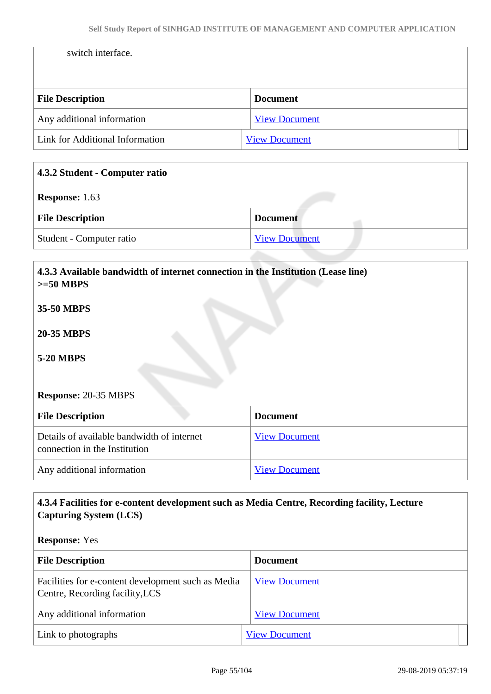switch interface.

| <b>File Description</b>         | <b>Document</b>      |
|---------------------------------|----------------------|
| Any additional information      | <b>View Document</b> |
| Link for Additional Information | <b>View Document</b> |

| 4.3.2 Student - Computer ratio |                      |  |
|--------------------------------|----------------------|--|
| <b>Response:</b> 1.63          |                      |  |
| <b>File Description</b>        | <b>Document</b>      |  |
| Student - Computer ratio       | <b>View Document</b> |  |
|                                |                      |  |

| 4.3.3 Available bandwidth of internet connection in the Institution (Lease line)<br>$>=50$ MBPS |                      |  |
|-------------------------------------------------------------------------------------------------|----------------------|--|
| 35-50 MBPS                                                                                      |                      |  |
| <b>20-35 MBPS</b>                                                                               |                      |  |
| <b>5-20 MBPS</b>                                                                                |                      |  |
|                                                                                                 |                      |  |
| <b>Response: 20-35 MBPS</b>                                                                     |                      |  |
| <b>File Description</b>                                                                         | <b>Document</b>      |  |
| Details of available bandwidth of internet<br>connection in the Institution                     | <b>View Document</b> |  |
| Any additional information                                                                      | <b>View Document</b> |  |

## **4.3.4 Facilities for e-content development such as Media Centre, Recording facility, Lecture Capturing System (LCS)**

#### **Response:** Yes

| <b>File Description</b>                                                               | <b>Document</b>      |
|---------------------------------------------------------------------------------------|----------------------|
| Facilities for e-content development such as Media<br>Centre, Recording facility, LCS | <b>View Document</b> |
| Any additional information                                                            | <b>View Document</b> |
| Link to photographs                                                                   | <b>View Document</b> |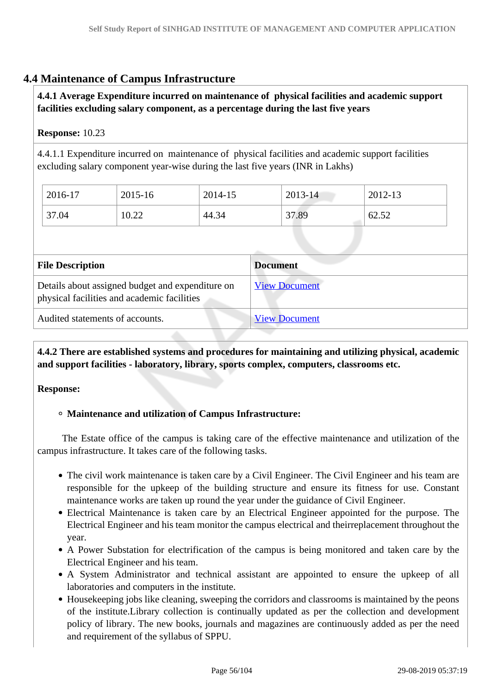## **4.4 Maintenance of Campus Infrastructure**

## **4.4.1 Average Expenditure incurred on maintenance of physical facilities and academic support facilities excluding salary component, as a percentage during the last five years**

## **Response:** 10.23

4.4.1.1 Expenditure incurred on maintenance of physical facilities and academic support facilities excluding salary component year-wise during the last five years (INR in Lakhs)

| 2016-17 | 2015-16 | 2014-15 | 2013-14 | 2012-13 |
|---------|---------|---------|---------|---------|
| 37.04   | 10.22   | 44.34   | 37.89   | 62.52   |

| <b>File Description</b>                                                                         | <b>Document</b>      |
|-------------------------------------------------------------------------------------------------|----------------------|
| Details about assigned budget and expenditure on<br>physical facilities and academic facilities | <b>View Document</b> |
| Audited statements of accounts.                                                                 | <b>View Document</b> |

 **4.4.2 There are established systems and procedures for maintaining and utilizing physical, academic and support facilities - laboratory, library, sports complex, computers, classrooms etc.**

#### **Response:**

#### **Maintenance and utilization of Campus Infrastructure:**

 The Estate office of the campus is taking care of the effective maintenance and utilization of the campus infrastructure. It takes care of the following tasks.

- The civil work maintenance is taken care by a Civil Engineer. The Civil Engineer and his team are responsible for the upkeep of the building structure and ensure its fitness for use. Constant maintenance works are taken up round the year under the guidance of Civil Engineer.
- Electrical Maintenance is taken care by an Electrical Engineer appointed for the purpose. The Electrical Engineer and his team monitor the campus electrical and theirreplacement throughout the year.
- A Power Substation for electrification of the campus is being monitored and taken care by the Electrical Engineer and his team.
- A System Administrator and technical assistant are appointed to ensure the upkeep of all laboratories and computers in the institute.
- Housekeeping jobs like cleaning, sweeping the corridors and classrooms is maintained by the peons of the institute.Library collection is continually updated as per the collection and development policy of library. The new books, journals and magazines are continuously added as per the need and requirement of the syllabus of SPPU.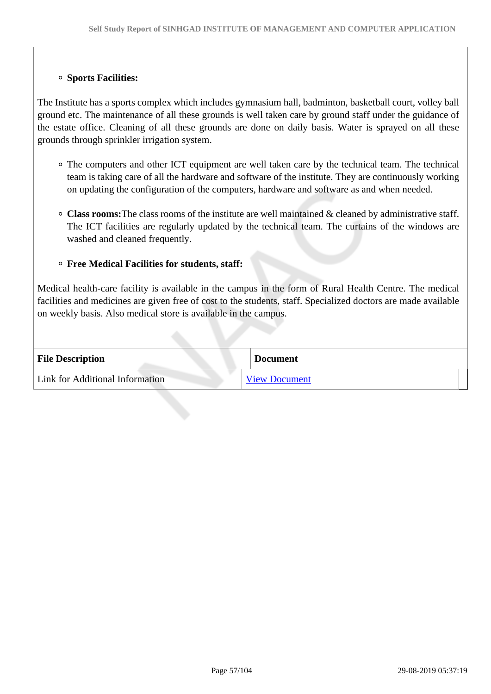#### **Sports Facilities:**

The Institute has a sports complex which includes gymnasium hall, badminton, basketball court, volley ball ground etc. The maintenance of all these grounds is well taken care by ground staff under the guidance of the estate office. Cleaning of all these grounds are done on daily basis. Water is sprayed on all these grounds through sprinkler irrigation system.

- The computers and other ICT equipment are well taken care by the technical team. The technical team is taking care of all the hardware and software of the institute. They are continuously working on updating the configuration of the computers, hardware and software as and when needed.
- **Class rooms:**The class rooms of the institute are well maintained & cleaned by administrative staff. The ICT facilities are regularly updated by the technical team. The curtains of the windows are washed and cleaned frequently.

#### **Free Medical Facilities for students, staff:**

Medical health-care facility is available in the campus in the form of Rural Health Centre. The medical facilities and medicines are given free of cost to the students, staff. Specialized doctors are made available on weekly basis. Also medical store is available in the campus.

| <b>File Description</b>         | <b>Document</b>      |
|---------------------------------|----------------------|
| Link for Additional Information | <b>View Document</b> |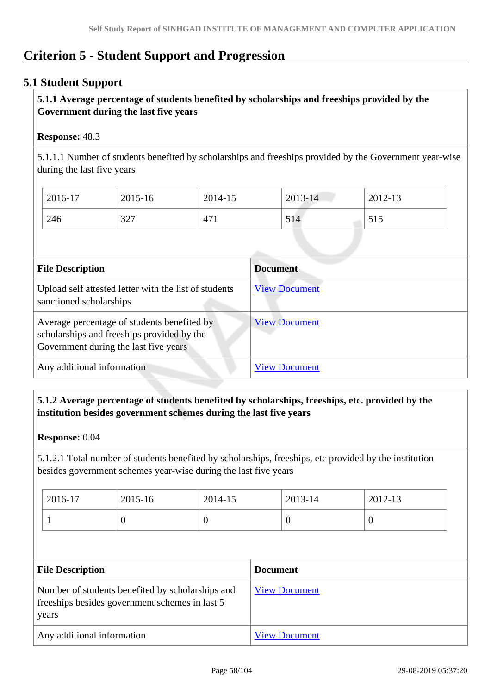# **Criterion 5 - Student Support and Progression**

## **5.1 Student Support**

## **5.1.1 Average percentage of students benefited by scholarships and freeships provided by the Government during the last five years**

### **Response:** 48.3

5.1.1.1 Number of students benefited by scholarships and freeships provided by the Government year-wise during the last five years

| 2016-17 | 2015-16 | 2014-15         | $2013 - 14$ | 2012-13           |
|---------|---------|-----------------|-------------|-------------------|
| 246     | 327     | 47 <sub>1</sub> | 514         | 515<br><u>JIJ</u> |

| <b>File Description</b>                                                                                                            | <b>Document</b>      |
|------------------------------------------------------------------------------------------------------------------------------------|----------------------|
| Upload self attested letter with the list of students<br>sanctioned scholarships                                                   | <b>View Document</b> |
| Average percentage of students benefited by<br>scholarships and freeships provided by the<br>Government during the last five years | <b>View Document</b> |
| Any additional information                                                                                                         | <b>View Document</b> |

## **5.1.2 Average percentage of students benefited by scholarships, freeships, etc. provided by the institution besides government schemes during the last five years**

#### **Response:** 0.04

5.1.2.1 Total number of students benefited by scholarships, freeships, etc provided by the institution besides government schemes year-wise during the last five years

| 2016-17 | 2015-16 | 2014-15 | 2013-14 | 2012-13 |
|---------|---------|---------|---------|---------|
|         |         | υ       |         | ◡       |

| <b>File Description</b>                                                                                     | <b>Document</b>      |
|-------------------------------------------------------------------------------------------------------------|----------------------|
| Number of students benefited by scholarships and<br>freeships besides government schemes in last 5<br>years | <b>View Document</b> |
| Any additional information                                                                                  | <b>View Document</b> |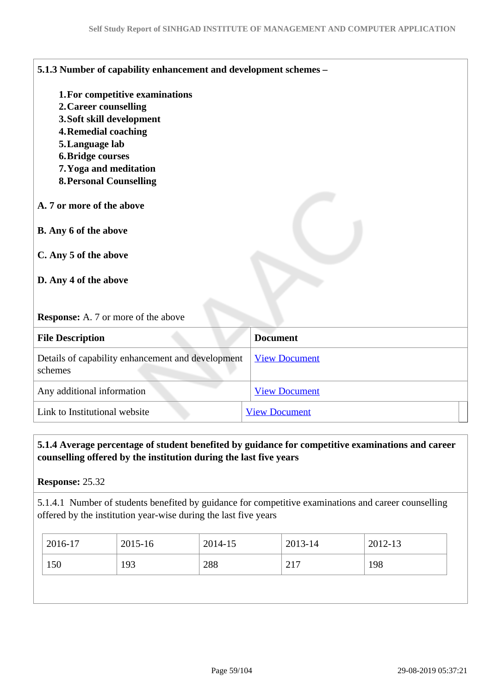| 5.1.3 Number of capability enhancement and development schemes - |                      |
|------------------------------------------------------------------|----------------------|
| 1. For competitive examinations                                  |                      |
| 2. Career counselling                                            |                      |
| 3. Soft skill development                                        |                      |
| <b>4. Remedial coaching</b>                                      |                      |
| 5. Language lab                                                  |                      |
| <b>6. Bridge courses</b>                                         |                      |
| 7. Yoga and meditation                                           |                      |
| <b>8. Personal Counselling</b>                                   |                      |
|                                                                  |                      |
| A. 7 or more of the above                                        |                      |
| B. Any 6 of the above<br>C. Any 5 of the above                   |                      |
|                                                                  |                      |
| D. Any 4 of the above                                            |                      |
| <b>Response:</b> A. 7 or more of the above                       |                      |
| <b>File Description</b>                                          | <b>Document</b>      |
| Details of capability enhancement and development<br>schemes     | <b>View Document</b> |
| Any additional information                                       | <b>View Document</b> |
| Link to Institutional website                                    | <b>View Document</b> |

## **5.1.4 Average percentage of student benefited by guidance for competitive examinations and career counselling offered by the institution during the last five years**

## **Response:** 25.32

5.1.4.1 Number of students benefited by guidance for competitive examinations and career counselling offered by the institution year-wise during the last five years

| 2016-17 | 2015-16 | 2014-15 | 2013-14           | 2012-13 |
|---------|---------|---------|-------------------|---------|
| 150     | 193     | 288     | 217<br>$\angle$ 1 | 198     |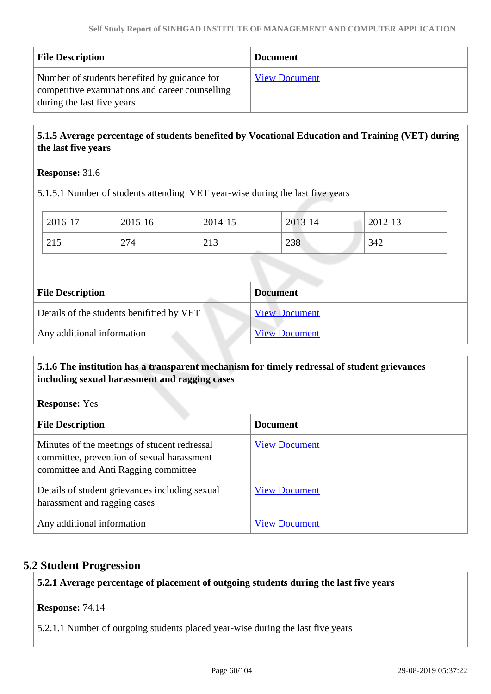| <b>File Description</b>                                                                                                       | <b>Document</b>      |
|-------------------------------------------------------------------------------------------------------------------------------|----------------------|
| Number of students benefited by guidance for<br>competitive examinations and career counselling<br>during the last five years | <b>View Document</b> |

## **5.1.5 Average percentage of students benefited by Vocational Education and Training (VET) during the last five years**

### **Response:** 31.6

5.1.5.1 Number of students attending VET year-wise during the last five years

| 2016-17 | 2015-16 | 2014-15 | 2013-14 | 2012-13 |
|---------|---------|---------|---------|---------|
| 215     | 274     | 213     | 238     | 342     |

| <b>File Description</b>                   | <b>Document</b>      |
|-------------------------------------------|----------------------|
| Details of the students benifitted by VET | <b>View Document</b> |
| Any additional information                | <b>View Document</b> |

### **5.1.6 The institution has a transparent mechanism for timely redressal of student grievances including sexual harassment and ragging cases**

**Response:** Yes

| <b>File Description</b>                                                                                                            | <b>Document</b>      |
|------------------------------------------------------------------------------------------------------------------------------------|----------------------|
| Minutes of the meetings of student redressal<br>committee, prevention of sexual harassment<br>committee and Anti Ragging committee | <b>View Document</b> |
| Details of student grievances including sexual<br>harassment and ragging cases                                                     | <b>View Document</b> |
| Any additional information                                                                                                         | <b>View Document</b> |

## **5.2 Student Progression**

**5.2.1 Average percentage of placement of outgoing students during the last five years**

#### **Response:** 74.14

5.2.1.1 Number of outgoing students placed year-wise during the last five years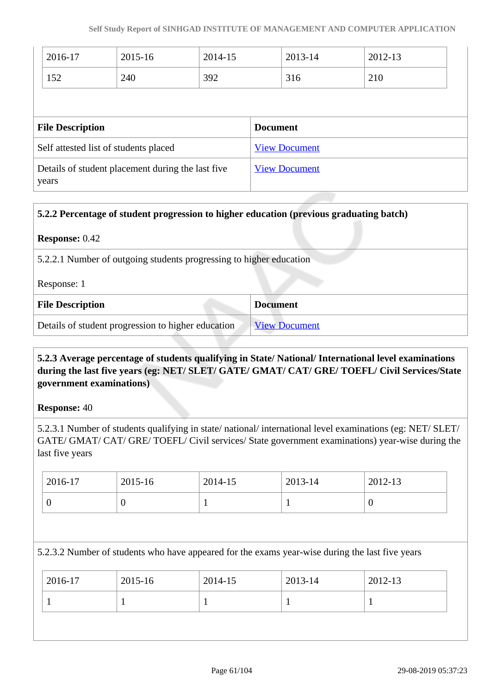| 2016-17                                                          | 2015-16 | 2014-15 |                 | 2013-14              | 2012-13 |  |
|------------------------------------------------------------------|---------|---------|-----------------|----------------------|---------|--|
| 152                                                              | 240     | 392     |                 | 316                  | 210     |  |
|                                                                  |         |         |                 |                      |         |  |
|                                                                  |         |         |                 |                      |         |  |
|                                                                  |         |         | <b>Document</b> |                      |         |  |
| <b>File Description</b><br>Self attested list of students placed |         |         |                 | <b>View Document</b> |         |  |

| 5.2.2 Percentage of student progression to higher education (previous graduating batch) |                      |  |
|-----------------------------------------------------------------------------------------|----------------------|--|
| <b>Response: 0.42</b>                                                                   |                      |  |
| 5.2.2.1 Number of outgoing students progressing to higher education                     |                      |  |
| Response: 1                                                                             |                      |  |
| <b>Document</b><br><b>File Description</b>                                              |                      |  |
| Details of student progression to higher education                                      | <b>View Document</b> |  |

## **5.2.3 Average percentage of students qualifying in State/ National/ International level examinations during the last five years (eg: NET/ SLET/ GATE/ GMAT/ CAT/ GRE/ TOEFL/ Civil Services/State government examinations)**

#### **Response:** 40

5.2.3.1 Number of students qualifying in state/ national/ international level examinations (eg: NET/ SLET/ GATE/ GMAT/ CAT/ GRE/ TOEFL/ Civil services/ State government examinations) year-wise during the last five years

| 2016-17 | 2015-16 | 2014-15 | 2013-14 | 2012-13 |
|---------|---------|---------|---------|---------|
|         |         | ÷       |         | U       |

5.2.3.2 Number of students who have appeared for the exams year-wise during the last five years

| 2016-17 | 2015-16 | 2014-15 | 2013-14 | 2012-13 |
|---------|---------|---------|---------|---------|
|         |         |         |         |         |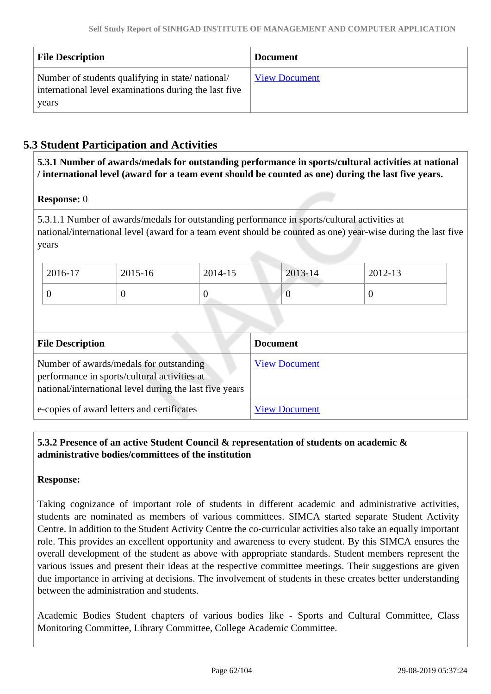| <b>File Description</b>                                                                                            | <b>Document</b>      |
|--------------------------------------------------------------------------------------------------------------------|----------------------|
| Number of students qualifying in state/national/<br>international level examinations during the last five<br>years | <b>View Document</b> |

## **5.3 Student Participation and Activities**

 **5.3.1 Number of awards/medals for outstanding performance in sports/cultural activities at national / international level (award for a team event should be counted as one) during the last five years.**

#### **Response:** 0

5.3.1.1 Number of awards/medals for outstanding performance in sports/cultural activities at national/international level (award for a team event should be counted as one) year-wise during the last five years

| 2016-17 | 2015-16 | 2014-15 | <b>Contract Contract Contract</b><br>$2013 - 14$ | 2012-13 |
|---------|---------|---------|--------------------------------------------------|---------|
|         |         |         |                                                  |         |

| <b>File Description</b>                                                                                                                            | <b>Document</b>      |
|----------------------------------------------------------------------------------------------------------------------------------------------------|----------------------|
| Number of awards/medals for outstanding<br>performance in sports/cultural activities at<br>national/international level during the last five years | <b>View Document</b> |
| e-copies of award letters and certificates                                                                                                         | <b>View Document</b> |

## **5.3.2 Presence of an active Student Council & representation of students on academic & administrative bodies/committees of the institution**

#### **Response:**

Taking cognizance of important role of students in different academic and administrative activities, students are nominated as members of various committees. SIMCA started separate Student Activity Centre. In addition to the Student Activity Centre the co-curricular activities also take an equally important role. This provides an excellent opportunity and awareness to every student. By this SIMCA ensures the overall development of the student as above with appropriate standards. Student members represent the various issues and present their ideas at the respective committee meetings. Their suggestions are given due importance in arriving at decisions. The involvement of students in these creates better understanding between the administration and students.

Academic Bodies Student chapters of various bodies like - Sports and Cultural Committee, Class Monitoring Committee, Library Committee, College Academic Committee.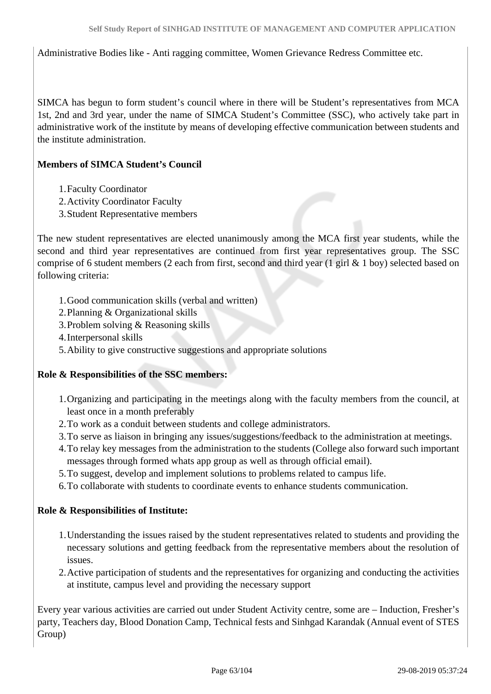Administrative Bodies like - Anti ragging committee, Women Grievance Redress Committee etc.

SIMCA has begun to form student's council where in there will be Student's representatives from MCA 1st, 2nd and 3rd year, under the name of SIMCA Student's Committee (SSC), who actively take part in administrative work of the institute by means of developing effective communication between students and the institute administration.

### **Members of SIMCA Student's Council**

- 1.Faculty Coordinator
- 2.Activity Coordinator Faculty
- 3.Student Representative members

The new student representatives are elected unanimously among the MCA first year students, while the second and third year representatives are continued from first year representatives group. The SSC comprise of 6 student members (2 each from first, second and third year (1 girl & 1 boy) selected based on following criteria:

- 1.Good communication skills (verbal and written)
- 2.Planning & Organizational skills
- 3.Problem solving & Reasoning skills
- 4.Interpersonal skills
- 5.Ability to give constructive suggestions and appropriate solutions

#### **Role & Responsibilities of the SSC members:**

- 1.Organizing and participating in the meetings along with the faculty members from the council, at least once in a month preferably
- 2.To work as a conduit between students and college administrators.
- 3.To serve as liaison in bringing any issues/suggestions/feedback to the administration at meetings.
- 4.To relay key messages from the administration to the students (College also forward such important messages through formed whats app group as well as through official email).
- 5.To suggest, develop and implement solutions to problems related to campus life.
- 6.To collaborate with students to coordinate events to enhance students communication.

#### **Role & Responsibilities of Institute:**

- 1.Understanding the issues raised by the student representatives related to students and providing the necessary solutions and getting feedback from the representative members about the resolution of issues.
- 2.Active participation of students and the representatives for organizing and conducting the activities at institute, campus level and providing the necessary support

Every year various activities are carried out under Student Activity centre, some are – Induction, Fresher's party, Teachers day, Blood Donation Camp, Technical fests and Sinhgad Karandak (Annual event of STES Group)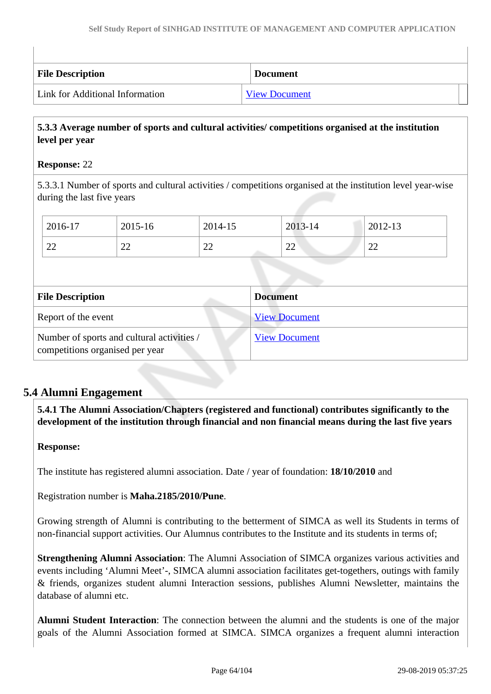| <b>File Description</b>         | <b>Document</b>      |
|---------------------------------|----------------------|
| Link for Additional Information | <b>View Document</b> |

## **5.3.3 Average number of sports and cultural activities/ competitions organised at the institution level per year**

#### **Response:** 22

5.3.3.1 Number of sports and cultural activities / competitions organised at the institution level year-wise during the last five years

| $12016-17$ | 2015-16  | 2014-15  | 2013-14 | 2012-13 |
|------------|----------|----------|---------|---------|
| 22         | າາ<br>∠∠ | ററ<br>∠∠ | 22      | 22      |
|            |          |          |         |         |

| <b>File Description</b>                                                       | <b>Document</b>      |
|-------------------------------------------------------------------------------|----------------------|
| Report of the event                                                           | <b>View Document</b> |
| Number of sports and cultural activities /<br>competitions organised per year | <b>View Document</b> |

## **5.4 Alumni Engagement**

 **5.4.1 The Alumni Association/Chapters (registered and functional) contributes significantly to the development of the institution through financial and non financial means during the last five years**

#### **Response:**

The institute has registered alumni association. Date / year of foundation: **18/10/2010** and

Registration number is **Maha.2185/2010/Pune**.

Growing strength of Alumni is contributing to the betterment of SIMCA as well its Students in terms of non-financial support activities. Our Alumnus contributes to the Institute and its students in terms of;

**Strengthening Alumni Association**: The Alumni Association of SIMCA organizes various activities and events including 'Alumni Meet'-, SIMCA alumni association facilitates get-togethers, outings with family & friends, organizes student alumni Interaction sessions, publishes Alumni Newsletter, maintains the database of alumni etc.

**Alumni Student Interaction**: The connection between the alumni and the students is one of the major goals of the Alumni Association formed at SIMCA. SIMCA organizes a frequent alumni interaction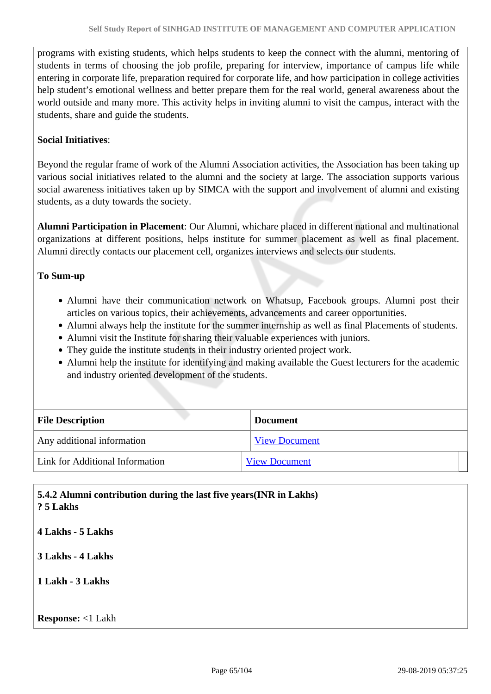programs with existing students, which helps students to keep the connect with the alumni, mentoring of students in terms of choosing the job profile, preparing for interview, importance of campus life while entering in corporate life, preparation required for corporate life, and how participation in college activities help student's emotional wellness and better prepare them for the real world, general awareness about the world outside and many more. This activity helps in inviting alumni to visit the campus, interact with the students, share and guide the students.

## **Social Initiatives**:

Beyond the regular frame of work of the Alumni Association activities, the Association has been taking up various social initiatives related to the alumni and the society at large. The association supports various social awareness initiatives taken up by SIMCA with the support and involvement of alumni and existing students, as a duty towards the society.

**Alumni Participation in Placement**: Our Alumni, whichare placed in different national and multinational organizations at different positions, helps institute for summer placement as well as final placement. Alumni directly contacts our placement cell, organizes interviews and selects our students.

#### **To Sum-up**

- Alumni have their communication network on Whatsup, Facebook groups. Alumni post their articles on various topics, their achievements, advancements and career opportunities.
- Alumni always help the institute for the summer internship as well as final Placements of students.
- Alumni visit the Institute for sharing their valuable experiences with juniors.
- They guide the institute students in their industry oriented project work.
- Alumni help the institute for identifying and making available the Guest lecturers for the academic and industry oriented development of the students.

| <b>File Description</b>         | <b>Document</b>      |  |
|---------------------------------|----------------------|--|
| Any additional information      | <b>View Document</b> |  |
| Link for Additional Information | <b>View Document</b> |  |

## **5.4.2 Alumni contribution during the last five years(INR in Lakhs) ? 5 Lakhs**

**4 Lakhs - 5 Lakhs 3 Lakhs - 4 Lakhs**

**1 Lakh - 3 Lakhs**

#### **Response:** <1 Lakh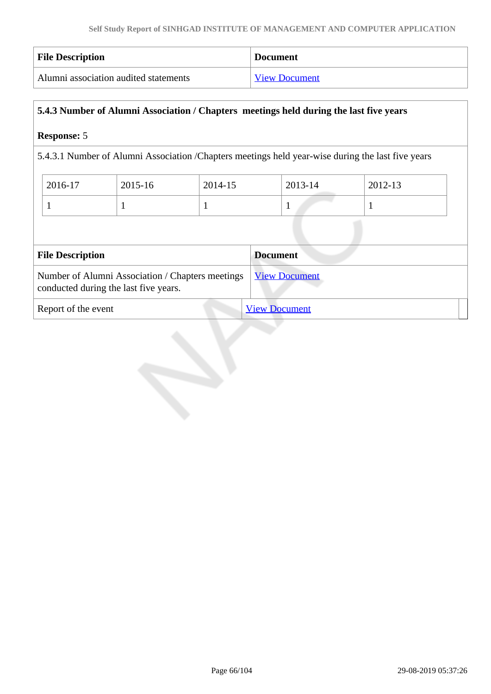| <b>File Description</b>               | <b>Document</b>      |
|---------------------------------------|----------------------|
| Alumni association audited statements | <b>View Document</b> |

## **5.4.3 Number of Alumni Association / Chapters meetings held during the last five years**

### **Response:** 5

5.4.3.1 Number of Alumni Association /Chapters meetings held year-wise during the last five years

| 2016-17 | 2015-16 | 2014-15 | 2013-14 | 2012-13 |
|---------|---------|---------|---------|---------|
|         |         |         |         |         |

| <b>File Description</b><br><b>Document</b>                                                |                      |  |
|-------------------------------------------------------------------------------------------|----------------------|--|
| Number of Alumni Association / Chapters meetings<br>conducted during the last five years. | <b>View Document</b> |  |
| Report of the event                                                                       | <b>View Document</b> |  |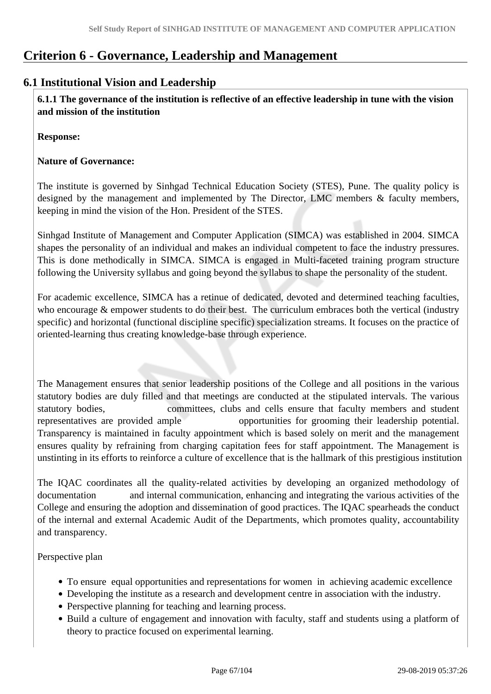# **Criterion 6 - Governance, Leadership and Management**

## **6.1 Institutional Vision and Leadership**

 **6.1.1 The governance of the institution is reflective of an effective leadership in tune with the vision and mission of the institution**

**Response:** 

## **Nature of Governance:**

The institute is governed by Sinhgad Technical Education Society (STES), Pune. The quality policy is designed by the management and implemented by The Director, LMC members & faculty members, keeping in mind the vision of the Hon. President of the STES.

Sinhgad Institute of Management and Computer Application (SIMCA) was established in 2004. SIMCA shapes the personality of an individual and makes an individual competent to face the industry pressures. This is done methodically in SIMCA. SIMCA is engaged in Multi-faceted training program structure following the University syllabus and going beyond the syllabus to shape the personality of the student.

For academic excellence, SIMCA has a retinue of dedicated, devoted and determined teaching faculties, who encourage & empower students to do their best. The curriculum embraces both the vertical (industry specific) and horizontal (functional discipline specific) specialization streams. It focuses on the practice of oriented-learning thus creating knowledge-base through experience.

The Management ensures that senior leadership positions of the College and all positions in the various statutory bodies are duly filled and that meetings are conducted at the stipulated intervals. The various statutory bodies, committees, clubs and cells ensure that faculty members and student representatives are provided ample opportunities for grooming their leadership potential. Transparency is maintained in faculty appointment which is based solely on merit and the management ensures quality by refraining from charging capitation fees for staff appointment. The Management is unstinting in its efforts to reinforce a culture of excellence that is the hallmark of this prestigious institution

The IQAC coordinates all the quality-related activities by developing an organized methodology of documentation and internal communication, enhancing and integrating the various activities of the College and ensuring the adoption and dissemination of good practices. The IQAC spearheads the conduct of the internal and external Academic Audit of the Departments, which promotes quality, accountability and transparency.

Perspective plan

- To ensure equal opportunities and representations for women in achieving academic excellence
- Developing the institute as a research and development centre in association with the industry.
- Perspective planning for teaching and learning process.
- Build a culture of engagement and innovation with faculty, staff and students using a platform of theory to practice focused on experimental learning.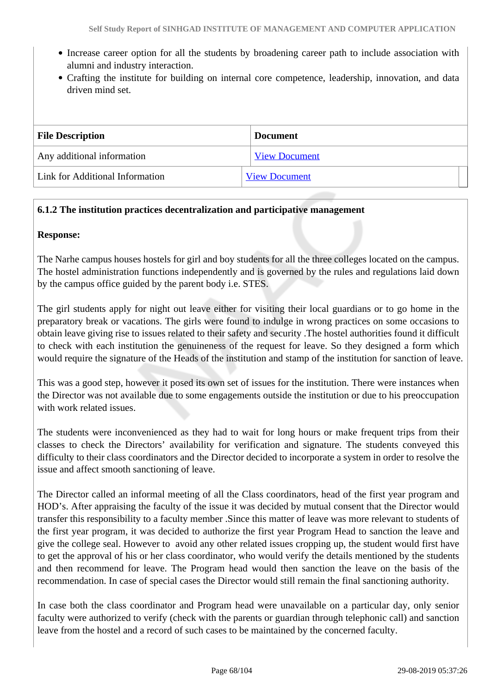- Increase career option for all the students by broadening career path to include association with alumni and industry interaction.
- Crafting the institute for building on internal core competence, leadership, innovation, and data driven mind set.

| <b>File Description</b>         | <b>Document</b>      |
|---------------------------------|----------------------|
| Any additional information      | <b>View Document</b> |
| Link for Additional Information | <b>View Document</b> |

#### **6.1.2 The institution practices decentralization and participative management**

#### **Response:**

The Narhe campus houses hostels for girl and boy students for all the three colleges located on the campus. The hostel administration functions independently and is governed by the rules and regulations laid down by the campus office guided by the parent body i.e. STES.

The girl students apply for night out leave either for visiting their local guardians or to go home in the preparatory break or vacations. The girls were found to indulge in wrong practices on some occasions to obtain leave giving rise to issues related to their safety and security .The hostel authorities found it difficult to check with each institution the genuineness of the request for leave. So they designed a form which would require the signature of the Heads of the institution and stamp of the institution for sanction of leave.

This was a good step, however it posed its own set of issues for the institution. There were instances when the Director was not available due to some engagements outside the institution or due to his preoccupation with work related issues.

The students were inconvenienced as they had to wait for long hours or make frequent trips from their classes to check the Directors' availability for verification and signature. The students conveyed this difficulty to their class coordinators and the Director decided to incorporate a system in order to resolve the issue and affect smooth sanctioning of leave.

The Director called an informal meeting of all the Class coordinators, head of the first year program and HOD's. After appraising the faculty of the issue it was decided by mutual consent that the Director would transfer this responsibility to a faculty member .Since this matter of leave was more relevant to students of the first year program, it was decided to authorize the first year Program Head to sanction the leave and give the college seal. However to avoid any other related issues cropping up, the student would first have to get the approval of his or her class coordinator, who would verify the details mentioned by the students and then recommend for leave. The Program head would then sanction the leave on the basis of the recommendation. In case of special cases the Director would still remain the final sanctioning authority.

In case both the class coordinator and Program head were unavailable on a particular day, only senior faculty were authorized to verify (check with the parents or guardian through telephonic call) and sanction leave from the hostel and a record of such cases to be maintained by the concerned faculty.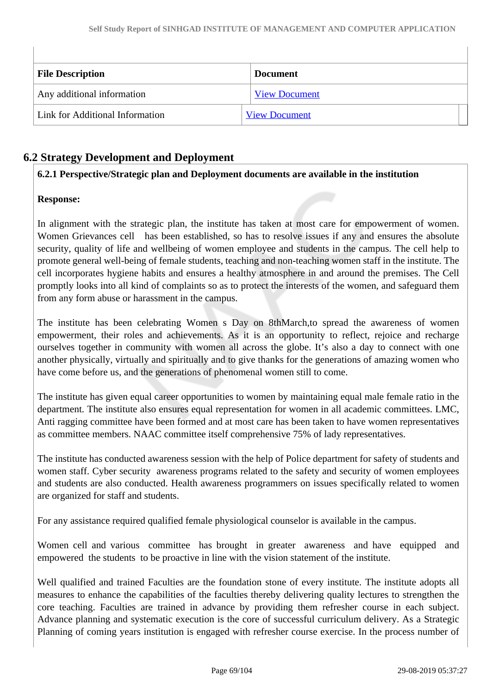| <b>File Description</b>         | <b>Document</b>      |
|---------------------------------|----------------------|
| Any additional information      | <b>View Document</b> |
| Link for Additional Information | <b>View Document</b> |

## **6.2 Strategy Development and Deployment**

## **6.2.1 Perspective/Strategic plan and Deployment documents are available in the institution**

## **Response:**

In alignment with the strategic plan, the institute has taken at most care for empowerment of women. Women Grievances cell has been established, so has to resolve issues if any and ensures the absolute security, quality of life and wellbeing of women employee and students in the campus. The cell help to promote general well-being of female students, teaching and non-teaching women staff in the institute. The cell incorporates hygiene habits and ensures a healthy atmosphere in and around the premises. The Cell promptly looks into all kind of complaints so as to protect the interests of the women, and safeguard them from any form abuse or harassment in the campus.

The institute has been celebrating Women s Day on 8thMarch,to spread the awareness of women empowerment, their roles and achievements. As it is an opportunity to reflect, rejoice and recharge ourselves together in community with women all across the globe. It's also a day to connect with one another physically, virtually and spiritually and to give thanks for the generations of amazing women who have come before us, and the generations of phenomenal women still to come.

The institute has given equal career opportunities to women by maintaining equal male female ratio in the department. The institute also ensures equal representation for women in all academic committees. LMC, Anti ragging committee have been formed and at most care has been taken to have women representatives as committee members. NAAC committee itself comprehensive 75% of lady representatives.

The institute has conducted awareness session with the help of Police department for safety of students and women staff. Cyber security awareness programs related to the safety and security of women employees and students are also conducted. Health awareness programmers on issues specifically related to women are organized for staff and students.

For any assistance required qualified female physiological counselor is available in the campus.

Women cell and various committee has brought in greater awareness and have equipped and empowered the students to be proactive in line with the vision statement of the institute.

Well qualified and trained Faculties are the foundation stone of every institute. The institute adopts all measures to enhance the capabilities of the faculties thereby delivering quality lectures to strengthen the core teaching. Faculties are trained in advance by providing them refresher course in each subject. Advance planning and systematic execution is the core of successful curriculum delivery. As a Strategic Planning of coming years institution is engaged with refresher course exercise. In the process number of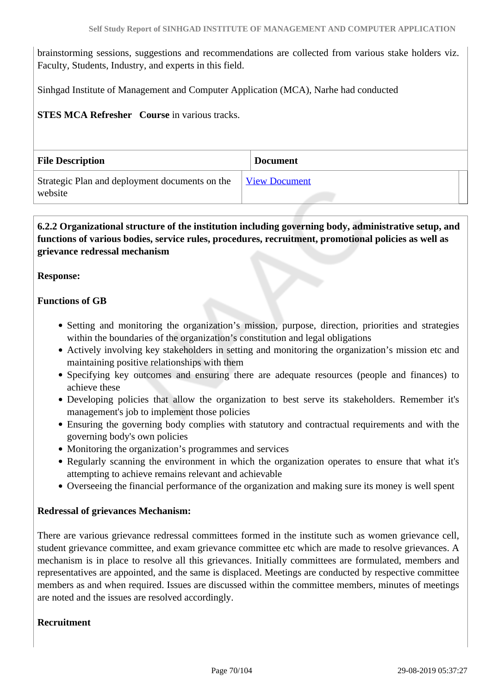brainstorming sessions, suggestions and recommendations are collected from various stake holders viz. Faculty, Students, Industry, and experts in this field.

Sinhgad Institute of Management and Computer Application (MCA), Narhe had conducted

#### **STES MCA Refresher Course in various tracks.**

| <b>File Description</b>                                   | <b>Document</b>      |
|-----------------------------------------------------------|----------------------|
| Strategic Plan and deployment documents on the<br>website | <b>View Document</b> |

## **6.2.2 Organizational structure of the institution including governing body, administrative setup, and functions of various bodies, service rules, procedures, recruitment, promotional policies as well as grievance redressal mechanism**

#### **Response:**

#### **Functions of GB**

- Setting and monitoring the organization's mission, purpose, direction, priorities and strategies within the boundaries of the organization's constitution and legal obligations
- Actively involving key stakeholders in setting and monitoring the organization's mission etc and maintaining positive relationships with them
- Specifying key outcomes and ensuring there are adequate resources (people and finances) to achieve these
- Developing policies that allow the organization to best serve its stakeholders. Remember it's management's job to implement those policies
- Ensuring the governing body complies with statutory and contractual requirements and with the governing body's own policies
- Monitoring the organization's programmes and services
- Regularly scanning the environment in which the organization operates to ensure that what it's attempting to achieve remains relevant and achievable
- Overseeing the financial performance of the organization and making sure its money is well spent

#### **Redressal of grievances Mechanism:**

There are various grievance redressal committees formed in the institute such as women grievance cell, student grievance committee, and exam grievance committee etc which are made to resolve grievances. A mechanism is in place to resolve all this grievances. Initially committees are formulated, members and representatives are appointed, and the same is displaced. Meetings are conducted by respective committee members as and when required. Issues are discussed within the committee members, minutes of meetings are noted and the issues are resolved accordingly.

#### **Recruitment**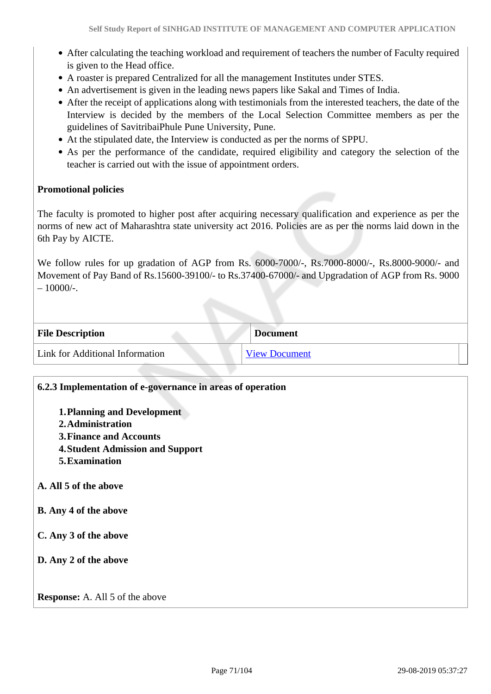- After calculating the teaching workload and requirement of teachers the number of Faculty required is given to the Head office.
- A roaster is prepared Centralized for all the management Institutes under STES.
- An advertisement is given in the leading news papers like Sakal and Times of India.
- After the receipt of applications along with testimonials from the interested teachers, the date of the Interview is decided by the members of the Local Selection Committee members as per the guidelines of SavitribaiPhule Pune University, Pune.
- At the stipulated date, the Interview is conducted as per the norms of SPPU.
- As per the performance of the candidate, required eligibility and category the selection of the teacher is carried out with the issue of appointment orders.

#### **Promotional policies**

The faculty is promoted to higher post after acquiring necessary qualification and experience as per the norms of new act of Maharashtra state university act 2016. Policies are as per the norms laid down in the 6th Pay by AICTE.

We follow rules for up gradation of AGP from Rs. 6000-7000/-, Rs.7000-8000/-, Rs.8000-9000/- and Movement of Pay Band of Rs.15600-39100/- to Rs.37400-67000/- and Upgradation of AGP from Rs. 9000  $-10000/-$ .

| <b>File Description</b>         | <b>Document</b>      |
|---------------------------------|----------------------|
| Link for Additional Information | <b>View Document</b> |

| 6.2.3 Implementation of e-governance in areas of operation |
|------------------------------------------------------------|
| <b>1. Planning and Development</b>                         |
| 2. Administration                                          |
| <b>3. Finance and Accounts</b>                             |
| <b>4. Student Admission and Support</b>                    |
| 5. Examination                                             |
| A. All 5 of the above<br><b>B.</b> Any 4 of the above      |
|                                                            |
| C. Any 3 of the above                                      |
| D. Any 2 of the above                                      |
|                                                            |
| <b>Response:</b> A. All 5 of the above                     |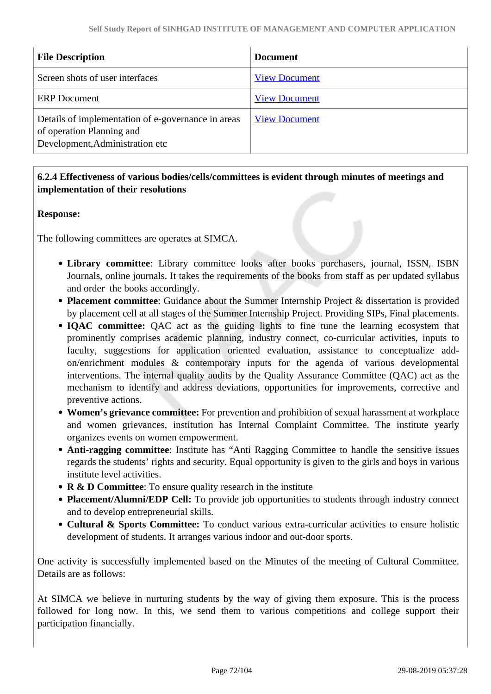| <b>File Description</b>                                                                                            | <b>Document</b>      |
|--------------------------------------------------------------------------------------------------------------------|----------------------|
| Screen shots of user interfaces                                                                                    | <b>View Document</b> |
| <b>ERP</b> Document                                                                                                | <b>View Document</b> |
| Details of implementation of e-governance in areas<br>of operation Planning and<br>Development, Administration etc | <b>View Document</b> |

## **6.2.4 Effectiveness of various bodies/cells/committees is evident through minutes of meetings and implementation of their resolutions**

## **Response:**

The following committees are operates at SIMCA.

- **Library committee**: Library committee looks after books purchasers, journal, ISSN, ISBN Journals, online journals. It takes the requirements of the books from staff as per updated syllabus and order the books accordingly.
- **Placement committee**: Guidance about the Summer Internship Project & dissertation is provided by placement cell at all stages of the Summer Internship Project. Providing SIPs, Final placements.
- **IOAC committee:** OAC act as the guiding lights to fine tune the learning ecosystem that prominently comprises academic planning, industry connect, co-curricular activities, inputs to faculty, suggestions for application oriented evaluation, assistance to conceptualize addon/enrichment modules & contemporary inputs for the agenda of various developmental interventions. The internal quality audits by the Quality Assurance Committee (QAC) act as the mechanism to identify and address deviations, opportunities for improvements, corrective and preventive actions.
- **Women's grievance committee:** For prevention and prohibition of sexual harassment at workplace and women grievances, institution has Internal Complaint Committee. The institute yearly organizes events on women empowerment.
- **Anti-ragging committee**: Institute has "Anti Ragging Committee to handle the sensitive issues regards the students' rights and security. Equal opportunity is given to the girls and boys in various institute level activities.
- **R & D Committee**: To ensure quality research in the institute
- **Placement/Alumni/EDP Cell:** To provide job opportunities to students through industry connect and to develop entrepreneurial skills.
- **Cultural & Sports Committee:** To conduct various extra-curricular activities to ensure holistic development of students. It arranges various indoor and out-door sports.

One activity is successfully implemented based on the Minutes of the meeting of Cultural Committee. Details are as follows:

At SIMCA we believe in nurturing students by the way of giving them exposure. This is the process followed for long now. In this, we send them to various competitions and college support their participation financially.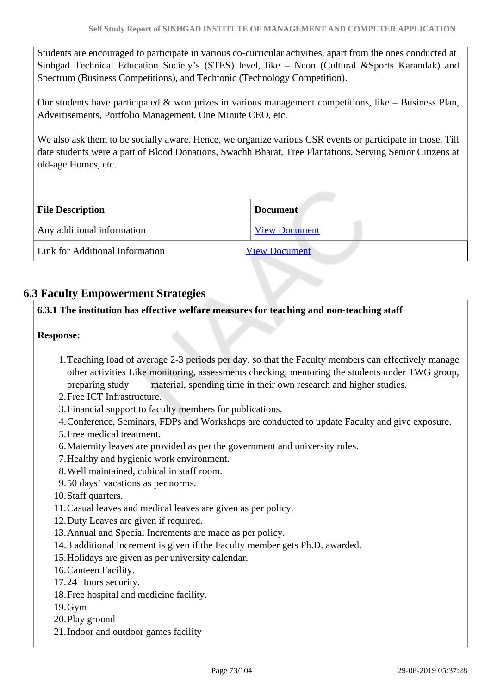Students are encouraged to participate in various co-curricular activities, apart from the ones conducted at Sinhgad Technical Education Society's (STES) level, like – Neon (Cultural &Sports Karandak) and Spectrum (Business Competitions), and Techtonic (Technology Competition).

Our students have participated & won prizes in various management competitions, like – Business Plan, Advertisements, Portfolio Management, One Minute CEO, etc.

We also ask them to be socially aware. Hence, we organize various CSR events or participate in those. Till date students were a part of Blood Donations, Swachh Bharat, Tree Plantations, Serving Senior Citizens at old-age Homes, etc.

| <b>File Description</b>         | <b>Document</b>      |
|---------------------------------|----------------------|
| Any additional information      | <b>View Document</b> |
| Link for Additional Information | <b>View Document</b> |

# **6.3 Faculty Empowerment Strategies**

# **6.3.1 The institution has effective welfare measures for teaching and non-teaching staff**

#### **Response:**

- 1.Teaching load of average 2-3 periods per day, so that the Faculty members can effectively manage other activities Like monitoring, assessments checking, mentoring the students under TWG group, preparing study material, spending time in their own research and higher studies.
- 2.Free ICT Infrastructure.
- 3.Financial support to faculty members for publications.
- 4.Conference, Seminars, FDPs and Workshops are conducted to update Faculty and give exposure.
- 5.Free medical treatment.
- 6.Maternity leaves are provided as per the government and university rules.
- 7.Healthy and hygienic work environment.
- 8.Well maintained, cubical in staff room.
- 9.50 days' vacations as per norms.
- 10.Staff quarters.
- 11.Casual leaves and medical leaves are given as per policy.
- 12.Duty Leaves are given if required.
- 13.Annual and Special Increments are made as per policy.
- 14.3 additional increment is given if the Faculty member gets Ph.D. awarded.
- 15.Holidays are given as per university calendar.
- 16.Canteen Facility.
- 17.24 Hours security.
- 18.Free hospital and medicine facility.
- 19.Gym
- 20.Play ground
- 21.Indoor and outdoor games facility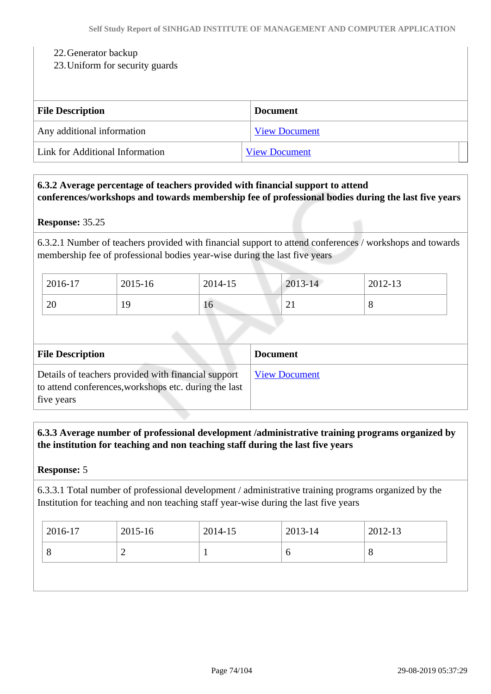#### 22.Generator backup

#### 23.Uniform for security guards

| <b>File Description</b>         | <b>Document</b>      |
|---------------------------------|----------------------|
| Any additional information      | <b>View Document</b> |
| Link for Additional Information | <b>View Document</b> |

#### **6.3.2 Average percentage of teachers provided with financial support to attend conferences/workshops and towards membership fee of professional bodies during the last five years**

#### **Response:** 35.25

6.3.2.1 Number of teachers provided with financial support to attend conferences / workshops and towards membership fee of professional bodies year-wise during the last five years

| 2016-17 | 2015-16 | 2014-15 | $2013 - 14$ | 2012-13 |
|---------|---------|---------|-------------|---------|
| 20      | 19      | 16      | $\sim$ 1    | U       |

| <b>File Description</b>                                                                                                    | <b>Document</b>      |
|----------------------------------------------------------------------------------------------------------------------------|----------------------|
| Details of teachers provided with financial support<br>to attend conferences, workshops etc. during the last<br>five years | <b>View Document</b> |

 **6.3.3 Average number of professional development /administrative training programs organized by the institution for teaching and non teaching staff during the last five years**

#### **Response:** 5

6.3.3.1 Total number of professional development / administrative training programs organized by the Institution for teaching and non teaching staff year-wise during the last five years

| 2016-17 | 2015-16 | 2014-15 | 2013-14 | 2012-13 |
|---------|---------|---------|---------|---------|
|         |         | л.      | v       | $\circ$ |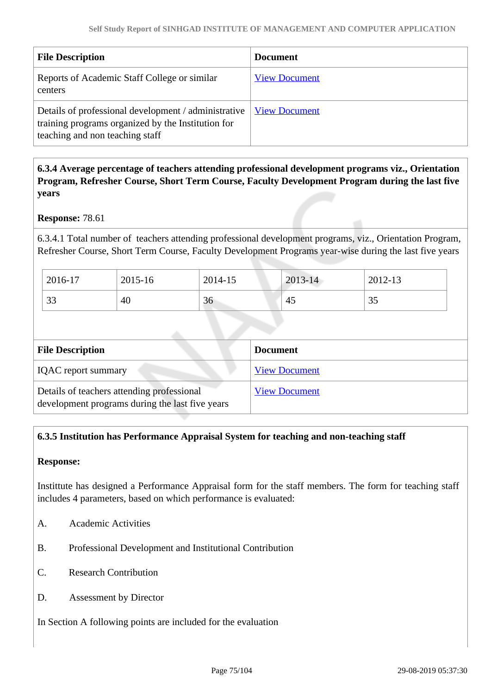| <b>File Description</b>                                                                                                                       | <b>Document</b>      |
|-----------------------------------------------------------------------------------------------------------------------------------------------|----------------------|
| Reports of Academic Staff College or similar<br>centers                                                                                       | <b>View Document</b> |
| Details of professional development / administrative<br>training programs organized by the Institution for<br>teaching and non teaching staff | <b>View Document</b> |

# **6.3.4 Average percentage of teachers attending professional development programs viz., Orientation Program, Refresher Course, Short Term Course, Faculty Development Program during the last five years**

#### **Response:** 78.61

6.3.4.1 Total number of teachers attending professional development programs, viz., Orientation Program, Refresher Course, Short Term Course, Faculty Development Programs year-wise during the last five years

| 2016-17        | 2015-16 | 2014-15 | 2013-14 | 2012-13 |
|----------------|---------|---------|---------|---------|
| $\Omega$<br>33 | 40      | 36      | 45      | 35      |

| <b>File Description</b>                                                                       | <b>Document</b>      |
|-----------------------------------------------------------------------------------------------|----------------------|
| <b>IQAC</b> report summary                                                                    | <b>View Document</b> |
| Details of teachers attending professional<br>development programs during the last five years | <b>View Document</b> |

# **6.3.5 Institution has Performance Appraisal System for teaching and non-teaching staff**

#### **Response:**

Instittute has designed a Performance Appraisal form for the staff members. The form for teaching staff includes 4 parameters, based on which performance is evaluated:

- A. Academic Activities
- B. Professional Development and Institutional Contribution
- C. Research Contribution
- D. Assessment by Director

In Section A following points are included for the evaluation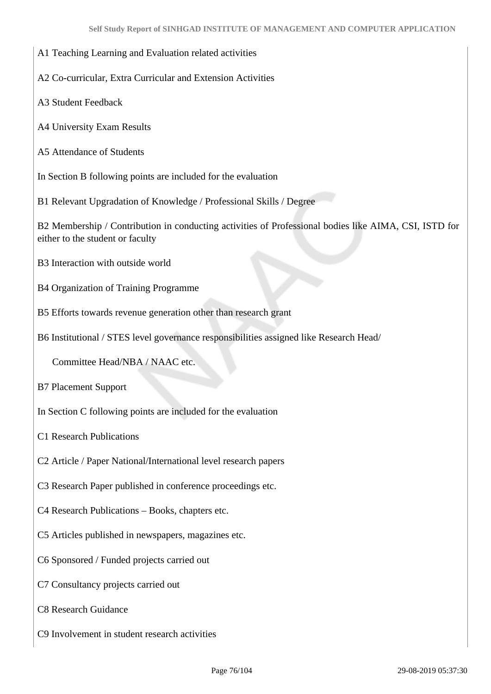#### A1 Teaching Learning and Evaluation related activities

A2 Co-curricular, Extra Curricular and Extension Activities

A3 Student Feedback

A4 University Exam Results

A5 Attendance of Students

In Section B following points are included for the evaluation

B1 Relevant Upgradation of Knowledge / Professional Skills / Degree

B2 Membership / Contribution in conducting activities of Professional bodies like AIMA, CSI, ISTD for either to the student or faculty

B3 Interaction with outside world

B4 Organization of Training Programme

B5 Efforts towards revenue generation other than research grant

B6 Institutional / STES level governance responsibilities assigned like Research Head/

Committee Head/NBA / NAAC etc.

B7 Placement Support

In Section C following points are included for the evaluation

C1 Research Publications

C2 Article / Paper National/International level research papers

C3 Research Paper published in conference proceedings etc.

C4 Research Publications – Books, chapters etc.

C5 Articles published in newspapers, magazines etc.

C6 Sponsored / Funded projects carried out

C7 Consultancy projects carried out

C8 Research Guidance

C9 Involvement in student research activities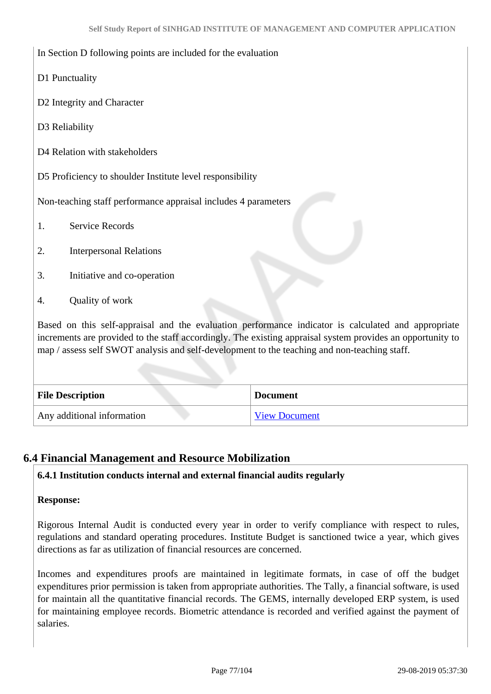#### In Section D following points are included for the evaluation

- D1 Punctuality
- D2 Integrity and Character
- D3 Reliability
- D<sub>4</sub> Relation with stakeholders

D5 Proficiency to shoulder Institute level responsibility

Non-teaching staff performance appraisal includes 4 parameters

- 1. Service Records
- 2. Interpersonal Relations
- 3. Initiative and co-operation
- 4. Quality of work

Based on this self-appraisal and the evaluation performance indicator is calculated and appropriate increments are provided to the staff accordingly. The existing appraisal system provides an opportunity to map / assess self SWOT analysis and self-development to the teaching and non-teaching staff.

| <b>File Description</b>    | <b>Document</b>      |
|----------------------------|----------------------|
| Any additional information | <b>View Document</b> |

# **6.4 Financial Management and Resource Mobilization**

#### **6.4.1 Institution conducts internal and external financial audits regularly**

#### **Response:**

Rigorous Internal Audit is conducted every year in order to verify compliance with respect to rules, regulations and standard operating procedures. Institute Budget is sanctioned twice a year, which gives directions as far as utilization of financial resources are concerned.

Incomes and expenditures proofs are maintained in legitimate formats, in case of off the budget expenditures prior permission is taken from appropriate authorities. The Tally, a financial software, is used for maintain all the quantitative financial records. The GEMS, internally developed ERP system, is used for maintaining employee records. Biometric attendance is recorded and verified against the payment of salaries.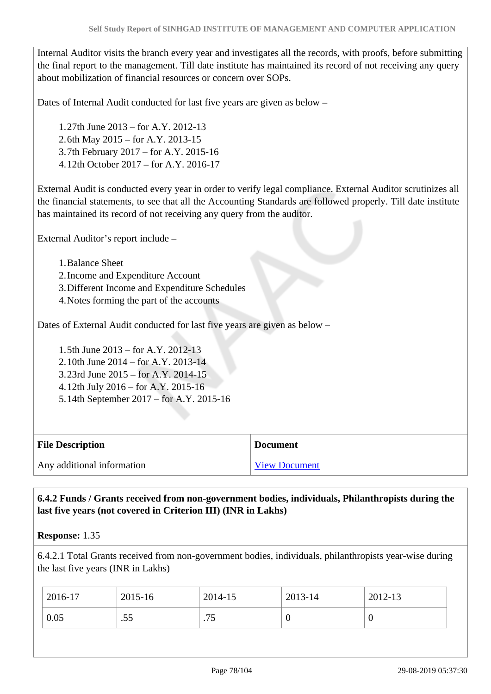Internal Auditor visits the branch every year and investigates all the records, with proofs, before submitting the final report to the management. Till date institute has maintained its record of not receiving any query about mobilization of financial resources or concern over SOPs.

Dates of Internal Audit conducted for last five years are given as below –

1.27th June 2013 – for A.Y. 2012-13 2.6th May 2015 – for A.Y. 2013-15 3.7th February 2017 – for A.Y. 2015-16 4.12th October 2017 – for A.Y. 2016-17

External Audit is conducted every year in order to verify legal compliance. External Auditor scrutinizes all the financial statements, to see that all the Accounting Standards are followed properly. Till date institute has maintained its record of not receiving any query from the auditor.

External Auditor's report include –

1.Balance Sheet

2.Income and Expenditure Account

3.Different Income and Expenditure Schedules

4.Notes forming the part of the accounts

Dates of External Audit conducted for last five years are given as below –

1.5th June 2013 – for A.Y. 2012-13 2.10th June 2014 – for A.Y. 2013-14 3.23rd June 2015 – for A.Y. 2014-15 4.12th July 2016 – for A.Y. 2015-16 5.14th September 2017 – for A.Y. 2015-16

| <b>File Description</b>    | <b>Document</b>      |
|----------------------------|----------------------|
| Any additional information | <b>View Document</b> |

 **6.4.2 Funds / Grants received from non-government bodies, individuals, Philanthropists during the last five years (not covered in Criterion III) (INR in Lakhs)**

**Response:** 1.35

6.4.2.1 Total Grants received from non-government bodies, individuals, philanthropists year-wise during the last five years (INR in Lakhs)

| 0.05<br>.55<br>75<br>.<br>ν | 2016-17 | 2015-16 | 2014-15 | 2013-14 | 2012-13 |
|-----------------------------|---------|---------|---------|---------|---------|
|                             |         |         |         |         |         |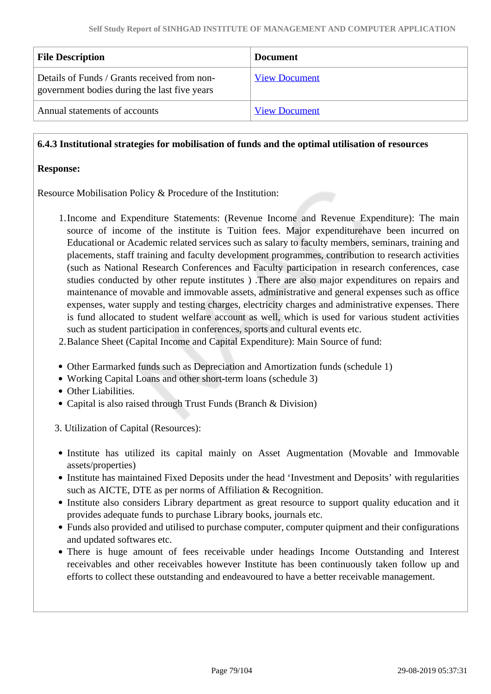| <b>File Description</b>                                                                      | <b>Document</b>      |
|----------------------------------------------------------------------------------------------|----------------------|
| Details of Funds / Grants received from non-<br>government bodies during the last five years | <b>View Document</b> |
| Annual statements of accounts                                                                | <b>View Document</b> |

#### **6.4.3 Institutional strategies for mobilisation of funds and the optimal utilisation of resources**

#### **Response:**

Resource Mobilisation Policy & Procedure of the Institution:

- 1.Income and Expenditure Statements: (Revenue Income and Revenue Expenditure): The main source of income of the institute is Tuition fees. Major expenditurehave been incurred on Educational or Academic related services such as salary to faculty members, seminars, training and placements, staff training and faculty development programmes, contribution to research activities (such as National Research Conferences and Faculty participation in research conferences, case studies conducted by other repute institutes ) .There are also major expenditures on repairs and maintenance of movable and immovable assets, administrative and general expenses such as office expenses, water supply and testing charges, electricity charges and administrative expenses. There is fund allocated to student welfare account as well, which is used for various student activities such as student participation in conferences, sports and cultural events etc.
- 2.Balance Sheet (Capital Income and Capital Expenditure): Main Source of fund:
- Other Earmarked funds such as Depreciation and Amortization funds (schedule 1)
- Working Capital Loans and other short-term loans (schedule 3)
- Other Liabilities.
- Capital is also raised through Trust Funds (Branch & Division)

3. Utilization of Capital (Resources):

- Institute has utilized its capital mainly on Asset Augmentation (Movable and Immovable assets/properties)
- Institute has maintained Fixed Deposits under the head 'Investment and Deposits' with regularities such as AICTE, DTE as per norms of Affiliation & Recognition.
- Institute also considers Library department as great resource to support quality education and it provides adequate funds to purchase Library books, journals etc.
- Funds also provided and utilised to purchase computer, computer quipment and their configurations and updated softwares etc.
- There is huge amount of fees receivable under headings Income Outstanding and Interest receivables and other receivables however Institute has been continuously taken follow up and efforts to collect these outstanding and endeavoured to have a better receivable management.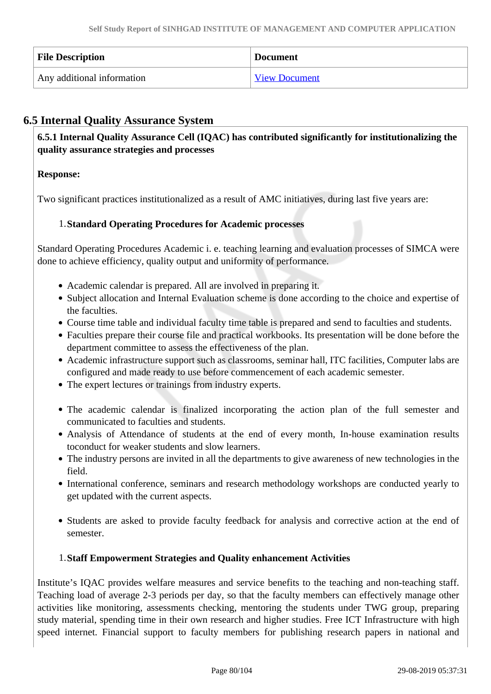| <b>File Description</b>    | <b>Document</b>      |
|----------------------------|----------------------|
| Any additional information | <b>View Document</b> |

# **6.5 Internal Quality Assurance System**

 **6.5.1 Internal Quality Assurance Cell (IQAC) has contributed significantly for institutionalizing the quality assurance strategies and processes**

# **Response:**

Two significant practices institutionalized as a result of AMC initiatives, during last five years are:

# 1.**Standard Operating Procedures for Academic processes**

Standard Operating Procedures Academic i. e. teaching learning and evaluation processes of SIMCA were done to achieve efficiency, quality output and uniformity of performance.

- Academic calendar is prepared. All are involved in preparing it.
- Subject allocation and Internal Evaluation scheme is done according to the choice and expertise of the faculties.
- Course time table and individual faculty time table is prepared and send to faculties and students.
- Faculties prepare their course file and practical workbooks. Its presentation will be done before the department committee to assess the effectiveness of the plan.
- Academic infrastructure support such as classrooms, seminar hall, ITC facilities, Computer labs are configured and made ready to use before commencement of each academic semester.
- The expert lectures or trainings from industry experts.
- The academic calendar is finalized incorporating the action plan of the full semester and communicated to faculties and students.
- Analysis of Attendance of students at the end of every month, In-house examination results toconduct for weaker students and slow learners.
- The industry persons are invited in all the departments to give awareness of new technologies in the field.
- International conference, seminars and research methodology workshops are conducted yearly to get updated with the current aspects.
- Students are asked to provide faculty feedback for analysis and corrective action at the end of semester.

#### 1.**Staff Empowerment Strategies and Quality enhancement Activities**

Institute's IQAC provides welfare measures and service benefits to the teaching and non-teaching staff. Teaching load of average 2-3 periods per day, so that the faculty members can effectively manage other activities like monitoring, assessments checking, mentoring the students under TWG group, preparing study material, spending time in their own research and higher studies. Free ICT Infrastructure with high speed internet. Financial support to faculty members for publishing research papers in national and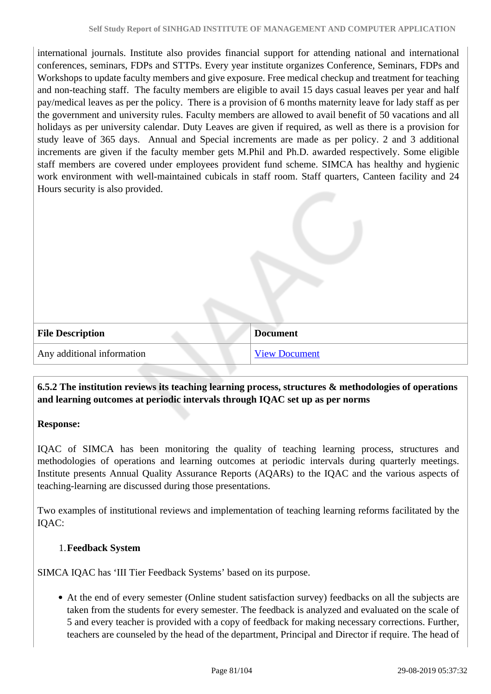international journals. Institute also provides financial support for attending national and international conferences, seminars, FDPs and STTPs. Every year institute organizes Conference, Seminars, FDPs and Workshops to update faculty members and give exposure. Free medical checkup and treatment for teaching and non-teaching staff. The faculty members are eligible to avail 15 days casual leaves per year and half pay/medical leaves as per the policy. There is a provision of 6 months maternity leave for lady staff as per the government and university rules. Faculty members are allowed to avail benefit of 50 vacations and all holidays as per university calendar. Duty Leaves are given if required, as well as there is a provision for study leave of 365 days. Annual and Special increments are made as per policy. 2 and 3 additional increments are given if the faculty member gets M.Phil and Ph.D. awarded respectively. Some eligible staff members are covered under employees provident fund scheme. SIMCA has healthy and hygienic work environment with well-maintained cubicals in staff room. Staff quarters, Canteen facility and 24 Hours security is also provided.

| <b>File Description</b>    | <b>Document</b>      |
|----------------------------|----------------------|
| Any additional information | <b>View Document</b> |

# **6.5.2 The institution reviews its teaching learning process, structures & methodologies of operations and learning outcomes at periodic intervals through IQAC set up as per norms**

#### **Response:**

IQAC of SIMCA has been monitoring the quality of teaching learning process, structures and methodologies of operations and learning outcomes at periodic intervals during quarterly meetings. Institute presents Annual Quality Assurance Reports (AQARs) to the IQAC and the various aspects of teaching-learning are discussed during those presentations.

Two examples of institutional reviews and implementation of teaching learning reforms facilitated by the IQAC:

#### 1.**Feedback System**

SIMCA IQAC has 'III Tier Feedback Systems' based on its purpose.

At the end of every semester (Online student satisfaction survey) feedbacks on all the subjects are taken from the students for every semester. The feedback is analyzed and evaluated on the scale of 5 and every teacher is provided with a copy of feedback for making necessary corrections. Further, teachers are counseled by the head of the department, Principal and Director if require. The head of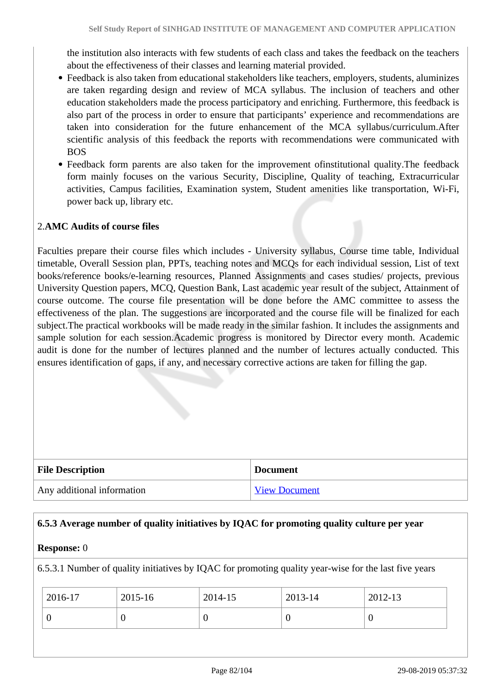the institution also interacts with few students of each class and takes the feedback on the teachers about the effectiveness of their classes and learning material provided.

- Feedback is also taken from educational stakeholders like teachers, employers, students, aluminizes are taken regarding design and review of MCA syllabus. The inclusion of teachers and other education stakeholders made the process participatory and enriching. Furthermore, this feedback is also part of the process in order to ensure that participants' experience and recommendations are taken into consideration for the future enhancement of the MCA syllabus/curriculum.After scientific analysis of this feedback the reports with recommendations were communicated with BOS
- Feedback form parents are also taken for the improvement ofinstitutional quality.The feedback form mainly focuses on the various Security, Discipline, Quality of teaching, Extracurricular activities, Campus facilities, Examination system, Student amenities like transportation, Wi-Fi, power back up, library etc.

# 2.**AMC Audits of course files**

Faculties prepare their course files which includes - University syllabus, Course time table, Individual timetable, Overall Session plan, PPTs, teaching notes and MCQs for each individual session, List of text books/reference books/e-learning resources, Planned Assignments and cases studies/ projects, previous University Question papers, MCQ, Question Bank, Last academic year result of the subject, Attainment of course outcome. The course file presentation will be done before the AMC committee to assess the effectiveness of the plan. The suggestions are incorporated and the course file will be finalized for each subject.The practical workbooks will be made ready in the similar fashion. It includes the assignments and sample solution for each session.Academic progress is monitored by Director every month. Academic audit is done for the number of lectures planned and the number of lectures actually conducted. This ensures identification of gaps, if any, and necessary corrective actions are taken for filling the gap.

| <b>File Description</b>    | <b>Document</b>      |
|----------------------------|----------------------|
| Any additional information | <b>View Document</b> |

#### **6.5.3 Average number of quality initiatives by IQAC for promoting quality culture per year**

#### **Response:** 0

6.5.3.1 Number of quality initiatives by IQAC for promoting quality year-wise for the last five years

| 2016-17 | 2015-16 | 2014-15 | 2013-14 | 2012-13 |
|---------|---------|---------|---------|---------|
|         |         |         |         |         |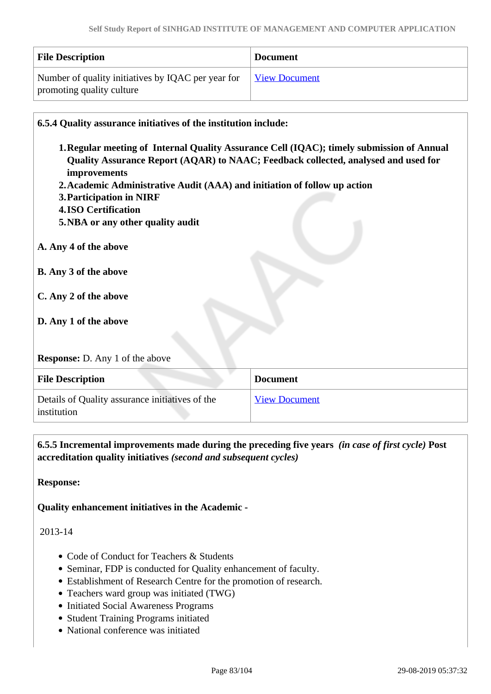| <b>File Description</b>                            | <b>Document</b> |
|----------------------------------------------------|-----------------|
| Number of quality initiatives by IQAC per year for | View Document   |
| promoting quality culture                          |                 |

| 6.5.4 Quality assurance initiatives of the institution include:           |                                                                                           |
|---------------------------------------------------------------------------|-------------------------------------------------------------------------------------------|
|                                                                           | 1. Regular meeting of Internal Quality Assurance Cell (IQAC); timely submission of Annual |
| improvements                                                              | Quality Assurance Report (AQAR) to NAAC; Feedback collected, analysed and used for        |
| 2. Academic Administrative Audit (AAA) and initiation of follow up action |                                                                                           |
| 3. Participation in NIRF                                                  |                                                                                           |
| <b>4.ISO Certification</b>                                                |                                                                                           |
| 5. NBA or any other quality audit                                         |                                                                                           |
| A. Any 4 of the above                                                     |                                                                                           |
| <b>B.</b> Any 3 of the above                                              |                                                                                           |
| C. Any 2 of the above                                                     |                                                                                           |
|                                                                           |                                                                                           |
| D. Any 1 of the above                                                     |                                                                                           |
|                                                                           |                                                                                           |
| <b>Response:</b> D. Any 1 of the above                                    |                                                                                           |
| <b>File Description</b>                                                   | <b>Document</b>                                                                           |
| Details of Quality assurance initiatives of the<br>institution            | <b>View Document</b>                                                                      |

 **6.5.5 Incremental improvements made during the preceding five years** *(in case of first cycle)* **Post accreditation quality initiatives** *(second and subsequent cycles)*

**Response:** 

**Quality enhancement initiatives in the Academic -**

2013-14

- Code of Conduct for Teachers & Students
- Seminar, FDP is conducted for Quality enhancement of faculty.
- Establishment of Research Centre for the promotion of research.
- Teachers ward group was initiated (TWG)
- Initiated Social Awareness Programs
- Student Training Programs initiated
- National conference was initiated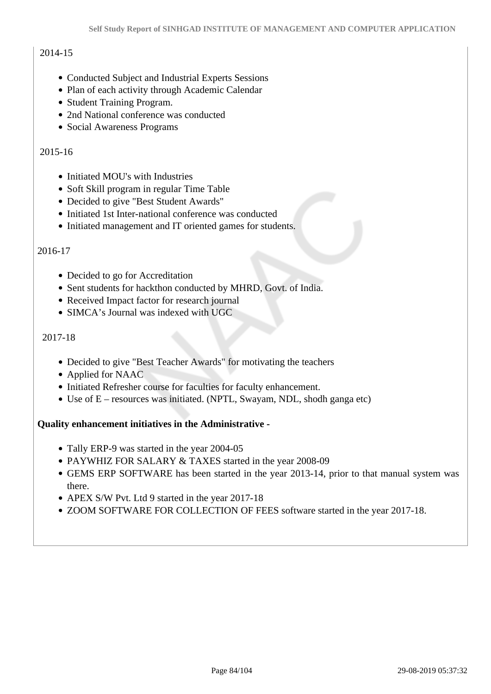# 2014-15

- Conducted Subject and Industrial Experts Sessions
- Plan of each activity through Academic Calendar
- Student Training Program.
- 2nd National conference was conducted
- Social Awareness Programs

#### 2015-16

- Initiated MOU's with Industries
- Soft Skill program in regular Time Table
- Decided to give "Best Student Awards"
- Initiated 1st Inter-national conference was conducted
- Initiated management and IT oriented games for students.

#### 2016-17

- Decided to go for Accreditation
- Sent students for hackthon conducted by MHRD, Govt. of India.
- Received Impact factor for research journal
- SIMCA's Journal was indexed with UGC

#### 2017-18

- Decided to give "Best Teacher Awards" for motivating the teachers
- Applied for NAAC
- Initiated Refresher course for faculties for faculty enhancement.
- Use of E resources was initiated. (NPTL, Swayam, NDL, shodh ganga etc)

#### **Quality enhancement initiatives in the Administrative -**

- Tally ERP-9 was started in the year 2004-05
- PAYWHIZ FOR SALARY & TAXES started in the year 2008-09
- GEMS ERP SOFTWARE has been started in the year 2013-14, prior to that manual system was there.
- APEX S/W Pvt. Ltd 9 started in the year 2017-18
- ZOOM SOFTWARE FOR COLLECTION OF FEES software started in the year 2017-18.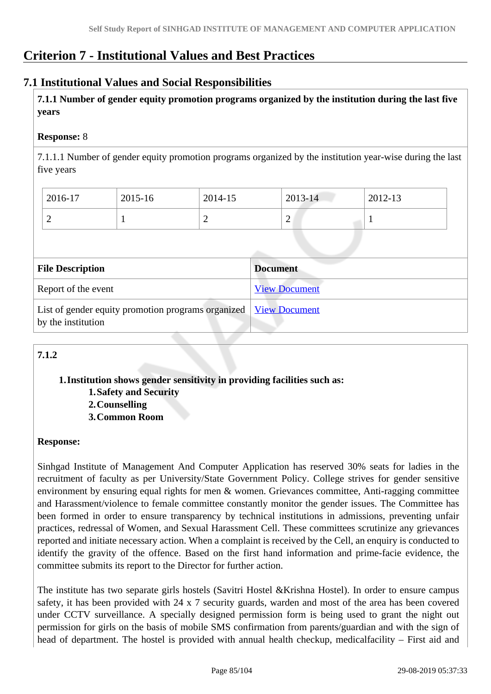# **Criterion 7 - Institutional Values and Best Practices**

# **7.1 Institutional Values and Social Responsibilities**

 **7.1.1 Number of gender equity promotion programs organized by the institution during the last five years** 

#### **Response:** 8

7.1.1.1 Number of gender equity promotion programs organized by the institution year-wise during the last five years

| $2016-17$ | 2015-16 | 2014-15 | 2013-14 | 2012-13 |
|-----------|---------|---------|---------|---------|
| ∽         |         | ∽       | ∼       |         |

| <b>File Description</b>                                                                       | <b>Document</b>      |
|-----------------------------------------------------------------------------------------------|----------------------|
| Report of the event                                                                           | <b>View Document</b> |
| List of gender equity promotion programs organized <u>View Document</u><br>by the institution |                      |

# **7.1.2**

#### **1.Institution shows gender sensitivity in providing facilities such as: 1.Safety and Security 2.Counselling 3.Common Room**

**Response:** 

Sinhgad Institute of Management And Computer Application has reserved 30% seats for ladies in the recruitment of faculty as per University/State Government Policy. College strives for gender sensitive environment by ensuring equal rights for men & women. Grievances committee, Anti-ragging committee and Harassment/violence to female committee constantly monitor the gender issues. The Committee has been formed in order to ensure transparency by technical institutions in admissions, preventing unfair practices, redressal of Women, and Sexual Harassment Cell. These committees scrutinize any grievances reported and initiate necessary action. When a complaint is received by the Cell, an enquiry is conducted to identify the gravity of the offence. Based on the first hand information and prime-facie evidence, the committee submits its report to the Director for further action.

The institute has two separate girls hostels (Savitri Hostel &Krishna Hostel). In order to ensure campus safety, it has been provided with 24 x 7 security guards, warden and most of the area has been covered under CCTV surveillance. A specially designed permission form is being used to grant the night out permission for girls on the basis of mobile SMS confirmation from parents/guardian and with the sign of head of department. The hostel is provided with annual health checkup, medicalfacility – First aid and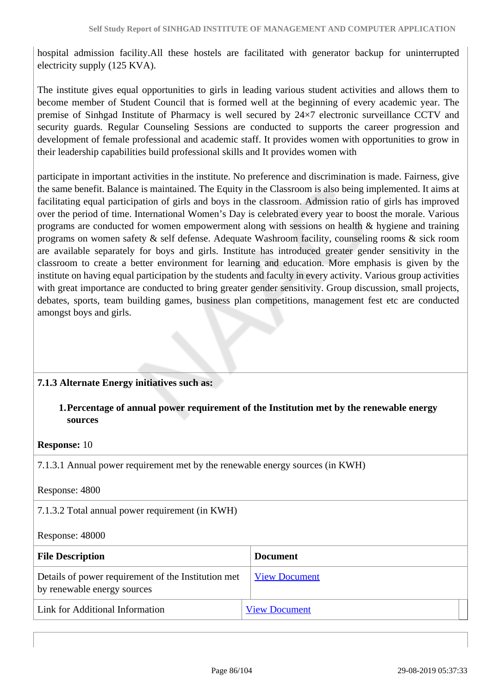hospital admission facility.All these hostels are facilitated with generator backup for uninterrupted electricity supply (125 KVA).

The institute gives equal opportunities to girls in leading various student activities and allows them to become member of Student Council that is formed well at the beginning of every academic year. The premise of Sinhgad Institute of Pharmacy is well secured by 24×7 electronic surveillance CCTV and security guards. Regular Counseling Sessions are conducted to supports the career progression and development of female professional and academic staff. It provides women with opportunities to grow in their leadership capabilities build professional skills and It provides women with

participate in important activities in the institute. No preference and discrimination is made. Fairness, give the same benefit. Balance is maintained. The Equity in the Classroom is also being implemented. It aims at facilitating equal participation of girls and boys in the classroom. Admission ratio of girls has improved over the period of time. International Women's Day is celebrated every year to boost the morale. Various programs are conducted for women empowerment along with sessions on health & hygiene and training programs on women safety & self defense. Adequate Washroom facility, counseling rooms & sick room are available separately for boys and girls. Institute has introduced greater gender sensitivity in the classroom to create a better environment for learning and education. More emphasis is given by the institute on having equal participation by the students and faculty in every activity. Various group activities with great importance are conducted to bring greater gender sensitivity. Group discussion, small projects, debates, sports, team building games, business plan competitions, management fest etc are conducted amongst boys and girls.

#### **7.1.3 Alternate Energy initiatives such as:**

#### **1.Percentage of annual power requirement of the Institution met by the renewable energy sources**

#### **Response:** 10

7.1.3.1 Annual power requirement met by the renewable energy sources (in KWH)

Response: 4800

7.1.3.2 Total annual power requirement (in KWH)

#### Response: 48000

| <b>File Description</b>                                                            | <b>Document</b>      |
|------------------------------------------------------------------------------------|----------------------|
| Details of power requirement of the Institution met<br>by renewable energy sources | <b>View Document</b> |
| Link for Additional Information                                                    | <b>View Document</b> |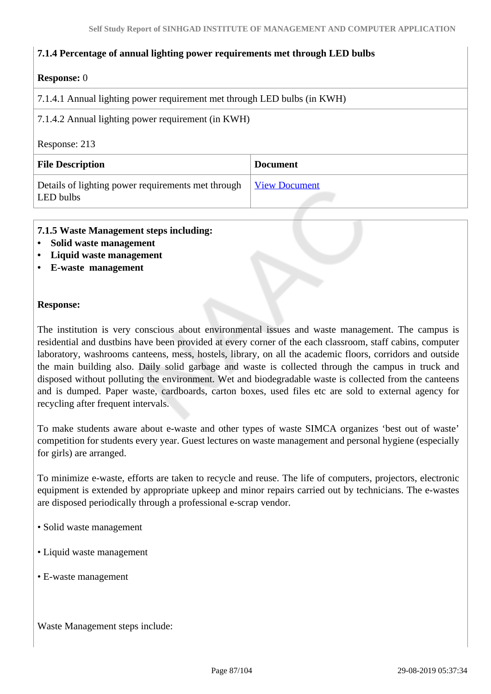#### **7.1.4 Percentage of annual lighting power requirements met through LED bulbs**

#### **Response:** 0

7.1.4.1 Annual lighting power requirement met through LED bulbs (in KWH)

7.1.4.2 Annual lighting power requirement (in KWH)

#### Response: 213

| <b>File Description</b>                                         | <b>Document</b>      |
|-----------------------------------------------------------------|----------------------|
| Details of lighting power requirements met through<br>LED bulbs | <b>View Document</b> |

#### **7.1.5 Waste Management steps including:**

- **Solid waste management**
- **Liquid waste management**
- **E-waste management**

#### **Response:**

The institution is very conscious about environmental issues and waste management. The campus is residential and dustbins have been provided at every corner of the each classroom, staff cabins, computer laboratory, washrooms canteens, mess, hostels, library, on all the academic floors, corridors and outside the main building also. Daily solid garbage and waste is collected through the campus in truck and disposed without polluting the environment. Wet and biodegradable waste is collected from the canteens and is dumped. Paper waste, cardboards, carton boxes, used files etc are sold to external agency for recycling after frequent intervals.

To make students aware about e-waste and other types of waste SIMCA organizes 'best out of waste' competition for students every year. Guest lectures on waste management and personal hygiene (especially for girls) are arranged.

To minimize e-waste, efforts are taken to recycle and reuse. The life of computers, projectors, electronic equipment is extended by appropriate upkeep and minor repairs carried out by technicians. The e-wastes are disposed periodically through a professional e-scrap vendor.

- Solid waste management
- Liquid waste management
- E-waste management

Waste Management steps include: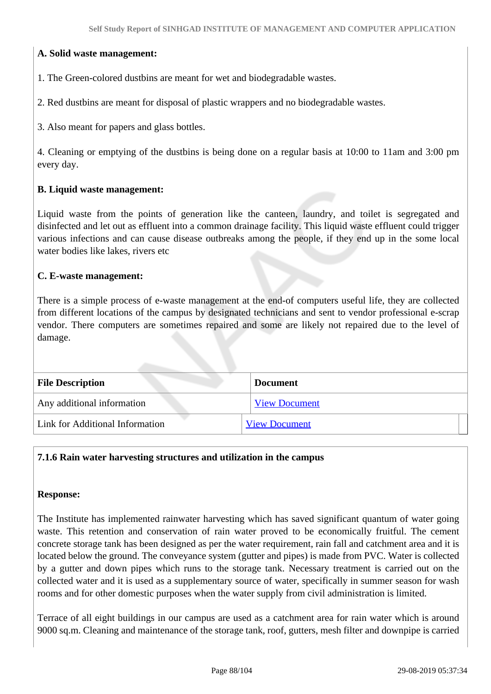#### **A. Solid waste management:**

1. The Green-colored dustbins are meant for wet and biodegradable wastes.

2. Red dustbins are meant for disposal of plastic wrappers and no biodegradable wastes.

3. Also meant for papers and glass bottles.

4. Cleaning or emptying of the dustbins is being done on a regular basis at 10:00 to 11am and 3:00 pm every day.

#### **B. Liquid waste management:**

Liquid waste from the points of generation like the canteen, laundry, and toilet is segregated and disinfected and let out as effluent into a common drainage facility. This liquid waste effluent could trigger various infections and can cause disease outbreaks among the people, if they end up in the some local water bodies like lakes, rivers etc

#### **C. E-waste management:**

There is a simple process of e-waste management at the end-of computers useful life, they are collected from different locations of the campus by designated technicians and sent to vendor professional e-scrap vendor. There computers are sometimes repaired and some are likely not repaired due to the level of damage.

| <b>File Description</b>         | <b>Document</b>      |  |  |
|---------------------------------|----------------------|--|--|
| Any additional information      | <b>View Document</b> |  |  |
| Link for Additional Information | <b>View Document</b> |  |  |

#### **7.1.6 Rain water harvesting structures and utilization in the campus**

#### **Response:**

The Institute has implemented rainwater harvesting which has saved significant quantum of water going waste. This retention and conservation of rain water proved to be economically fruitful. The cement concrete storage tank has been designed as per the water requirement, rain fall and catchment area and it is located below the ground. The conveyance system (gutter and pipes) is made from PVC. Water is collected by a gutter and down pipes which runs to the storage tank. Necessary treatment is carried out on the collected water and it is used as a supplementary source of water, specifically in summer season for wash rooms and for other domestic purposes when the water supply from civil administration is limited.

Terrace of all eight buildings in our campus are used as a catchment area for rain water which is around 9000 sq.m. Cleaning and maintenance of the storage tank, roof, gutters, mesh filter and downpipe is carried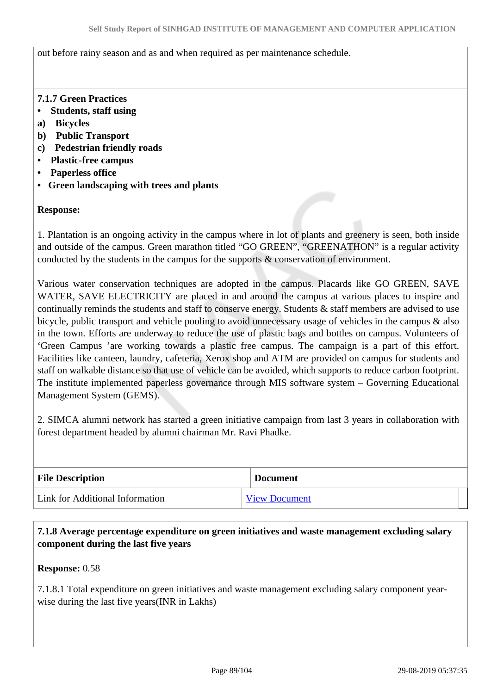out before rainy season and as and when required as per maintenance schedule.

#### **7.1.7 Green Practices**

- **Students, staff using**
- **a) Bicycles**
- **b) Public Transport**
- **c) Pedestrian friendly roads**
- **Plastic-free campus**
- **Paperless office**
- **Green landscaping with trees and plants**

#### **Response:**

1. Plantation is an ongoing activity in the campus where in lot of plants and greenery is seen, both inside and outside of the campus. Green marathon titled "GO GREEN", "GREENATHON" is a regular activity conducted by the students in the campus for the supports & conservation of environment.

Various water conservation techniques are adopted in the campus. Placards like GO GREEN, SAVE WATER, SAVE ELECTRICITY are placed in and around the campus at various places to inspire and continually reminds the students and staff to conserve energy. Students & staff members are advised to use bicycle, public transport and vehicle pooling to avoid unnecessary usage of vehicles in the campus & also in the town. Efforts are underway to reduce the use of plastic bags and bottles on campus. Volunteers of 'Green Campus 'are working towards a plastic free campus. The campaign is a part of this effort. Facilities like canteen, laundry, cafeteria, Xerox shop and ATM are provided on campus for students and staff on walkable distance so that use of vehicle can be avoided, which supports to reduce carbon footprint. The institute implemented paperless governance through MIS software system – Governing Educational Management System (GEMS).

2. SIMCA alumni network has started a green initiative campaign from last 3 years in collaboration with forest department headed by alumni chairman Mr. Ravi Phadke.

| <b>File Description</b>         | <b>Document</b>      |  |
|---------------------------------|----------------------|--|
| Link for Additional Information | <b>View Document</b> |  |

 **7.1.8 Average percentage expenditure on green initiatives and waste management excluding salary component during the last five years**

#### **Response:** 0.58

7.1.8.1 Total expenditure on green initiatives and waste management excluding salary component yearwise during the last five years(INR in Lakhs)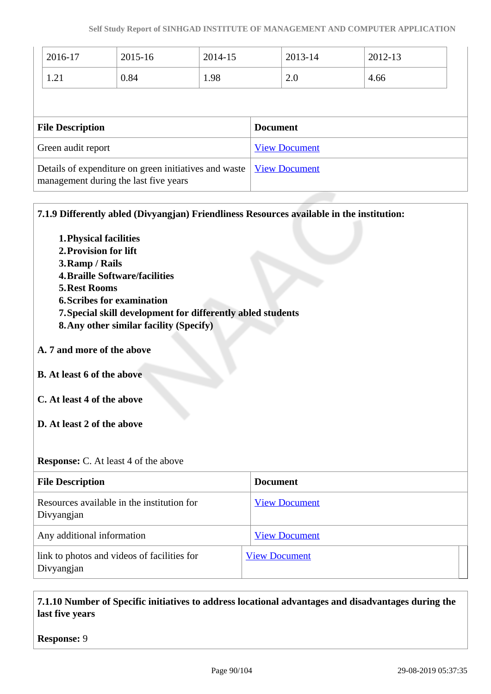| $2015 - 16$                                                                                    | 2014-15 |                      | 2013-14 | 2012-13              |  |
|------------------------------------------------------------------------------------------------|---------|----------------------|---------|----------------------|--|
| 0.84                                                                                           | 1.98    |                      | 2.0     | 4.66                 |  |
|                                                                                                |         |                      |         |                      |  |
| <b>File Description</b>                                                                        |         | <b>Document</b>      |         |                      |  |
| Green audit report                                                                             |         | <b>View Document</b> |         |                      |  |
| Details of expenditure on green initiatives and waste<br>management during the last five years |         |                      |         |                      |  |
|                                                                                                |         |                      |         | <b>View Document</b> |  |

**7.1.9 Differently abled (Divyangjan) Friendliness Resources available in the institution:**

- **1.Physical facilities**
- **2.Provision for lift**
- **3.Ramp / Rails**
- **4.Braille Software/facilities**
- **5.Rest Rooms**
- **6.Scribes for examination**
- **7.Special skill development for differently abled students**
- **8.Any other similar facility (Specify)**
- **A. 7 and more of the above**
- **B. At least 6 of the above**
- **C. At least 4 of the above**
- **D. At least 2 of the above**

**Response:** C. At least 4 of the above

| <b>File Description</b>                                   | <b>Document</b>      |
|-----------------------------------------------------------|----------------------|
| Resources available in the institution for<br>Divyangjan  | <b>View Document</b> |
| Any additional information                                | <b>View Document</b> |
| link to photos and videos of facilities for<br>Divyangjan | <b>View Document</b> |

 **7.1.10 Number of Specific initiatives to address locational advantages and disadvantages during the last five years**

#### **Response:** 9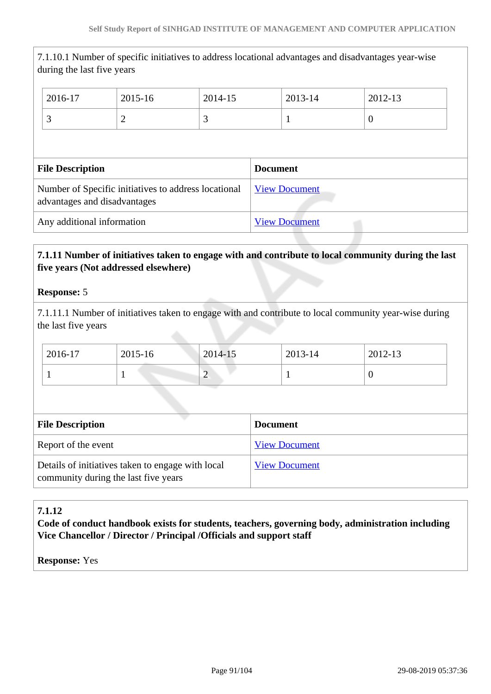| during the last five years                                                           |         |                      | 7.1.10.1 Number of specific initiatives to address locational advantages and disadvantages year-wise |                  |  |
|--------------------------------------------------------------------------------------|---------|----------------------|------------------------------------------------------------------------------------------------------|------------------|--|
| 2016-17                                                                              | 2015-16 | 2014-15              | 2013-14                                                                                              | 2012-13          |  |
| 3                                                                                    | 2       | 3                    | 1                                                                                                    | $\boldsymbol{0}$ |  |
|                                                                                      |         |                      |                                                                                                      |                  |  |
| <b>File Description</b>                                                              |         |                      | <b>Document</b>                                                                                      |                  |  |
| Number of Specific initiatives to address locational<br>advantages and disadvantages |         | <b>View Document</b> |                                                                                                      |                  |  |
| Any additional information                                                           |         |                      | <b>View Document</b>                                                                                 |                  |  |

# **7.1.11 Number of initiatives taken to engage with and contribute to local community during the last five years (Not addressed elsewhere)**

#### **Response:** 5

7.1.11.1 Number of initiatives taken to engage with and contribute to local community year-wise during the last five years

| 2016-17 | 2015-16 | 2014-15 | 2013-14 | 2012-13 |
|---------|---------|---------|---------|---------|
|         |         | ∠       |         | ν       |

| <b>File Description</b>                                                                   | <b>Document</b>      |
|-------------------------------------------------------------------------------------------|----------------------|
| Report of the event                                                                       | <b>View Document</b> |
| Details of initiatives taken to engage with local<br>community during the last five years | <b>View Document</b> |

# **7.1.12**

**Code of conduct handbook exists for students, teachers, governing body, administration including Vice Chancellor / Director / Principal /Officials and support staff**

#### **Response:** Yes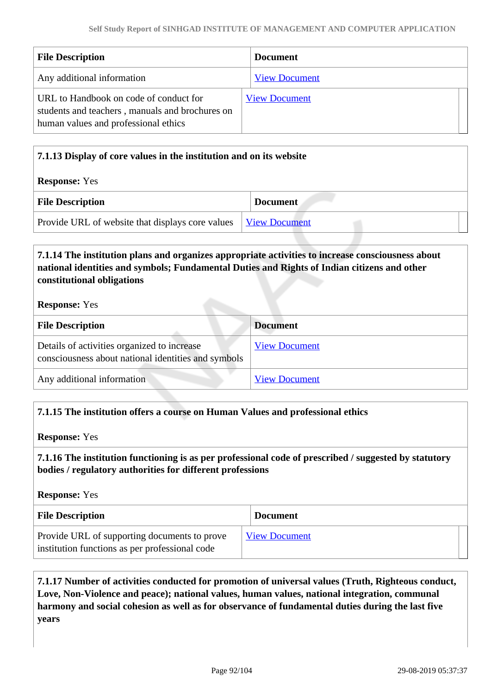| <b>File Description</b>                                                                                                           | <b>Document</b>      |
|-----------------------------------------------------------------------------------------------------------------------------------|----------------------|
| Any additional information                                                                                                        | <b>View Document</b> |
| URL to Handbook on code of conduct for<br>students and teachers, manuals and brochures on<br>human values and professional ethics | <b>View Document</b> |

| 7.1.13 Display of core values in the institution and on its website |                      |  |
|---------------------------------------------------------------------|----------------------|--|
| <b>Response:</b> Yes                                                |                      |  |
| <b>File Description</b>                                             | <b>Document</b>      |  |
| Provide URL of website that displays core values                    | <b>View Document</b> |  |

# **7.1.14 The institution plans and organizes appropriate activities to increase consciousness about national identities and symbols; Fundamental Duties and Rights of Indian citizens and other constitutional obligations**

**Response:** Yes

| <b>File Description</b>                                                                            | <b>Document</b>      |
|----------------------------------------------------------------------------------------------------|----------------------|
| Details of activities organized to increase<br>consciousness about national identities and symbols | <b>View Document</b> |
| Any additional information                                                                         | <b>View Document</b> |

#### **7.1.15 The institution offers a course on Human Values and professional ethics**

**Response:** Yes

 **7.1.16 The institution functioning is as per professional code of prescribed / suggested by statutory bodies / regulatory authorities for different professions**

**Response:** Yes

| <b>File Description</b>                                                                        | <b>Document</b>      |
|------------------------------------------------------------------------------------------------|----------------------|
| Provide URL of supporting documents to prove<br>institution functions as per professional code | <b>View Document</b> |

 **7.1.17 Number of activities conducted for promotion of universal values (Truth, Righteous conduct, Love, Non-Violence and peace); national values, human values, national integration, communal harmony and social cohesion as well as for observance of fundamental duties during the last five years**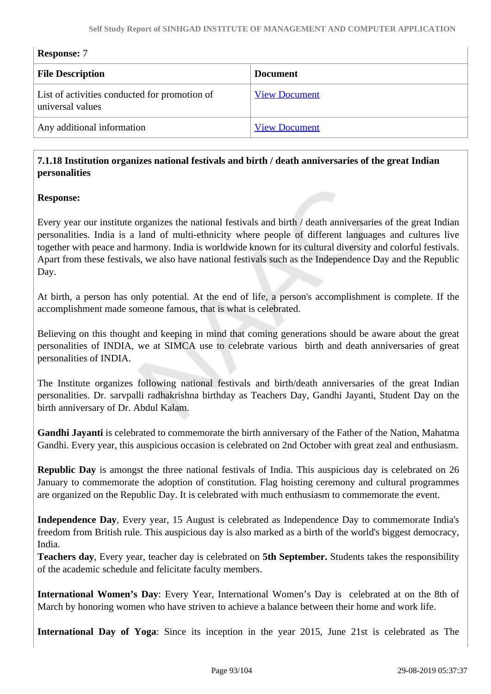| <b>Response: 7</b>                                                |                      |
|-------------------------------------------------------------------|----------------------|
| <b>File Description</b>                                           | <b>Document</b>      |
| List of activities conducted for promotion of<br>universal values | <b>View Document</b> |
| Any additional information                                        | <b>View Document</b> |

# **7.1.18 Institution organizes national festivals and birth / death anniversaries of the great Indian personalities**

#### **Response:**

Every year our institute organizes the national festivals and birth / death anniversaries of the great Indian personalities. India is a land of multi-ethnicity where people of different languages and cultures live together with peace and harmony. India is worldwide known for its cultural diversity and colorful festivals. Apart from these festivals, we also have national festivals such as the Independence Day and the Republic Day.

At birth, a person has only potential. At the end of life, a person's accomplishment is complete. If the accomplishment made someone famous, that is what is celebrated.

Believing on this thought and keeping in mind that coming generations should be aware about the great personalities of INDIA, we at SIMCA use to celebrate various birth and death anniversaries of great personalities of INDIA.

The Institute organizes following national festivals and birth/death anniversaries of the great Indian personalities. Dr. sarvpalli radhakrishna birthday as Teachers Day, Gandhi Jayanti, Student Day on the birth anniversary of Dr. Abdul Kalam.

**Gandhi Jayanti** is celebrated to commemorate the birth anniversary of the Father of the Nation, Mahatma Gandhi. Every year, this auspicious occasion is celebrated on 2nd October with great zeal and enthusiasm.

**Republic Day** is amongst the three national festivals of India. This auspicious day is celebrated on 26 January to commemorate the adoption of constitution. Flag hoisting ceremony and cultural programmes are organized on the Republic Day. It is celebrated with much enthusiasm to commemorate the event.

**Independence Day**, Every year, 15 August is celebrated as Independence Day to commemorate India's freedom from British rule. This auspicious day is also marked as a birth of the world's biggest democracy, India.

**Teachers day**, Every year, teacher day is celebrated on **5th September.** Students takes the responsibility of the academic schedule and felicitate faculty members.

**International Women's Day**: Every Year, International Women's Day is celebrated at on the 8th of March by honoring women who have striven to achieve a balance between their home and work life.

**International Day of Yoga**: Since its inception in the year 2015, June 21st is celebrated as The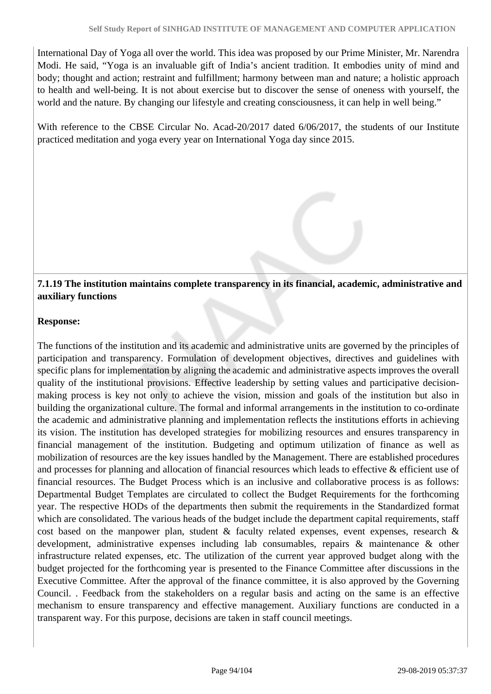International Day of Yoga all over the world. This idea was proposed by our Prime Minister, Mr. Narendra Modi. He said, "Yoga is an invaluable gift of India's ancient tradition. It embodies unity of mind and body; thought and action; restraint and fulfillment; harmony between man and nature; a holistic approach to health and well-being. It is not about exercise but to discover the sense of oneness with yourself, the world and the nature. By changing our lifestyle and creating consciousness, it can help in well being."

With reference to the CBSE Circular No. Acad-20/2017 dated 6/06/2017, the students of our Institute practiced meditation and yoga every year on International Yoga day since 2015.

# **7.1.19 The institution maintains complete transparency in its financial, academic, administrative and auxiliary functions**

# **Response:**

The functions of the institution and its academic and administrative units are governed by the principles of participation and transparency. Formulation of development objectives, directives and guidelines with specific plans for implementation by aligning the academic and administrative aspects improves the overall quality of the institutional provisions. Effective leadership by setting values and participative decisionmaking process is key not only to achieve the vision, mission and goals of the institution but also in building the organizational culture. The formal and informal arrangements in the institution to co-ordinate the academic and administrative planning and implementation reflects the institutions efforts in achieving its vision. The institution has developed strategies for mobilizing resources and ensures transparency in financial management of the institution. Budgeting and optimum utilization of finance as well as mobilization of resources are the key issues handled by the Management. There are established procedures and processes for planning and allocation of financial resources which leads to effective & efficient use of financial resources. The Budget Process which is an inclusive and collaborative process is as follows: Departmental Budget Templates are circulated to collect the Budget Requirements for the forthcoming year. The respective HODs of the departments then submit the requirements in the Standardized format which are consolidated. The various heads of the budget include the department capital requirements, staff cost based on the manpower plan, student  $\&$  faculty related expenses, event expenses, research  $\&$ development, administrative expenses including lab consumables, repairs & maintenance & other infrastructure related expenses, etc. The utilization of the current year approved budget along with the budget projected for the forthcoming year is presented to the Finance Committee after discussions in the Executive Committee. After the approval of the finance committee, it is also approved by the Governing Council. . Feedback from the stakeholders on a regular basis and acting on the same is an effective mechanism to ensure transparency and effective management. Auxiliary functions are conducted in a transparent way. For this purpose, decisions are taken in staff council meetings.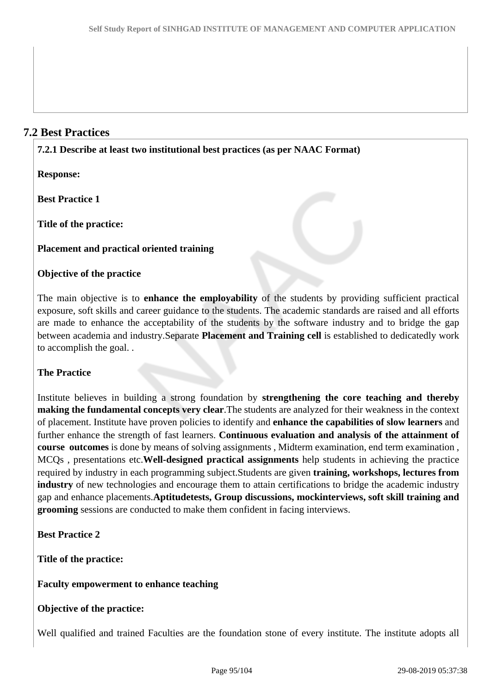# **7.2 Best Practices**

**7.2.1 Describe at least two institutional best practices (as per NAAC Format)**

**Response:** 

**Best Practice 1**

**Title of the practice:**

**Placement and practical oriented training**

# **Objective of the practice**

The main objective is to **enhance the employability** of the students by providing sufficient practical exposure, soft skills and career guidance to the students. The academic standards are raised and all efforts are made to enhance the acceptability of the students by the software industry and to bridge the gap between academia and industry.Separate **Placement and Training cell** is established to dedicatedly work to accomplish the goal. .

# **The Practice**

Institute believes in building a strong foundation by **strengthening the core teaching and thereby making the fundamental concepts very clear**.The students are analyzed for their weakness in the context of placement. Institute have proven policies to identify and **enhance the capabilities of slow learners** and further enhance the strength of fast learners. **Continuous evaluation and analysis of the attainment of course outcomes** is done by means of solving assignments , Midterm examination, end term examination , MCQs , presentations etc.**Well-designed practical assignments** help students in achieving the practice required by industry in each programming subject.Students are given **training, workshops, lectures from industry** of new technologies and encourage them to attain certifications to bridge the academic industry gap and enhance placements.**Aptitudetests, Group discussions, mockinterviews, soft skill training and grooming** sessions are conducted to make them confident in facing interviews.

**Best Practice 2**

**Title of the practice:** 

**Faculty empowerment to enhance teaching** 

#### **Objective of the practice:**

Well qualified and trained Faculties are the foundation stone of every institute. The institute adopts all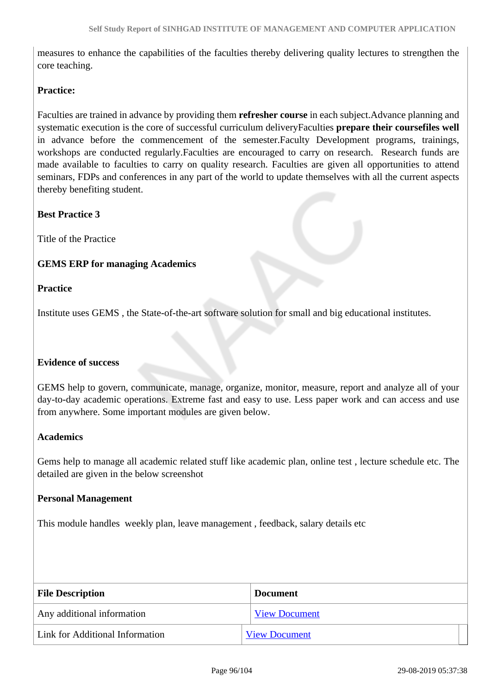measures to enhance the capabilities of the faculties thereby delivering quality lectures to strengthen the core teaching.

#### **Practice:**

Faculties are trained in advance by providing them **refresher course** in each subject.Advance planning and systematic execution is the core of successful curriculum deliveryFaculties **prepare their coursefiles well** in advance before the commencement of the semester.Faculty Development programs, trainings, workshops are conducted regularly.Faculties are encouraged to carry on research. Research funds are made available to faculties to carry on quality research. Faculties are given all opportunities to attend seminars, FDPs and conferences in any part of the world to update themselves with all the current aspects thereby benefiting student.

**Best Practice 3**

Title of the Practice

#### **GEMS ERP for managing Academics**

#### **Practice**

Institute uses GEMS , the State-of-the-art software solution for small and big educational institutes.

#### **Evidence of success**

GEMS help to govern, communicate, manage, organize, monitor, measure, report and analyze all of your day-to-day academic operations. Extreme fast and easy to use. Less paper work and can access and use from anywhere. Some important modules are given below.

#### **Academics**

Gems help to manage all academic related stuff like academic plan, online test , lecture schedule etc. The detailed are given in the below screenshot

#### **Personal Management**

This module handles weekly plan, leave management , feedback, salary details etc

| <b>File Description</b>         | <b>Document</b>      |
|---------------------------------|----------------------|
| Any additional information      | <b>View Document</b> |
| Link for Additional Information | <b>View Document</b> |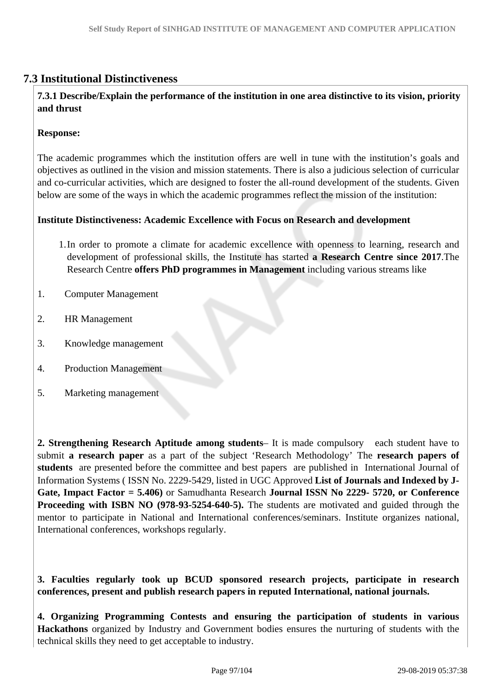# **7.3 Institutional Distinctiveness**

# **7.3.1 Describe/Explain the performance of the institution in one area distinctive to its vision, priority and thrust**

#### **Response:**

The academic programmes which the institution offers are well in tune with the institution's goals and objectives as outlined in the vision and mission statements. There is also a judicious selection of curricular and co-curricular activities, which are designed to foster the all-round development of the students. Given below are some of the ways in which the academic programmes reflect the mission of the institution:

#### **Institute Distinctiveness: Academic Excellence with Focus on Research and development**

- 1.In order to promote a climate for academic excellence with openness to learning, research and development of professional skills, the Institute has started **a Research Centre since 2017**.The Research Centre **offers PhD programmes in Management** including various streams like
- 1. Computer Management
- 2. HR Management
- 3. Knowledge management
- 4. Production Management
- 5. Marketing management

**2. Strengthening Research Aptitude among students**– It is made compulsory each student have to submit **a research paper** as a part of the subject 'Research Methodology' The **research papers of students** are presented before the committee and best papers are published in International Journal of Information Systems ( ISSN No. 2229-5429, listed in UGC Approved **List of Journals and Indexed by J-Gate, Impact Factor = 5.406)** or Samudhanta Research **Journal ISSN No 2229- 5720, or Conference Proceeding with ISBN NO (978-93-5254-640-5).** The students are motivated and guided through the mentor to participate in National and International conferences/seminars. Institute organizes national, International conferences, workshops regularly.

**3. Faculties regularly took up BCUD sponsored research projects, participate in research conferences, present and publish research papers in reputed International, national journals.**

**4. Organizing Programming Contests and ensuring the participation of students in various Hackathons** organized by Industry and Government bodies ensures the nurturing of students with the technical skills they need to get acceptable to industry.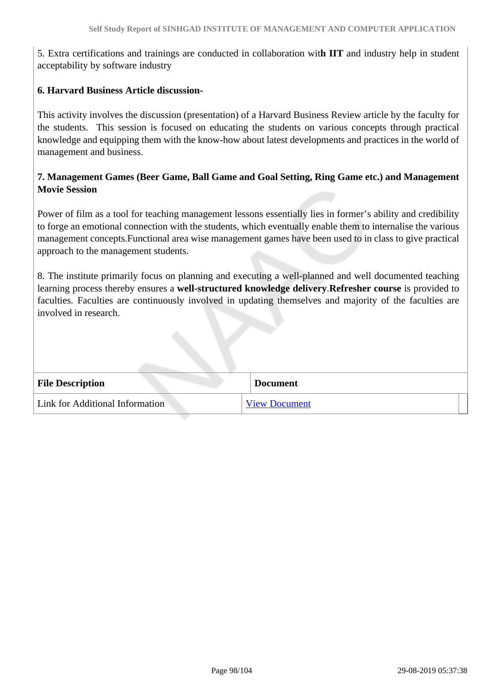5. Extra certifications and trainings are conducted in collaboration wit**h IIT** and industry help in student acceptability by software industry

#### **6. Harvard Business Article discussion-**

This activity involves the discussion (presentation) of a Harvard Business Review article by the faculty for the students. This session is focused on educating the students on various concepts through practical knowledge and equipping them with the know-how about latest developments and practices in the world of management and business.

# **7. Management Games (Beer Game, Ball Game and Goal Setting, Ring Game etc.) and Management Movie Session**

Power of film as a tool for teaching management lessons essentially lies in former's ability and credibility to forge an emotional connection with the students, which eventually enable them to internalise the various management concepts.Functional area wise management games have been used to in class to give practical approach to the management students.

8. The institute primarily focus on planning and executing a well-planned and well documented teaching learning process thereby ensures a **well-structured knowledge delivery**.**Refresher course** is provided to faculties. Faculties are continuously involved in updating themselves and majority of the faculties are involved in research.

| <b>File Description</b>         | <b>Document</b>      |
|---------------------------------|----------------------|
| Link for Additional Information | <b>View Document</b> |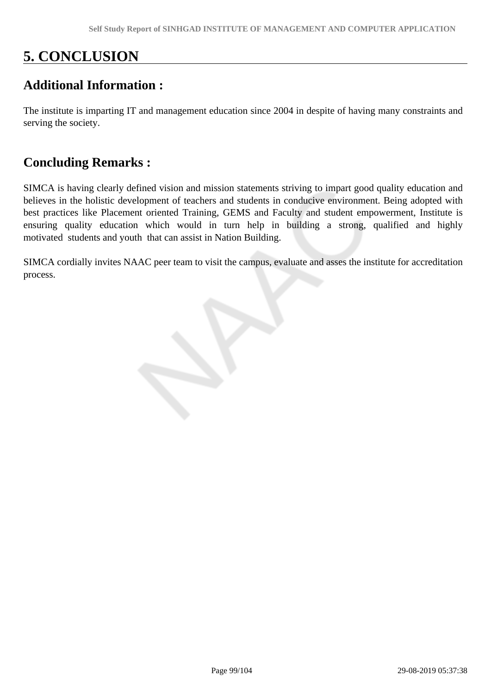# **5. CONCLUSION**

# **Additional Information :**

The institute is imparting IT and management education since 2004 in despite of having many constraints and serving the society.

# **Concluding Remarks :**

SIMCA is having clearly defined vision and mission statements striving to impart good quality education and believes in the holistic development of teachers and students in conducive environment. Being adopted with best practices like Placement oriented Training, GEMS and Faculty and student empowerment, Institute is ensuring quality education which would in turn help in building a strong, qualified and highly motivated students and youth that can assist in Nation Building.

SIMCA cordially invites NAAC peer team to visit the campus, evaluate and asses the institute for accreditation process.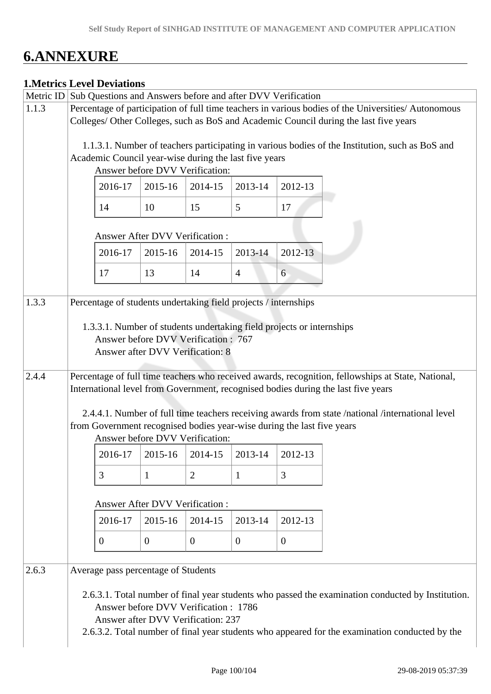# **6.ANNEXURE**

|       |                                                                                                                                                                                                               | <b>1. Metrics Level Deviations</b> |                                                                                                                                                   |                |                  |                |                                                                                                                                                                                                     |  |  |  |
|-------|---------------------------------------------------------------------------------------------------------------------------------------------------------------------------------------------------------------|------------------------------------|---------------------------------------------------------------------------------------------------------------------------------------------------|----------------|------------------|----------------|-----------------------------------------------------------------------------------------------------------------------------------------------------------------------------------------------------|--|--|--|
| 1.1.3 | Metric ID Sub Questions and Answers before and after DVV Verification<br>Percentage of participation of full time teachers in various bodies of the Universities/ Autonomous                                  |                                    |                                                                                                                                                   |                |                  |                |                                                                                                                                                                                                     |  |  |  |
|       | Colleges/ Other Colleges, such as BoS and Academic Council during the last five years                                                                                                                         |                                    |                                                                                                                                                   |                |                  |                |                                                                                                                                                                                                     |  |  |  |
|       |                                                                                                                                                                                                               |                                    | Academic Council year-wise during the last five years                                                                                             |                |                  |                | 1.1.3.1. Number of teachers participating in various bodies of the Institution, such as BoS and                                                                                                     |  |  |  |
|       |                                                                                                                                                                                                               |                                    | Answer before DVV Verification:                                                                                                                   |                |                  |                |                                                                                                                                                                                                     |  |  |  |
|       |                                                                                                                                                                                                               | 2016-17                            | 2015-16                                                                                                                                           | 2014-15        | 2013-14          | 2012-13        |                                                                                                                                                                                                     |  |  |  |
|       |                                                                                                                                                                                                               | 14                                 | 10                                                                                                                                                | 15             | 5                | 17             |                                                                                                                                                                                                     |  |  |  |
|       | <b>Answer After DVV Verification:</b>                                                                                                                                                                         |                                    |                                                                                                                                                   |                |                  |                |                                                                                                                                                                                                     |  |  |  |
|       |                                                                                                                                                                                                               | 2016-17                            | 2015-16                                                                                                                                           | 2014-15        | 2013-14          | 2012-13        |                                                                                                                                                                                                     |  |  |  |
|       |                                                                                                                                                                                                               | 17                                 | 13                                                                                                                                                | 14             | $\overline{4}$   | 6              |                                                                                                                                                                                                     |  |  |  |
| 1.3.3 |                                                                                                                                                                                                               |                                    | Percentage of students undertaking field projects / internships                                                                                   |                |                  |                |                                                                                                                                                                                                     |  |  |  |
|       |                                                                                                                                                                                                               |                                    | 1.3.3.1. Number of students undertaking field projects or internships<br>Answer before DVV Verification : 767<br>Answer after DVV Verification: 8 |                |                  |                |                                                                                                                                                                                                     |  |  |  |
| 2.4.4 |                                                                                                                                                                                                               |                                    |                                                                                                                                                   |                |                  |                | Percentage of full time teachers who received awards, recognition, fellowships at State, National,<br>International level from Government, recognised bodies during the last five years             |  |  |  |
|       | 2.4.4.1. Number of full time teachers receiving awards from state /national /international level<br>from Government recognised bodies year-wise during the last five years<br>Answer before DVV Verification: |                                    |                                                                                                                                                   |                |                  |                |                                                                                                                                                                                                     |  |  |  |
|       |                                                                                                                                                                                                               | 2016-17                            | 2015-16                                                                                                                                           | 2014-15        | 2013-14          | 2012-13        |                                                                                                                                                                                                     |  |  |  |
|       |                                                                                                                                                                                                               | 3                                  | $\mathbf{1}$                                                                                                                                      | $\overline{2}$ | $\mathbf{1}$     | 3              |                                                                                                                                                                                                     |  |  |  |
|       | Answer After DVV Verification :                                                                                                                                                                               |                                    |                                                                                                                                                   |                |                  |                |                                                                                                                                                                                                     |  |  |  |
|       |                                                                                                                                                                                                               | 2016-17                            | 2015-16                                                                                                                                           | 2014-15        | 2013-14          | 2012-13        |                                                                                                                                                                                                     |  |  |  |
|       |                                                                                                                                                                                                               | $\theta$                           | $\overline{0}$                                                                                                                                    | $\theta$       | $\boldsymbol{0}$ | $\overline{0}$ |                                                                                                                                                                                                     |  |  |  |
| 2.6.3 |                                                                                                                                                                                                               |                                    | Average pass percentage of Students                                                                                                               |                |                  |                |                                                                                                                                                                                                     |  |  |  |
|       |                                                                                                                                                                                                               |                                    | Answer before DVV Verification: 1786<br>Answer after DVV Verification: 237                                                                        |                |                  |                | 2.6.3.1. Total number of final year students who passed the examination conducted by Institution.<br>2.6.3.2. Total number of final year students who appeared for the examination conducted by the |  |  |  |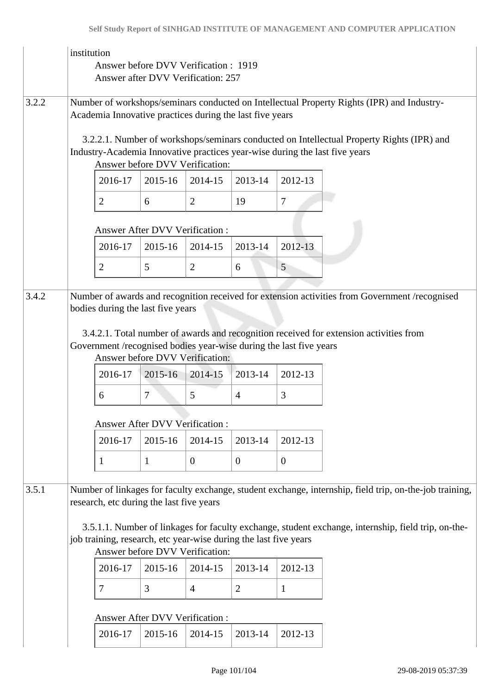|       | institution<br>Answer before DVV Verification: 1919<br>Answer after DVV Verification: 257                                                                                                                                                                  |                                                                                                                                                                                                             |              |                |                  |              |                                                                                                |  |  |
|-------|------------------------------------------------------------------------------------------------------------------------------------------------------------------------------------------------------------------------------------------------------------|-------------------------------------------------------------------------------------------------------------------------------------------------------------------------------------------------------------|--------------|----------------|------------------|--------------|------------------------------------------------------------------------------------------------|--|--|
| 3.2.2 | Number of workshops/seminars conducted on Intellectual Property Rights (IPR) and Industry-<br>Academia Innovative practices during the last five years                                                                                                     |                                                                                                                                                                                                             |              |                |                  |              |                                                                                                |  |  |
|       |                                                                                                                                                                                                                                                            | 3.2.2.1. Number of workshops/seminars conducted on Intellectual Property Rights (IPR) and<br>Industry-Academia Innovative practices year-wise during the last five years<br>Answer before DVV Verification: |              |                |                  |              |                                                                                                |  |  |
|       |                                                                                                                                                                                                                                                            | 2016-17                                                                                                                                                                                                     | 2015-16      | 2014-15        | 2013-14          | 2012-13      |                                                                                                |  |  |
|       |                                                                                                                                                                                                                                                            | $\overline{2}$                                                                                                                                                                                              | 6            | $\overline{2}$ | 19               | 7            |                                                                                                |  |  |
|       | Answer After DVV Verification:                                                                                                                                                                                                                             |                                                                                                                                                                                                             |              |                |                  |              |                                                                                                |  |  |
|       |                                                                                                                                                                                                                                                            | 2016-17                                                                                                                                                                                                     | 2015-16      | 2014-15        | 2013-14          | $2012 - 13$  |                                                                                                |  |  |
|       |                                                                                                                                                                                                                                                            | $\overline{2}$                                                                                                                                                                                              | 5            | $\overline{2}$ | 6                | 5            |                                                                                                |  |  |
|       |                                                                                                                                                                                                                                                            |                                                                                                                                                                                                             |              |                |                  |              |                                                                                                |  |  |
| 3.4.2 |                                                                                                                                                                                                                                                            | bodies during the last five years                                                                                                                                                                           |              |                |                  |              | Number of awards and recognition received for extension activities from Government /recognised |  |  |
|       | 3.4.2.1. Total number of awards and recognition received for extension activities from<br>Government /recognised bodies year-wise during the last five years<br>Answer before DVV Verification:                                                            |                                                                                                                                                                                                             |              |                |                  |              |                                                                                                |  |  |
|       |                                                                                                                                                                                                                                                            | 2016-17                                                                                                                                                                                                     | 2015-16      | 2014-15        | 2013-14          | 2012-13      |                                                                                                |  |  |
|       |                                                                                                                                                                                                                                                            | 6                                                                                                                                                                                                           | 7            | 5              | $\overline{4}$   | 3            |                                                                                                |  |  |
|       | <b>Answer After DVV Verification:</b>                                                                                                                                                                                                                      |                                                                                                                                                                                                             |              |                |                  |              |                                                                                                |  |  |
|       |                                                                                                                                                                                                                                                            | 2016-17                                                                                                                                                                                                     | 2015-16      | 2014-15        | 2013-14          | 2012-13      |                                                                                                |  |  |
|       |                                                                                                                                                                                                                                                            | $\mathbf{1}$                                                                                                                                                                                                | $\mathbf{1}$ | $\overline{0}$ | $\boldsymbol{0}$ | $\mathbf{0}$ |                                                                                                |  |  |
| 3.5.1 | Number of linkages for faculty exchange, student exchange, internship, field trip, on-the-job training,<br>research, etc during the last five years<br>3.5.1.1. Number of linkages for faculty exchange, student exchange, internship, field trip, on-the- |                                                                                                                                                                                                             |              |                |                  |              |                                                                                                |  |  |
|       | job training, research, etc year-wise during the last five years<br>Answer before DVV Verification:                                                                                                                                                        |                                                                                                                                                                                                             |              |                |                  |              |                                                                                                |  |  |
|       |                                                                                                                                                                                                                                                            | 2016-17                                                                                                                                                                                                     | 2015-16      | 2014-15        | 2013-14          | 2012-13      |                                                                                                |  |  |
|       |                                                                                                                                                                                                                                                            | 7                                                                                                                                                                                                           | 3            | $\overline{4}$ | $\overline{2}$   | 1            |                                                                                                |  |  |
|       | Answer After DVV Verification :                                                                                                                                                                                                                            |                                                                                                                                                                                                             |              |                |                  |              |                                                                                                |  |  |
|       |                                                                                                                                                                                                                                                            | 2016-17                                                                                                                                                                                                     | 2015-16      | 2014-15        | 2013-14          | 2012-13      |                                                                                                |  |  |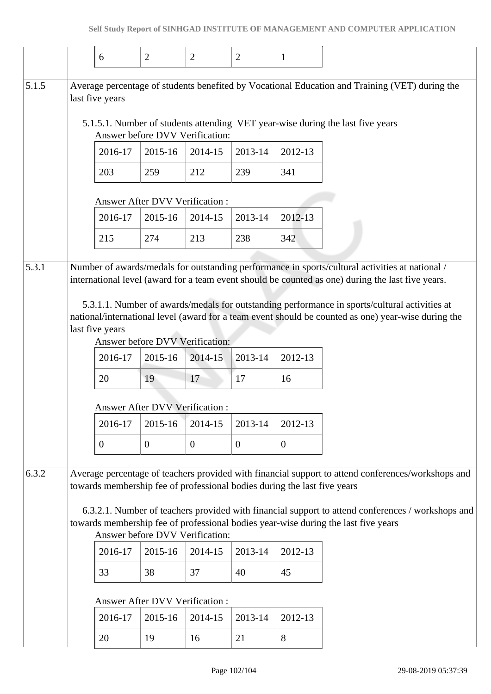|       |                                       | 6               | $\overline{2}$                                   | $\overline{2}$   | $\overline{2}$   | $\mathbf{1}$                                                             |                                                                                    |                                                                                                                                                                                                      |  |  |
|-------|---------------------------------------|-----------------|--------------------------------------------------|------------------|------------------|--------------------------------------------------------------------------|------------------------------------------------------------------------------------|------------------------------------------------------------------------------------------------------------------------------------------------------------------------------------------------------|--|--|
| 5.1.5 |                                       | last five years |                                                  |                  |                  |                                                                          |                                                                                    | Average percentage of students benefited by Vocational Education and Training (VET) during the                                                                                                       |  |  |
|       |                                       |                 | Answer before DVV Verification:                  |                  |                  |                                                                          | 5.1.5.1. Number of students attending VET year-wise during the last five years     |                                                                                                                                                                                                      |  |  |
|       |                                       | 2016-17         | 2015-16                                          | 2014-15          | 2013-14          | 2012-13                                                                  |                                                                                    |                                                                                                                                                                                                      |  |  |
|       |                                       | 203             | 259                                              | 212              | 239              | 341                                                                      |                                                                                    |                                                                                                                                                                                                      |  |  |
|       | <b>Answer After DVV Verification:</b> |                 |                                                  |                  |                  |                                                                          |                                                                                    |                                                                                                                                                                                                      |  |  |
|       |                                       | 2016-17         | 2015-16                                          | 2014-15          | 2013-14          | 2012-13                                                                  |                                                                                    |                                                                                                                                                                                                      |  |  |
|       |                                       | 215             | 274                                              | 213              | 238              | 342                                                                      |                                                                                    |                                                                                                                                                                                                      |  |  |
| 5.3.1 |                                       |                 |                                                  |                  |                  |                                                                          |                                                                                    | Number of awards/medals for outstanding performance in sports/cultural activities at national /<br>international level (award for a team event should be counted as one) during the last five years. |  |  |
|       |                                       | last five years |                                                  |                  |                  |                                                                          |                                                                                    | 5.3.1.1. Number of awards/medals for outstanding performance in sports/cultural activities at<br>national/international level (award for a team event should be counted as one) year-wise during the |  |  |
|       |                                       |                 | Answer before DVV Verification:                  |                  |                  |                                                                          |                                                                                    |                                                                                                                                                                                                      |  |  |
|       |                                       | 2016-17         | 2015-16                                          | 2014-15          | 2013-14          | 2012-13                                                                  |                                                                                    |                                                                                                                                                                                                      |  |  |
|       |                                       | 20              | 19                                               | 17               | 17               | 16                                                                       |                                                                                    |                                                                                                                                                                                                      |  |  |
|       |                                       |                 |                                                  |                  |                  |                                                                          |                                                                                    |                                                                                                                                                                                                      |  |  |
|       |                                       | 2016-17         | <b>Answer After DVV Verification:</b><br>2015-16 | 2014-15          | 2013-14          | 2012-13                                                                  |                                                                                    |                                                                                                                                                                                                      |  |  |
|       |                                       | $\overline{0}$  | $\boldsymbol{0}$                                 | $\boldsymbol{0}$ | $\boldsymbol{0}$ | $\mathbf{0}$                                                             |                                                                                    |                                                                                                                                                                                                      |  |  |
|       |                                       |                 |                                                  |                  |                  | towards membership fee of professional bodies during the last five years |                                                                                    | Average percentage of teachers provided with financial support to attend conferences/workshops and                                                                                                   |  |  |
|       |                                       |                 | Answer before DVV Verification:                  |                  |                  |                                                                          | towards membership fee of professional bodies year-wise during the last five years | 6.3.2.1. Number of teachers provided with financial support to attend conferences / workshops and                                                                                                    |  |  |
|       |                                       | 2016-17         | 2015-16                                          | 2014-15          | 2013-14          | 2012-13                                                                  |                                                                                    |                                                                                                                                                                                                      |  |  |
|       |                                       | 33              | 38                                               | 37               | 40               | 45                                                                       |                                                                                    |                                                                                                                                                                                                      |  |  |
|       |                                       |                 | Answer After DVV Verification:                   |                  |                  |                                                                          |                                                                                    |                                                                                                                                                                                                      |  |  |
| 6.3.2 |                                       | 2016-17         | 2015-16                                          | 2014-15          | 2013-14          | 2012-13                                                                  |                                                                                    |                                                                                                                                                                                                      |  |  |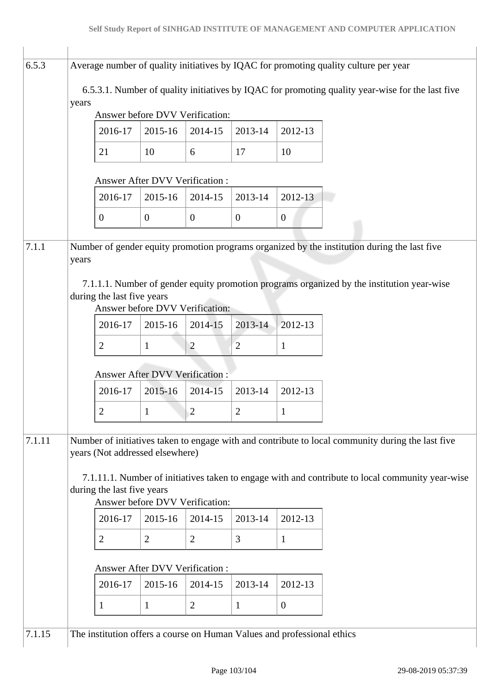| 6.5.3  | Average number of quality initiatives by IQAC for promoting quality culture per year                                                                              |                                                                                                       |                                 |                |                |                |                                                                                            |  |  |  |  |
|--------|-------------------------------------------------------------------------------------------------------------------------------------------------------------------|-------------------------------------------------------------------------------------------------------|---------------------------------|----------------|----------------|----------------|--------------------------------------------------------------------------------------------|--|--|--|--|
|        | 6.5.3.1. Number of quality initiatives by IQAC for promoting quality year-wise for the last five                                                                  |                                                                                                       |                                 |                |                |                |                                                                                            |  |  |  |  |
|        | years                                                                                                                                                             |                                                                                                       | Answer before DVV Verification: |                |                |                |                                                                                            |  |  |  |  |
|        |                                                                                                                                                                   | 2016-17                                                                                               | 2015-16                         | 2014-15        | 2013-14        | 2012-13        |                                                                                            |  |  |  |  |
|        |                                                                                                                                                                   | 21                                                                                                    | 10                              | 6              | 17             | 10             |                                                                                            |  |  |  |  |
|        | <b>Answer After DVV Verification:</b>                                                                                                                             |                                                                                                       |                                 |                |                |                |                                                                                            |  |  |  |  |
|        |                                                                                                                                                                   | 2016-17                                                                                               | 2015-16                         | 2014-15        | 2013-14        | 2012-13        |                                                                                            |  |  |  |  |
|        |                                                                                                                                                                   | $\theta$                                                                                              | $\mathbf{0}$                    | $\mathbf{0}$   | $\theta$       | $\overline{0}$ |                                                                                            |  |  |  |  |
| 7.1.1  |                                                                                                                                                                   | Number of gender equity promotion programs organized by the institution during the last five<br>years |                                 |                |                |                |                                                                                            |  |  |  |  |
|        |                                                                                                                                                                   | during the last five years                                                                            | Answer before DVV Verification: |                |                |                | 7.1.1.1. Number of gender equity promotion programs organized by the institution year-wise |  |  |  |  |
|        |                                                                                                                                                                   | 2016-17                                                                                               | 2015-16                         | 2014-15        | 2013-14        | 2012-13        |                                                                                            |  |  |  |  |
|        |                                                                                                                                                                   | $\overline{2}$                                                                                        | $\mathbf{1}$                    | $\overline{2}$ | $\overline{2}$ | 1              |                                                                                            |  |  |  |  |
|        |                                                                                                                                                                   | <b>Answer After DVV Verification:</b>                                                                 |                                 |                |                |                |                                                                                            |  |  |  |  |
|        |                                                                                                                                                                   | 2016-17                                                                                               | 2015-16                         | 2014-15        | 2013-14        | 2012-13        |                                                                                            |  |  |  |  |
|        |                                                                                                                                                                   | $\overline{2}$                                                                                        | $\mathbf{1}$                    | 2              | $\overline{2}$ | 1              |                                                                                            |  |  |  |  |
| 7.1.11 | Number of initiatives taken to engage with and contribute to local community during the last five<br>years (Not addressed elsewhere)                              |                                                                                                       |                                 |                |                |                |                                                                                            |  |  |  |  |
|        | 7.1.11.1. Number of initiatives taken to engage with and contribute to local community year-wise<br>during the last five years<br>Answer before DVV Verification: |                                                                                                       |                                 |                |                |                |                                                                                            |  |  |  |  |
|        |                                                                                                                                                                   | 2016-17                                                                                               | 2015-16                         | 2014-15        | 2013-14        | 2012-13        |                                                                                            |  |  |  |  |
|        |                                                                                                                                                                   | 2                                                                                                     | $\overline{2}$                  | $\overline{2}$ | 3              | $\mathbf{1}$   |                                                                                            |  |  |  |  |
|        | Answer After DVV Verification :                                                                                                                                   |                                                                                                       |                                 |                |                |                |                                                                                            |  |  |  |  |
|        |                                                                                                                                                                   | 2016-17                                                                                               | 2015-16                         | 2014-15        | 2013-14        | 2012-13        |                                                                                            |  |  |  |  |
|        |                                                                                                                                                                   | 1                                                                                                     | $\mathbf{1}$                    | $\overline{2}$ | $\mathbf{1}$   | $\mathbf{0}$   |                                                                                            |  |  |  |  |
| 7.1.15 |                                                                                                                                                                   | The institution offers a course on Human Values and professional ethics                               |                                 |                |                |                |                                                                                            |  |  |  |  |
|        |                                                                                                                                                                   |                                                                                                       |                                 |                |                |                |                                                                                            |  |  |  |  |